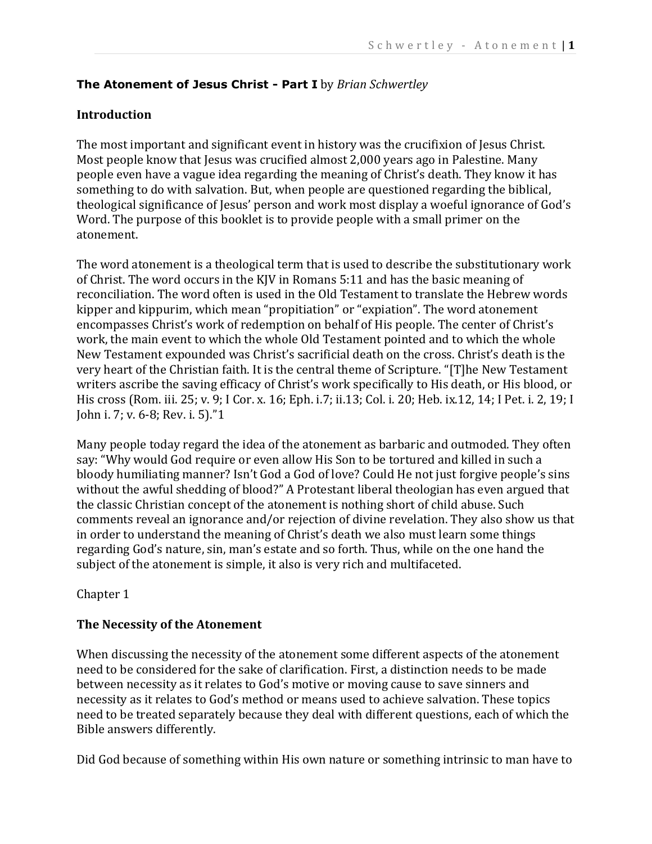### **The Atonement of Jesus Christ - Part I** by *Brian Schwertley*

### **Introduction**

The most important and significant event in history was the crucifixion of Jesus Christ. Most people know that Jesus was crucified almost 2,000 years ago in Palestine. Many people even have a vague idea regarding the meaning of Christ's death. They know it has something to do with salvation. But, when people are questioned regarding the biblical, theological significance of Jesus' person and work most display a woeful ignorance of God's Word. The purpose of this booklet is to provide people with a small primer on the atonement.

The word atonement is a theological term that is used to describe the substitutionary work of Christ. The word occurs in the KJV in Romans 5:11 and has the basic meaning of reconciliation. The word often is used in the Old Testament to translate the Hebrew words kipper and kippurim, which mean "propitiation" or "expiation". The word atonement encompasses Christ's work of redemption on behalf of His people. The center of Christ's work, the main event to which the whole Old Testament pointed and to which the whole New Testament expounded was Christ's sacrificial death on the cross. Christ's death is the very heart of the Christian faith. It is the central theme of Scripture. "[T]he New Testament writers ascribe the saving efficacy of Christ's work specifically to His death, or His blood, or His cross (Rom. iii. 25; v. 9; I Cor. x. 16; Eph. i.7; ii.13; Col. i. 20; Heb. ix.12, 14; I Pet. i. 2, 19; I John i. 7; v. 6-8; Rev. i. 5)."1

Many people today regard the idea of the atonement as barbaric and outmoded. They often say: "Why would God require or even allow His Son to be tortured and killed in such a bloody humiliating manner? Isn't God a God of love? Could He not just forgive people's sins without the awful shedding of blood?" A Protestant liberal theologian has even argued that the classic Christian concept of the atonement is nothing short of child abuse. Such comments reveal an ignorance and/or rejection of divine revelation. They also show us that in order to understand the meaning of Christ's death we also must learn some things regarding God's nature, sin, man's estate and so forth. Thus, while on the one hand the subject of the atonement is simple, it also is very rich and multifaceted.

#### Chapter 1

#### **The Necessity of the Atonement**

When discussing the necessity of the atonement some different aspects of the atonement need to be considered for the sake of clarification. First, a distinction needs to be made between necessity as it relates to God's motive or moving cause to save sinners and necessity as it relates to God's method or means used to achieve salvation. These topics need to be treated separately because they deal with different questions, each of which the Bible answers differently.

Did God because of something within His own nature or something intrinsic to man have to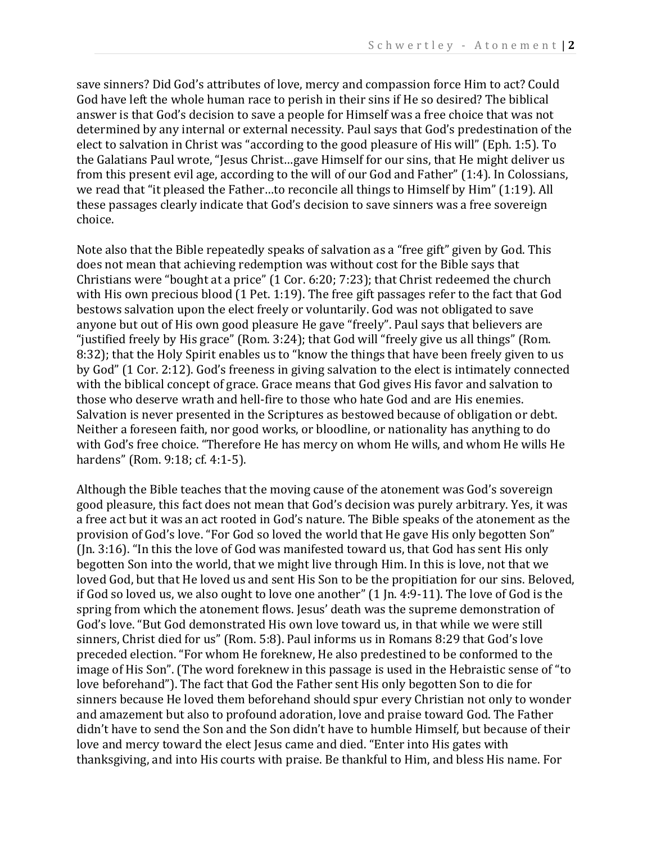save sinners? Did God's attributes of love, mercy and compassion force Him to act? Could God have left the whole human race to perish in their sins if He so desired? The biblical answer is that God's decision to save a people for Himself was a free choice that was not determined by any internal or external necessity. Paul says that God's predestination of the elect to salvation in Christ was "according to the good pleasure of His will" (Eph. 1:5). To the Galatians Paul wrote, "Jesus Christ…gave Himself for our sins, that He might deliver us from this present evil age, according to the will of our God and Father" (1:4). In Colossians, we read that "it pleased the Father…to reconcile all things to Himself by Him" (1:19). All these passages clearly indicate that God's decision to save sinners was a free sovereign choice.

Note also that the Bible repeatedly speaks of salvation as a "free gift" given by God. This does not mean that achieving redemption was without cost for the Bible says that Christians were "bought at a price" (1 Cor. 6:20; 7:23); that Christ redeemed the church with His own precious blood (1 Pet. 1:19). The free gift passages refer to the fact that God bestows salvation upon the elect freely or voluntarily. God was not obligated to save anyone but out of His own good pleasure He gave "freely". Paul says that believers are "justified freely by His grace" (Rom. 3:24); that God will "freely give us all things" (Rom. 8:32); that the Holy Spirit enables us to "know the things that have been freely given to us by God" (1 Cor. 2:12). God's freeness in giving salvation to the elect is intimately connected with the biblical concept of grace. Grace means that God gives His favor and salvation to those who deserve wrath and hell-fire to those who hate God and are His enemies. Salvation is never presented in the Scriptures as bestowed because of obligation or debt. Neither a foreseen faith, nor good works, or bloodline, or nationality has anything to do with God's free choice. "Therefore He has mercy on whom He wills, and whom He wills He hardens" (Rom. 9:18; cf. 4:1-5).

Although the Bible teaches that the moving cause of the atonement was God's sovereign good pleasure, this fact does not mean that God's decision was purely arbitrary. Yes, it was a free act but it was an act rooted in God's nature. The Bible speaks of the atonement as the provision of God's love. "For God so loved the world that He gave His only begotten Son" (Jn. 3:16). "In this the love of God was manifested toward us, that God has sent His only begotten Son into the world, that we might live through Him. In this is love, not that we loved God, but that He loved us and sent His Son to be the propitiation for our sins. Beloved, if God so loved us, we also ought to love one another" (1 Jn. 4:9-11). The love of God is the spring from which the atonement flows. Jesus' death was the supreme demonstration of God's love. "But God demonstrated His own love toward us, in that while we were still sinners, Christ died for us" (Rom. 5:8). Paul informs us in Romans 8:29 that God's love preceded election. "For whom He foreknew, He also predestined to be conformed to the image of His Son". (The word foreknew in this passage is used in the Hebraistic sense of "to love beforehand"). The fact that God the Father sent His only begotten Son to die for sinners because He loved them beforehand should spur every Christian not only to wonder and amazement but also to profound adoration, love and praise toward God. The Father didn't have to send the Son and the Son didn't have to humble Himself, but because of their love and mercy toward the elect Jesus came and died. "Enter into His gates with thanksgiving, and into His courts with praise. Be thankful to Him, and bless His name. For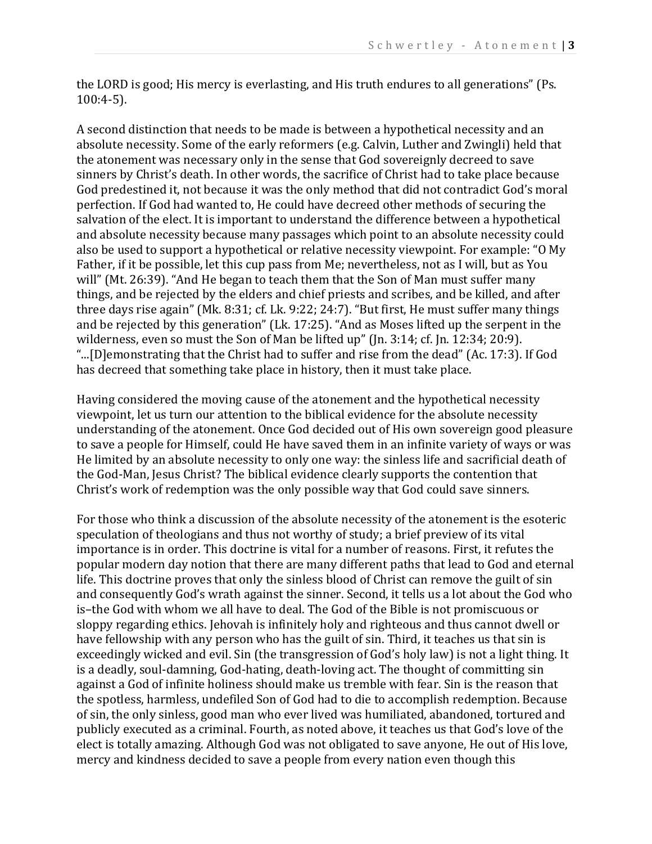the LORD is good; His mercy is everlasting, and His truth endures to all generations" (Ps. 100:4-5).

A second distinction that needs to be made is between a hypothetical necessity and an absolute necessity. Some of the early reformers (e.g. Calvin, Luther and Zwingli) held that the atonement was necessary only in the sense that God sovereignly decreed to save sinners by Christ's death. In other words, the sacrifice of Christ had to take place because God predestined it, not because it was the only method that did not contradict God's moral perfection. If God had wanted to, He could have decreed other methods of securing the salvation of the elect. It is important to understand the difference between a hypothetical and absolute necessity because many passages which point to an absolute necessity could also be used to support a hypothetical or relative necessity viewpoint. For example: "O My Father, if it be possible, let this cup pass from Me; nevertheless, not as I will, but as You will" (Mt. 26:39). "And He began to teach them that the Son of Man must suffer many things, and be rejected by the elders and chief priests and scribes, and be killed, and after three days rise again" (Mk. 8:31; cf. Lk. 9:22; 24:7). "But first, He must suffer many things and be rejected by this generation" (Lk. 17:25). "And as Moses lifted up the serpent in the wilderness, even so must the Son of Man be lifted up" (Jn. 3:14; cf. Jn. 12:34; 20:9). "...[D]emonstrating that the Christ had to suffer and rise from the dead" (Ac. 17:3). If God has decreed that something take place in history, then it must take place.

Having considered the moving cause of the atonement and the hypothetical necessity viewpoint, let us turn our attention to the biblical evidence for the absolute necessity understanding of the atonement. Once God decided out of His own sovereign good pleasure to save a people for Himself, could He have saved them in an infinite variety of ways or was He limited by an absolute necessity to only one way: the sinless life and sacrificial death of the God-Man, Jesus Christ? The biblical evidence clearly supports the contention that Christ's work of redemption was the only possible way that God could save sinners.

For those who think a discussion of the absolute necessity of the atonement is the esoteric speculation of theologians and thus not worthy of study; a brief preview of its vital importance is in order. This doctrine is vital for a number of reasons. First, it refutes the popular modern day notion that there are many different paths that lead to God and eternal life. This doctrine proves that only the sinless blood of Christ can remove the guilt of sin and consequently God's wrath against the sinner. Second, it tells us a lot about the God who is–the God with whom we all have to deal. The God of the Bible is not promiscuous or sloppy regarding ethics. Jehovah is infinitely holy and righteous and thus cannot dwell or have fellowship with any person who has the guilt of sin. Third, it teaches us that sin is exceedingly wicked and evil. Sin (the transgression of God's holy law) is not a light thing. It is a deadly, soul-damning, God-hating, death-loving act. The thought of committing sin against a God of infinite holiness should make us tremble with fear. Sin is the reason that the spotless, harmless, undefiled Son of God had to die to accomplish redemption. Because of sin, the only sinless, good man who ever lived was humiliated, abandoned, tortured and publicly executed as a criminal. Fourth, as noted above, it teaches us that God's love of the elect is totally amazing. Although God was not obligated to save anyone, He out of His love, mercy and kindness decided to save a people from every nation even though this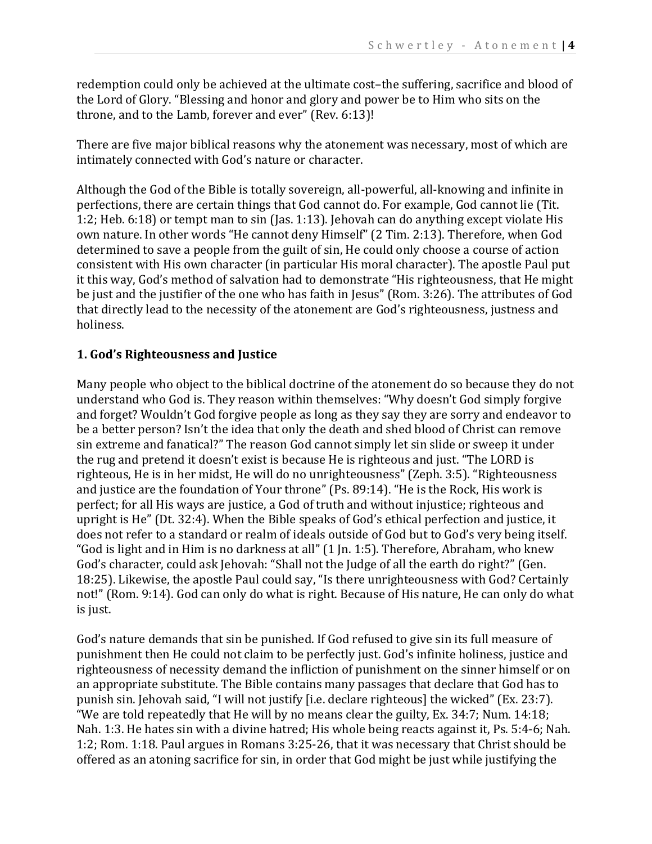redemption could only be achieved at the ultimate cost–the suffering, sacrifice and blood of the Lord of Glory. "Blessing and honor and glory and power be to Him who sits on the throne, and to the Lamb, forever and ever" (Rev. 6:13)!

There are five major biblical reasons why the atonement was necessary, most of which are intimately connected with God's nature or character.

Although the God of the Bible is totally sovereign, all-powerful, all-knowing and infinite in perfections, there are certain things that God cannot do. For example, God cannot lie (Tit. 1:2; Heb. 6:18) or tempt man to sin (Jas. 1:13). Jehovah can do anything except violate His own nature. In other words "He cannot deny Himself" (2 Tim. 2:13). Therefore, when God determined to save a people from the guilt of sin, He could only choose a course of action consistent with His own character (in particular His moral character). The apostle Paul put it this way, God's method of salvation had to demonstrate "His righteousness, that He might be just and the justifier of the one who has faith in Jesus" (Rom. 3:26). The attributes of God that directly lead to the necessity of the atonement are God's righteousness, justness and holiness.

# **1. God's Righteousness and Justice**

Many people who object to the biblical doctrine of the atonement do so because they do not understand who God is. They reason within themselves: "Why doesn't God simply forgive and forget? Wouldn't God forgive people as long as they say they are sorry and endeavor to be a better person? Isn't the idea that only the death and shed blood of Christ can remove sin extreme and fanatical?" The reason God cannot simply let sin slide or sweep it under the rug and pretend it doesn't exist is because He is righteous and just. "The LORD is righteous, He is in her midst, He will do no unrighteousness" (Zeph. 3:5). "Righteousness and justice are the foundation of Your throne" (Ps. 89:14). "He is the Rock, His work is perfect; for all His ways are justice, a God of truth and without injustice; righteous and upright is He" (Dt. 32:4). When the Bible speaks of God's ethical perfection and justice, it does not refer to a standard or realm of ideals outside of God but to God's very being itself. "God is light and in Him is no darkness at all" (1 Jn. 1:5). Therefore, Abraham, who knew God's character, could ask Jehovah: "Shall not the Judge of all the earth do right?" (Gen. 18:25). Likewise, the apostle Paul could say, "Is there unrighteousness with God? Certainly not!" (Rom. 9:14). God can only do what is right. Because of His nature, He can only do what is just.

God's nature demands that sin be punished. If God refused to give sin its full measure of punishment then He could not claim to be perfectly just. God's infinite holiness, justice and righteousness of necessity demand the infliction of punishment on the sinner himself or on an appropriate substitute. The Bible contains many passages that declare that God has to punish sin. Jehovah said, "I will not justify [i.e. declare righteous] the wicked" (Ex. 23:7). "We are told repeatedly that He will by no means clear the guilty, Ex. 34:7; Num. 14:18; Nah. 1:3. He hates sin with a divine hatred; His whole being reacts against it, Ps. 5:4-6; Nah. 1:2; Rom. 1:18. Paul argues in Romans 3:25-26, that it was necessary that Christ should be offered as an atoning sacrifice for sin, in order that God might be just while justifying the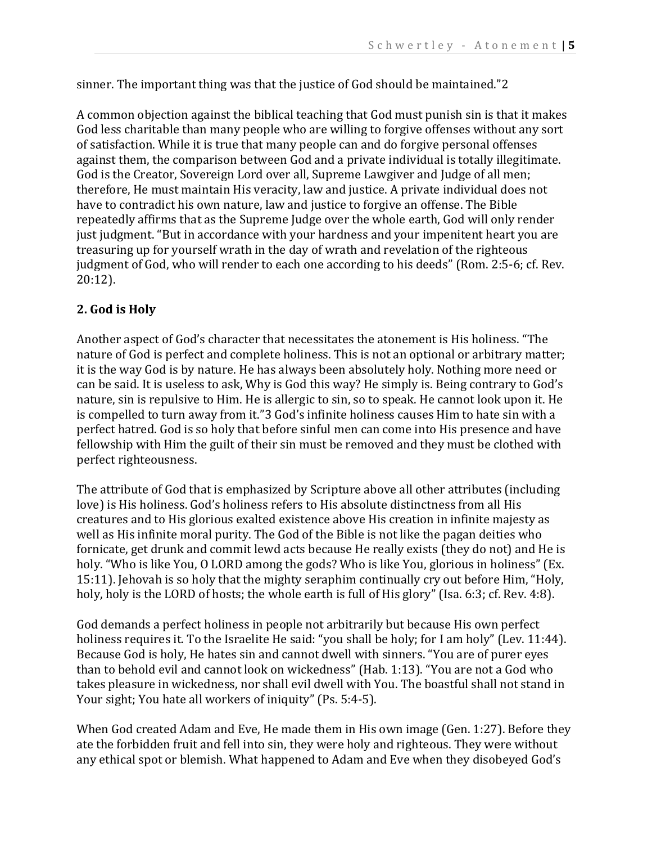sinner. The important thing was that the justice of God should be maintained."2

A common objection against the biblical teaching that God must punish sin is that it makes God less charitable than many people who are willing to forgive offenses without any sort of satisfaction. While it is true that many people can and do forgive personal offenses against them, the comparison between God and a private individual is totally illegitimate. God is the Creator, Sovereign Lord over all, Supreme Lawgiver and Judge of all men; therefore, He must maintain His veracity, law and justice. A private individual does not have to contradict his own nature, law and justice to forgive an offense. The Bible repeatedly affirms that as the Supreme Judge over the whole earth, God will only render just judgment. "But in accordance with your hardness and your impenitent heart you are treasuring up for yourself wrath in the day of wrath and revelation of the righteous judgment of God, who will render to each one according to his deeds" (Rom. 2:5-6; cf. Rev. 20:12).

# **2. God is Holy**

Another aspect of God's character that necessitates the atonement is His holiness. "The nature of God is perfect and complete holiness. This is not an optional or arbitrary matter; it is the way God is by nature. He has always been absolutely holy. Nothing more need or can be said. It is useless to ask, Why is God this way? He simply is. Being contrary to God's nature, sin is repulsive to Him. He is allergic to sin, so to speak. He cannot look upon it. He is compelled to turn away from it."3 God's infinite holiness causes Him to hate sin with a perfect hatred. God is so holy that before sinful men can come into His presence and have fellowship with Him the guilt of their sin must be removed and they must be clothed with perfect righteousness.

The attribute of God that is emphasized by Scripture above all other attributes (including love) is His holiness. God's holiness refers to His absolute distinctness from all His creatures and to His glorious exalted existence above His creation in infinite majesty as well as His infinite moral purity. The God of the Bible is not like the pagan deities who fornicate, get drunk and commit lewd acts because He really exists (they do not) and He is holy. "Who is like You, O LORD among the gods? Who is like You, glorious in holiness" (Ex. 15:11). Jehovah is so holy that the mighty seraphim continually cry out before Him, "Holy, holy, holy is the LORD of hosts; the whole earth is full of His glory" (Isa. 6:3; cf. Rev. 4:8).

God demands a perfect holiness in people not arbitrarily but because His own perfect holiness requires it. To the Israelite He said: "you shall be holy; for I am holy" (Lev. 11:44). Because God is holy, He hates sin and cannot dwell with sinners. "You are of purer eyes than to behold evil and cannot look on wickedness" (Hab. 1:13). "You are not a God who takes pleasure in wickedness, nor shall evil dwell with You. The boastful shall not stand in Your sight; You hate all workers of iniquity" (Ps. 5:4-5).

When God created Adam and Eve, He made them in His own image (Gen. 1:27). Before they ate the forbidden fruit and fell into sin, they were holy and righteous. They were without any ethical spot or blemish. What happened to Adam and Eve when they disobeyed God's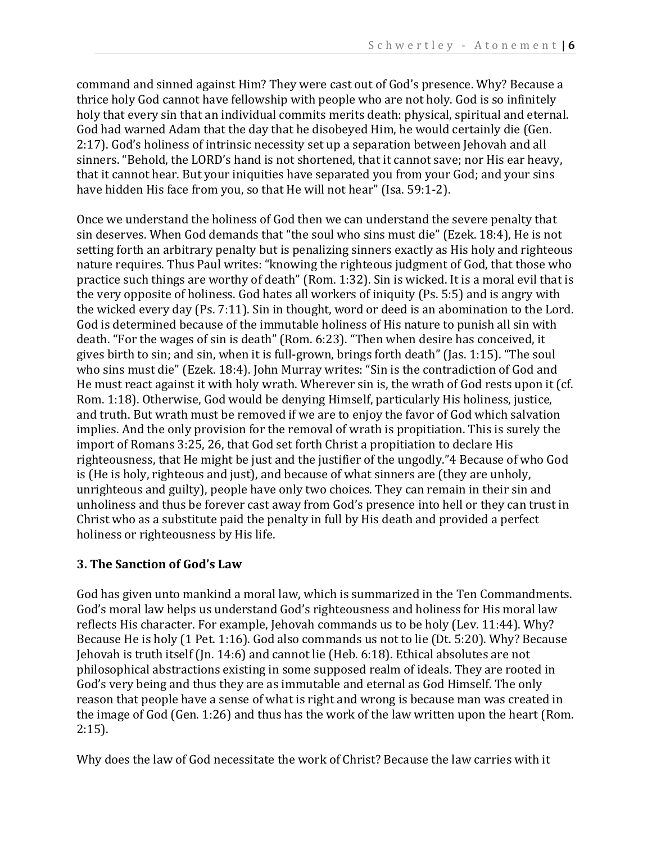command and sinned against Him? They were cast out of God's presence. Why? Because a thrice holy God cannot have fellowship with people who are not holy. God is so infinitely holy that every sin that an individual commits merits death: physical, spiritual and eternal. God had warned Adam that the day that he disobeyed Him, he would certainly die (Gen. 2:17). God's holiness of intrinsic necessity set up a separation between Jehovah and all sinners. "Behold, the LORD's hand is not shortened, that it cannot save; nor His ear heavy, that it cannot hear. But your iniquities have separated you from your God; and your sins have hidden His face from you, so that He will not hear" (Isa. 59:1-2).

Once we understand the holiness of God then we can understand the severe penalty that sin deserves. When God demands that "the soul who sins must die" (Ezek. 18:4), He is not setting forth an arbitrary penalty but is penalizing sinners exactly as His holy and righteous nature requires. Thus Paul writes: "knowing the righteous judgment of God, that those who practice such things are worthy of death" (Rom. 1:32). Sin is wicked. It is a moral evil that is the very opposite of holiness. God hates all workers of iniquity (Ps. 5:5) and is angry with the wicked every day (Ps. 7:11). Sin in thought, word or deed is an abomination to the Lord. God is determined because of the immutable holiness of His nature to punish all sin with death. "For the wages of sin is death" (Rom. 6:23). "Then when desire has conceived, it gives birth to sin; and sin, when it is full-grown, brings forth death" (Jas. 1:15). "The soul who sins must die" (Ezek. 18:4). John Murray writes: "Sin is the contradiction of God and He must react against it with holy wrath. Wherever sin is, the wrath of God rests upon it (cf. Rom. 1:18). Otherwise, God would be denying Himself, particularly His holiness, justice, and truth. But wrath must be removed if we are to enjoy the favor of God which salvation implies. And the only provision for the removal of wrath is propitiation. This is surely the import of Romans 3:25, 26, that God set forth Christ a propitiation to declare His righteousness, that He might be just and the justifier of the ungodly."4 Because of who God is (He is holy, righteous and just), and because of what sinners are (they are unholy, unrighteous and guilty), people have only two choices. They can remain in their sin and unholiness and thus be forever cast away from God's presence into hell or they can trust in Christ who as a substitute paid the penalty in full by His death and provided a perfect holiness or righteousness by His life.

# **3. The Sanction of God's Law**

God has given unto mankind a moral law, which is summarized in the Ten Commandments. God's moral law helps us understand God's righteousness and holiness for His moral law reflects His character. For example, Jehovah commands us to be holy (Lev. 11:44). Why? Because He is holy (1 Pet. 1:16). God also commands us not to lie (Dt. 5:20). Why? Because Jehovah is truth itself (Jn. 14:6) and cannot lie (Heb. 6:18). Ethical absolutes are not philosophical abstractions existing in some supposed realm of ideals. They are rooted in God's very being and thus they are as immutable and eternal as God Himself. The only reason that people have a sense of what is right and wrong is because man was created in the image of God (Gen. 1:26) and thus has the work of the law written upon the heart (Rom. 2:15).

Why does the law of God necessitate the work of Christ? Because the law carries with it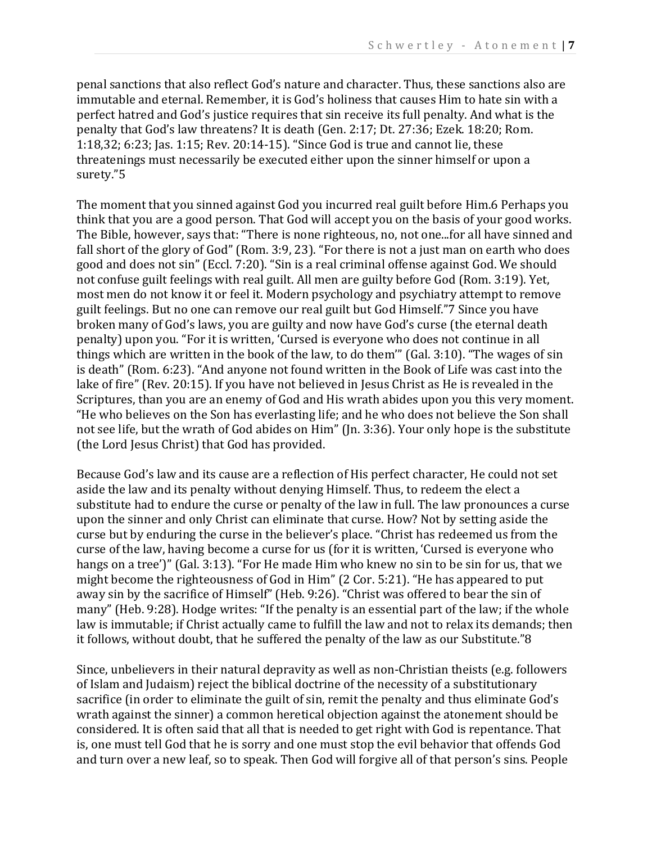penal sanctions that also reflect God's nature and character. Thus, these sanctions also are immutable and eternal. Remember, it is God's holiness that causes Him to hate sin with a perfect hatred and God's justice requires that sin receive its full penalty. And what is the penalty that God's law threatens? It is death (Gen. 2:17; Dt. 27:36; Ezek. 18:20; Rom. 1:18,32; 6:23; Jas. 1:15; Rev. 20:14-15). "Since God is true and cannot lie, these threatenings must necessarily be executed either upon the sinner himself or upon a surety."5

The moment that you sinned against God you incurred real guilt before Him.6 Perhaps you think that you are a good person. That God will accept you on the basis of your good works. The Bible, however, says that: "There is none righteous, no, not one...for all have sinned and fall short of the glory of God" (Rom. 3:9, 23). "For there is not a just man on earth who does good and does not sin" (Eccl. 7:20). "Sin is a real criminal offense against God. We should not confuse guilt feelings with real guilt. All men are guilty before God (Rom. 3:19). Yet, most men do not know it or feel it. Modern psychology and psychiatry attempt to remove guilt feelings. But no one can remove our real guilt but God Himself."7 Since you have broken many of God's laws, you are guilty and now have God's curse (the eternal death penalty) upon you. "For it is written, 'Cursed is everyone who does not continue in all things which are written in the book of the law, to do them'" (Gal. 3:10). "The wages of sin is death" (Rom. 6:23). "And anyone not found written in the Book of Life was cast into the lake of fire" (Rev. 20:15). If you have not believed in Jesus Christ as He is revealed in the Scriptures, than you are an enemy of God and His wrath abides upon you this very moment. "He who believes on the Son has everlasting life; and he who does not believe the Son shall not see life, but the wrath of God abides on Him" (Jn. 3:36). Your only hope is the substitute (the Lord Jesus Christ) that God has provided.

Because God's law and its cause are a reflection of His perfect character, He could not set aside the law and its penalty without denying Himself. Thus, to redeem the elect a substitute had to endure the curse or penalty of the law in full. The law pronounces a curse upon the sinner and only Christ can eliminate that curse. How? Not by setting aside the curse but by enduring the curse in the believer's place. "Christ has redeemed us from the curse of the law, having become a curse for us (for it is written, 'Cursed is everyone who hangs on a tree')" (Gal. 3:13). "For He made Him who knew no sin to be sin for us, that we might become the righteousness of God in Him" (2 Cor. 5:21). "He has appeared to put away sin by the sacrifice of Himself" (Heb. 9:26). "Christ was offered to bear the sin of many" (Heb. 9:28). Hodge writes: "If the penalty is an essential part of the law; if the whole law is immutable; if Christ actually came to fulfill the law and not to relax its demands; then it follows, without doubt, that he suffered the penalty of the law as our Substitute."8

Since, unbelievers in their natural depravity as well as non-Christian theists (e.g. followers of Islam and Judaism) reject the biblical doctrine of the necessity of a substitutionary sacrifice (in order to eliminate the guilt of sin, remit the penalty and thus eliminate God's wrath against the sinner) a common heretical objection against the atonement should be considered. It is often said that all that is needed to get right with God is repentance. That is, one must tell God that he is sorry and one must stop the evil behavior that offends God and turn over a new leaf, so to speak. Then God will forgive all of that person's sins. People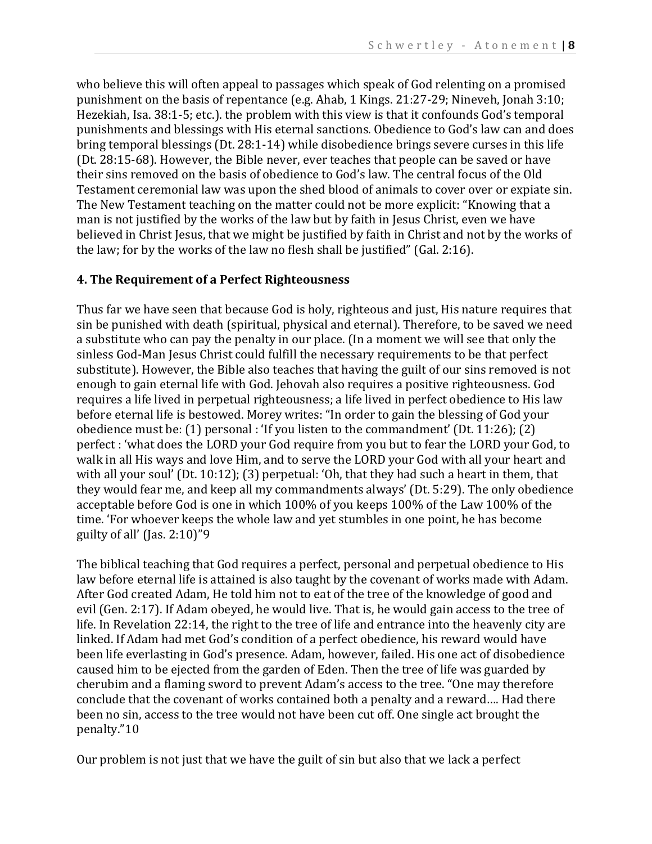who believe this will often appeal to passages which speak of God relenting on a promised punishment on the basis of repentance (e.g. Ahab, 1 Kings. 21:27-29; Nineveh, Jonah 3:10; Hezekiah, Isa. 38:1-5; etc.). the problem with this view is that it confounds God's temporal punishments and blessings with His eternal sanctions. Obedience to God's law can and does bring temporal blessings (Dt. 28:1-14) while disobedience brings severe curses in this life (Dt. 28:15-68). However, the Bible never, ever teaches that people can be saved or have their sins removed on the basis of obedience to God's law. The central focus of the Old Testament ceremonial law was upon the shed blood of animals to cover over or expiate sin. The New Testament teaching on the matter could not be more explicit: "Knowing that a man is not justified by the works of the law but by faith in Jesus Christ, even we have believed in Christ Jesus, that we might be justified by faith in Christ and not by the works of the law; for by the works of the law no flesh shall be justified" (Gal. 2:16).

#### **4. The Requirement of a Perfect Righteousness**

Thus far we have seen that because God is holy, righteous and just, His nature requires that sin be punished with death (spiritual, physical and eternal). Therefore, to be saved we need a substitute who can pay the penalty in our place. (In a moment we will see that only the sinless God-Man Jesus Christ could fulfill the necessary requirements to be that perfect substitute). However, the Bible also teaches that having the guilt of our sins removed is not enough to gain eternal life with God. Jehovah also requires a positive righteousness. God requires a life lived in perpetual righteousness; a life lived in perfect obedience to His law before eternal life is bestowed. Morey writes: "In order to gain the blessing of God your obedience must be: (1) personal : 'If you listen to the commandment' (Dt. 11:26); (2) perfect : 'what does the LORD your God require from you but to fear the LORD your God, to walk in all His ways and love Him, and to serve the LORD your God with all your heart and with all your soul' (Dt. 10:12); (3) perpetual: 'Oh, that they had such a heart in them, that they would fear me, and keep all my commandments always' (Dt. 5:29). The only obedience acceptable before God is one in which 100% of you keeps 100% of the Law 100% of the time. 'For whoever keeps the whole law and yet stumbles in one point, he has become guilty of all' (Jas. 2:10)"9

The biblical teaching that God requires a perfect, personal and perpetual obedience to His law before eternal life is attained is also taught by the covenant of works made with Adam. After God created Adam, He told him not to eat of the tree of the knowledge of good and evil (Gen. 2:17). If Adam obeyed, he would live. That is, he would gain access to the tree of life. In Revelation 22:14, the right to the tree of life and entrance into the heavenly city are linked. If Adam had met God's condition of a perfect obedience, his reward would have been life everlasting in God's presence. Adam, however, failed. His one act of disobedience caused him to be ejected from the garden of Eden. Then the tree of life was guarded by cherubim and a flaming sword to prevent Adam's access to the tree. "One may therefore conclude that the covenant of works contained both a penalty and a reward…. Had there been no sin, access to the tree would not have been cut off. One single act brought the penalty."10

Our problem is not just that we have the guilt of sin but also that we lack a perfect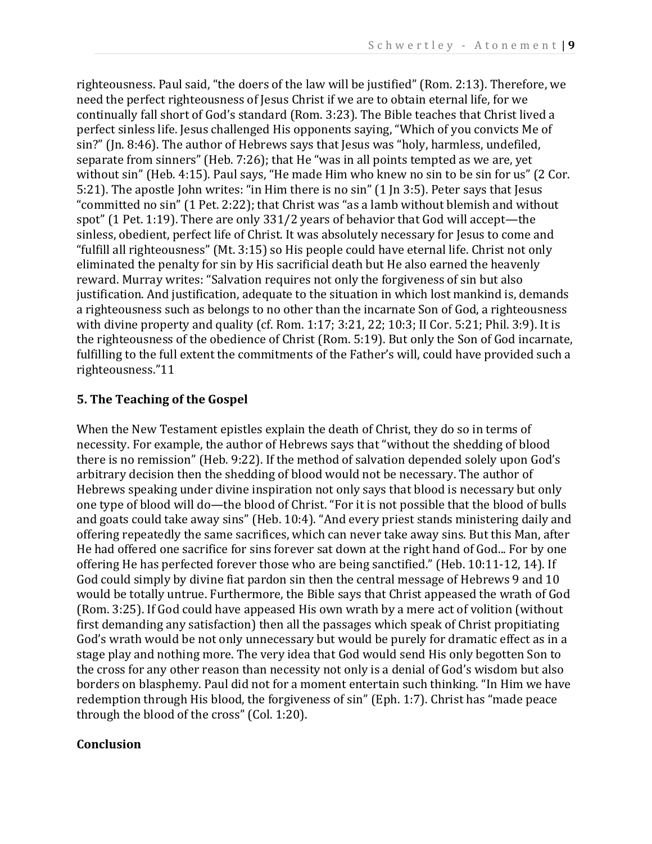righteousness. Paul said, "the doers of the law will be justified" (Rom. 2:13). Therefore, we need the perfect righteousness of Jesus Christ if we are to obtain eternal life, for we continually fall short of God's standard (Rom. 3:23). The Bible teaches that Christ lived a perfect sinless life. Jesus challenged His opponents saying, "Which of you convicts Me of sin?" (Jn. 8:46). The author of Hebrews says that Jesus was "holy, harmless, undefiled, separate from sinners" (Heb. 7:26); that He "was in all points tempted as we are, yet without sin" (Heb. 4:15). Paul says, "He made Him who knew no sin to be sin for us" (2 Cor. 5:21). The apostle John writes: "in Him there is no sin" (1 Jn 3:5). Peter says that Jesus "committed no sin" (1 Pet. 2:22); that Christ was "as a lamb without blemish and without spot" (1 Pet. 1:19). There are only 331/2 years of behavior that God will accept—the sinless, obedient, perfect life of Christ. It was absolutely necessary for Jesus to come and "fulfill all righteousness" (Mt. 3:15) so His people could have eternal life. Christ not only eliminated the penalty for sin by His sacrificial death but He also earned the heavenly reward. Murray writes: "Salvation requires not only the forgiveness of sin but also justification. And justification, adequate to the situation in which lost mankind is, demands a righteousness such as belongs to no other than the incarnate Son of God, a righteousness with divine property and quality (cf. Rom. 1:17; 3:21, 22; 10:3; II Cor. 5:21; Phil. 3:9). It is the righteousness of the obedience of Christ (Rom. 5:19). But only the Son of God incarnate, fulfilling to the full extent the commitments of the Father's will, could have provided such a righteousness."11

# **5. The Teaching of the Gospel**

When the New Testament epistles explain the death of Christ, they do so in terms of necessity. For example, the author of Hebrews says that "without the shedding of blood there is no remission" (Heb. 9:22). If the method of salvation depended solely upon God's arbitrary decision then the shedding of blood would not be necessary. The author of Hebrews speaking under divine inspiration not only says that blood is necessary but only one type of blood will do—the blood of Christ. "For it is not possible that the blood of bulls and goats could take away sins" (Heb. 10:4). "And every priest stands ministering daily and offering repeatedly the same sacrifices, which can never take away sins. But this Man, after He had offered one sacrifice for sins forever sat down at the right hand of God... For by one offering He has perfected forever those who are being sanctified." (Heb. 10:11-12, 14). If God could simply by divine fiat pardon sin then the central message of Hebrews 9 and 10 would be totally untrue. Furthermore, the Bible says that Christ appeased the wrath of God (Rom. 3:25). If God could have appeased His own wrath by a mere act of volition (without first demanding any satisfaction) then all the passages which speak of Christ propitiating God's wrath would be not only unnecessary but would be purely for dramatic effect as in a stage play and nothing more. The very idea that God would send His only begotten Son to the cross for any other reason than necessity not only is a denial of God's wisdom but also borders on blasphemy. Paul did not for a moment entertain such thinking. "In Him we have redemption through His blood, the forgiveness of sin" (Eph. 1:7). Christ has "made peace through the blood of the cross" (Col. 1:20).

#### **Conclusion**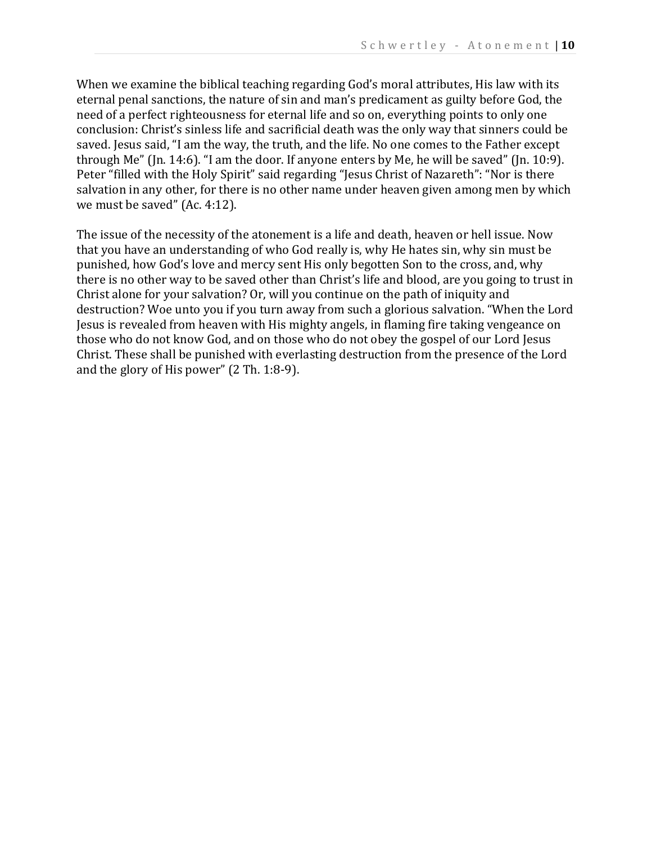When we examine the biblical teaching regarding God's moral attributes, His law with its eternal penal sanctions, the nature of sin and man's predicament as guilty before God, the need of a perfect righteousness for eternal life and so on, everything points to only one conclusion: Christ's sinless life and sacrificial death was the only way that sinners could be saved. Jesus said, "I am the way, the truth, and the life. No one comes to the Father except through Me" (Jn. 14:6). "I am the door. If anyone enters by Me, he will be saved" (Jn. 10:9). Peter "filled with the Holy Spirit" said regarding "Jesus Christ of Nazareth": "Nor is there salvation in any other, for there is no other name under heaven given among men by which we must be saved" (Ac. 4:12).

The issue of the necessity of the atonement is a life and death, heaven or hell issue. Now that you have an understanding of who God really is, why He hates sin, why sin must be punished, how God's love and mercy sent His only begotten Son to the cross, and, why there is no other way to be saved other than Christ's life and blood, are you going to trust in Christ alone for your salvation? Or, will you continue on the path of iniquity and destruction? Woe unto you if you turn away from such a glorious salvation. "When the Lord Jesus is revealed from heaven with His mighty angels, in flaming fire taking vengeance on those who do not know God, and on those who do not obey the gospel of our Lord Jesus Christ. These shall be punished with everlasting destruction from the presence of the Lord and the glory of His power" (2 Th. 1:8-9).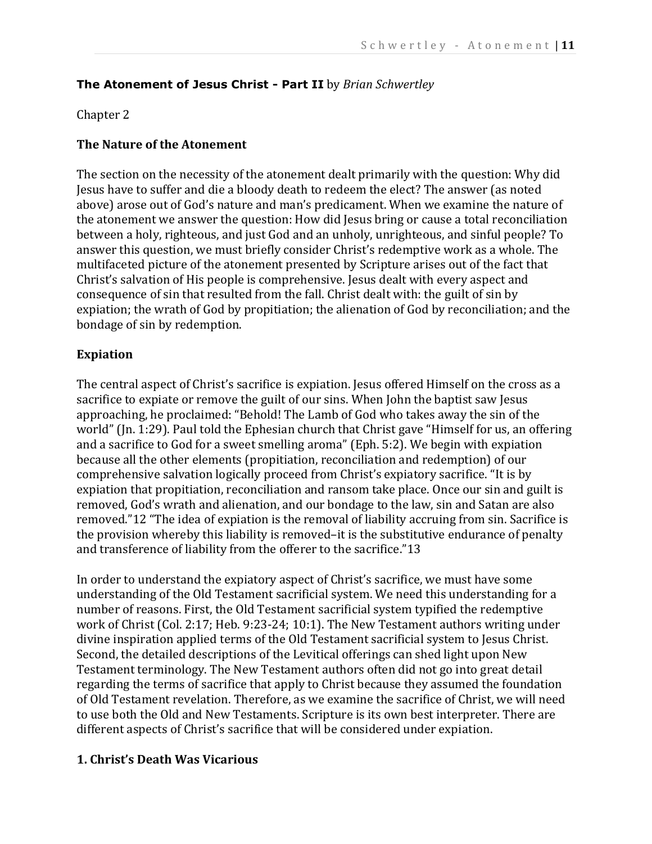### **The Atonement of Jesus Christ - Part II** by *Brian Schwertley*

#### Chapter 2

#### **The Nature of the Atonement**

The section on the necessity of the atonement dealt primarily with the question: Why did Jesus have to suffer and die a bloody death to redeem the elect? The answer (as noted above) arose out of God's nature and man's predicament. When we examine the nature of the atonement we answer the question: How did Jesus bring or cause a total reconciliation between a holy, righteous, and just God and an unholy, unrighteous, and sinful people? To answer this question, we must briefly consider Christ's redemptive work as a whole. The multifaceted picture of the atonement presented by Scripture arises out of the fact that Christ's salvation of His people is comprehensive. Jesus dealt with every aspect and consequence of sin that resulted from the fall. Christ dealt with: the guilt of sin by expiation; the wrath of God by propitiation; the alienation of God by reconciliation; and the bondage of sin by redemption.

#### **Expiation**

The central aspect of Christ's sacrifice is expiation. Jesus offered Himself on the cross as a sacrifice to expiate or remove the guilt of our sins. When John the baptist saw Jesus approaching, he proclaimed: "Behold! The Lamb of God who takes away the sin of the world" (Jn. 1:29). Paul told the Ephesian church that Christ gave "Himself for us, an offering and a sacrifice to God for a sweet smelling aroma" (Eph. 5:2). We begin with expiation because all the other elements (propitiation, reconciliation and redemption) of our comprehensive salvation logically proceed from Christ's expiatory sacrifice. "It is by expiation that propitiation, reconciliation and ransom take place. Once our sin and guilt is removed, God's wrath and alienation, and our bondage to the law, sin and Satan are also removed."12 "The idea of expiation is the removal of liability accruing from sin. Sacrifice is the provision whereby this liability is removed–it is the substitutive endurance of penalty and transference of liability from the offerer to the sacrifice."13

In order to understand the expiatory aspect of Christ's sacrifice, we must have some understanding of the Old Testament sacrificial system. We need this understanding for a number of reasons. First, the Old Testament sacrificial system typified the redemptive work of Christ (Col. 2:17; Heb. 9:23-24; 10:1). The New Testament authors writing under divine inspiration applied terms of the Old Testament sacrificial system to Jesus Christ. Second, the detailed descriptions of the Levitical offerings can shed light upon New Testament terminology. The New Testament authors often did not go into great detail regarding the terms of sacrifice that apply to Christ because they assumed the foundation of Old Testament revelation. Therefore, as we examine the sacrifice of Christ, we will need to use both the Old and New Testaments. Scripture is its own best interpreter. There are different aspects of Christ's sacrifice that will be considered under expiation.

#### **1. Christ's Death Was Vicarious**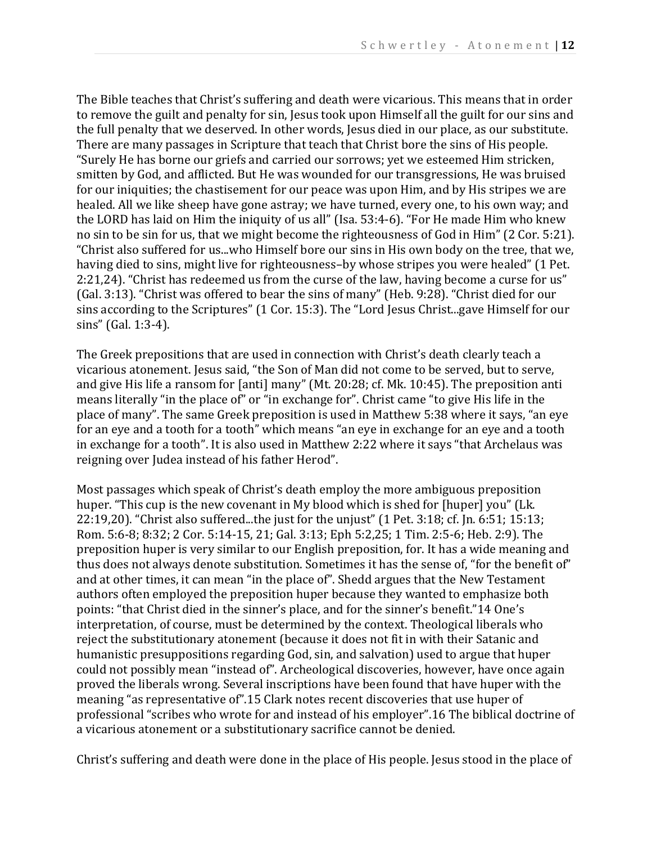The Bible teaches that Christ's suffering and death were vicarious. This means that in order to remove the guilt and penalty for sin, Jesus took upon Himself all the guilt for our sins and the full penalty that we deserved. In other words, Jesus died in our place, as our substitute. There are many passages in Scripture that teach that Christ bore the sins of His people. "Surely He has borne our griefs and carried our sorrows; yet we esteemed Him stricken, smitten by God, and afflicted. But He was wounded for our transgressions, He was bruised for our iniquities; the chastisement for our peace was upon Him, and by His stripes we are healed. All we like sheep have gone astray; we have turned, every one, to his own way; and the LORD has laid on Him the iniquity of us all" (Isa. 53:4-6). "For He made Him who knew no sin to be sin for us, that we might become the righteousness of God in Him" (2 Cor. 5:21). "Christ also suffered for us...who Himself bore our sins in His own body on the tree, that we, having died to sins, might live for righteousness–by whose stripes you were healed" (1 Pet. 2:21,24). "Christ has redeemed us from the curse of the law, having become a curse for us" (Gal. 3:13). "Christ was offered to bear the sins of many" (Heb. 9:28). "Christ died for our sins according to the Scriptures" (1 Cor. 15:3). The "Lord Jesus Christ...gave Himself for our sins" (Gal. 1:3-4).

The Greek prepositions that are used in connection with Christ's death clearly teach a vicarious atonement. Jesus said, "the Son of Man did not come to be served, but to serve, and give His life a ransom for [anti] many" (Mt. 20:28; cf. Mk. 10:45). The preposition anti means literally "in the place of" or "in exchange for". Christ came "to give His life in the place of many". The same Greek preposition is used in Matthew 5:38 where it says, "an eye for an eye and a tooth for a tooth" which means "an eye in exchange for an eye and a tooth in exchange for a tooth". It is also used in Matthew 2:22 where it says "that Archelaus was reigning over Judea instead of his father Herod".

Most passages which speak of Christ's death employ the more ambiguous preposition huper. "This cup is the new covenant in My blood which is shed for [huper] you" (Lk. 22:19,20). "Christ also suffered...the just for the unjust" (1 Pet. 3:18; cf. Jn. 6:51; 15:13; Rom. 5:6-8; 8:32; 2 Cor. 5:14-15, 21; Gal. 3:13; Eph 5:2,25; 1 Tim. 2:5-6; Heb. 2:9). The preposition huper is very similar to our English preposition, for. It has a wide meaning and thus does not always denote substitution. Sometimes it has the sense of, "for the benefit of" and at other times, it can mean "in the place of". Shedd argues that the New Testament authors often employed the preposition huper because they wanted to emphasize both points: "that Christ died in the sinner's place, and for the sinner's benefit."14 One's interpretation, of course, must be determined by the context. Theological liberals who reject the substitutionary atonement (because it does not fit in with their Satanic and humanistic presuppositions regarding God, sin, and salvation) used to argue that huper could not possibly mean "instead of". Archeological discoveries, however, have once again proved the liberals wrong. Several inscriptions have been found that have huper with the meaning "as representative of".15 Clark notes recent discoveries that use huper of professional "scribes who wrote for and instead of his employer".16 The biblical doctrine of a vicarious atonement or a substitutionary sacrifice cannot be denied.

Christ's suffering and death were done in the place of His people. Jesus stood in the place of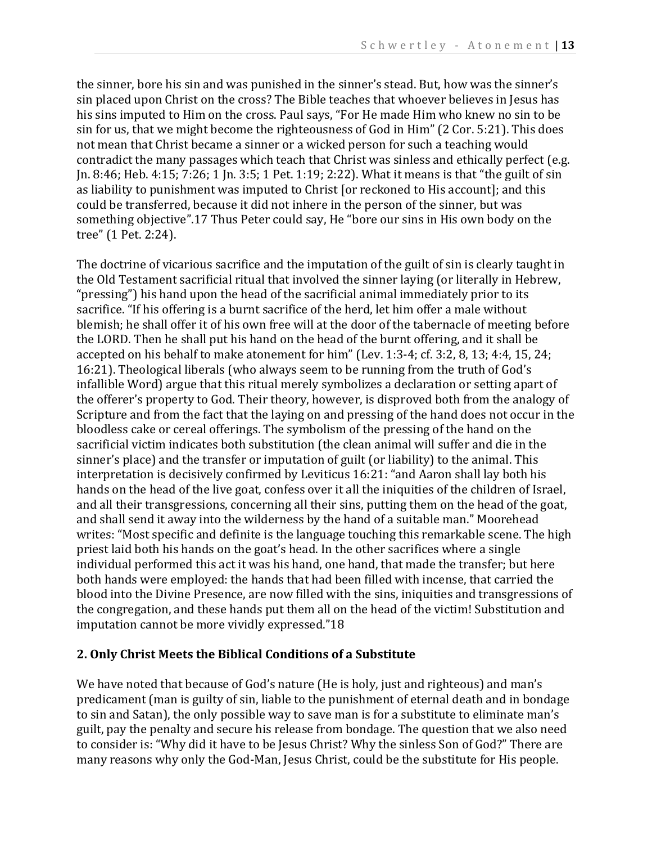the sinner, bore his sin and was punished in the sinner's stead. But, how was the sinner's sin placed upon Christ on the cross? The Bible teaches that whoever believes in Jesus has his sins imputed to Him on the cross. Paul says, "For He made Him who knew no sin to be sin for us, that we might become the righteousness of God in Him" (2 Cor. 5:21). This does not mean that Christ became a sinner or a wicked person for such a teaching would contradict the many passages which teach that Christ was sinless and ethically perfect (e.g. Jn. 8:46; Heb. 4:15; 7:26; 1 Jn. 3:5; 1 Pet. 1:19; 2:22). What it means is that "the guilt of sin as liability to punishment was imputed to Christ [or reckoned to His account]; and this could be transferred, because it did not inhere in the person of the sinner, but was something objective".17 Thus Peter could say, He "bore our sins in His own body on the tree" (1 Pet. 2:24).

The doctrine of vicarious sacrifice and the imputation of the guilt of sin is clearly taught in the Old Testament sacrificial ritual that involved the sinner laying (or literally in Hebrew, "pressing") his hand upon the head of the sacrificial animal immediately prior to its sacrifice. "If his offering is a burnt sacrifice of the herd, let him offer a male without blemish; he shall offer it of his own free will at the door of the tabernacle of meeting before the LORD. Then he shall put his hand on the head of the burnt offering, and it shall be accepted on his behalf to make atonement for him" (Lev. 1:3-4; cf. 3:2, 8, 13; 4:4, 15, 24; 16:21). Theological liberals (who always seem to be running from the truth of God's infallible Word) argue that this ritual merely symbolizes a declaration or setting apart of the offerer's property to God. Their theory, however, is disproved both from the analogy of Scripture and from the fact that the laying on and pressing of the hand does not occur in the bloodless cake or cereal offerings. The symbolism of the pressing of the hand on the sacrificial victim indicates both substitution (the clean animal will suffer and die in the sinner's place) and the transfer or imputation of guilt (or liability) to the animal. This interpretation is decisively confirmed by Leviticus 16:21: "and Aaron shall lay both his hands on the head of the live goat, confess over it all the iniquities of the children of Israel, and all their transgressions, concerning all their sins, putting them on the head of the goat, and shall send it away into the wilderness by the hand of a suitable man." Moorehead writes: "Most specific and definite is the language touching this remarkable scene. The high priest laid both his hands on the goat's head. In the other sacrifices where a single individual performed this act it was his hand, one hand, that made the transfer; but here both hands were employed: the hands that had been filled with incense, that carried the blood into the Divine Presence, are now filled with the sins, iniquities and transgressions of the congregation, and these hands put them all on the head of the victim! Substitution and imputation cannot be more vividly expressed."18

#### **2. Only Christ Meets the Biblical Conditions of a Substitute**

We have noted that because of God's nature (He is holy, just and righteous) and man's predicament (man is guilty of sin, liable to the punishment of eternal death and in bondage to sin and Satan), the only possible way to save man is for a substitute to eliminate man's guilt, pay the penalty and secure his release from bondage. The question that we also need to consider is: "Why did it have to be Jesus Christ? Why the sinless Son of God?" There are many reasons why only the God-Man, Jesus Christ, could be the substitute for His people.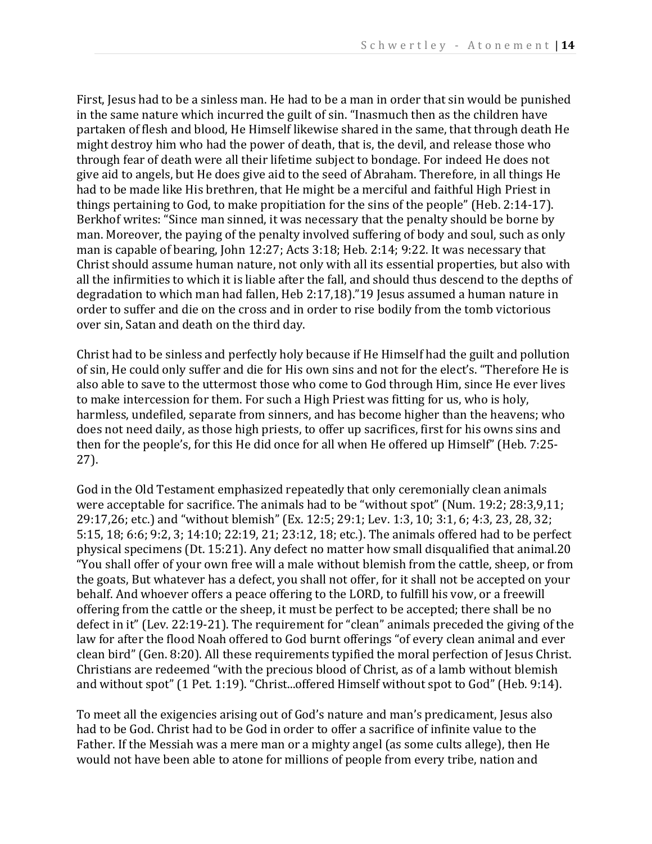First, Jesus had to be a sinless man. He had to be a man in order that sin would be punished in the same nature which incurred the guilt of sin. "Inasmuch then as the children have partaken of flesh and blood, He Himself likewise shared in the same, that through death He might destroy him who had the power of death, that is, the devil, and release those who through fear of death were all their lifetime subject to bondage. For indeed He does not give aid to angels, but He does give aid to the seed of Abraham. Therefore, in all things He had to be made like His brethren, that He might be a merciful and faithful High Priest in things pertaining to God, to make propitiation for the sins of the people" (Heb. 2:14-17). Berkhof writes: "Since man sinned, it was necessary that the penalty should be borne by man. Moreover, the paying of the penalty involved suffering of body and soul, such as only man is capable of bearing, John 12:27; Acts 3:18; Heb. 2:14; 9:22. It was necessary that Christ should assume human nature, not only with all its essential properties, but also with all the infirmities to which it is liable after the fall, and should thus descend to the depths of degradation to which man had fallen, Heb 2:17,18)."19 Jesus assumed a human nature in order to suffer and die on the cross and in order to rise bodily from the tomb victorious over sin, Satan and death on the third day.

Christ had to be sinless and perfectly holy because if He Himself had the guilt and pollution of sin, He could only suffer and die for His own sins and not for the elect's. "Therefore He is also able to save to the uttermost those who come to God through Him, since He ever lives to make intercession for them. For such a High Priest was fitting for us, who is holy, harmless, undefiled, separate from sinners, and has become higher than the heavens; who does not need daily, as those high priests, to offer up sacrifices, first for his owns sins and then for the people's, for this He did once for all when He offered up Himself" (Heb. 7:25- 27).

God in the Old Testament emphasized repeatedly that only ceremonially clean animals were acceptable for sacrifice. The animals had to be "without spot" (Num. 19:2; 28:3,9,11; 29:17,26; etc.) and "without blemish" (Ex. 12:5; 29:1; Lev. 1:3, 10; 3:1, 6; 4:3, 23, 28, 32; 5:15, 18; 6:6; 9:2, 3; 14:10; 22:19, 21; 23:12, 18; etc.). The animals offered had to be perfect physical specimens (Dt. 15:21). Any defect no matter how small disqualified that animal.20 "You shall offer of your own free will a male without blemish from the cattle, sheep, or from the goats, But whatever has a defect, you shall not offer, for it shall not be accepted on your behalf. And whoever offers a peace offering to the LORD, to fulfill his vow, or a freewill offering from the cattle or the sheep, it must be perfect to be accepted; there shall be no defect in it" (Lev. 22:19-21). The requirement for "clean" animals preceded the giving of the law for after the flood Noah offered to God burnt offerings "of every clean animal and ever clean bird" (Gen. 8:20). All these requirements typified the moral perfection of Jesus Christ. Christians are redeemed "with the precious blood of Christ, as of a lamb without blemish and without spot" (1 Pet. 1:19). "Christ...offered Himself without spot to God" (Heb. 9:14).

To meet all the exigencies arising out of God's nature and man's predicament, Jesus also had to be God. Christ had to be God in order to offer a sacrifice of infinite value to the Father. If the Messiah was a mere man or a mighty angel (as some cults allege), then He would not have been able to atone for millions of people from every tribe, nation and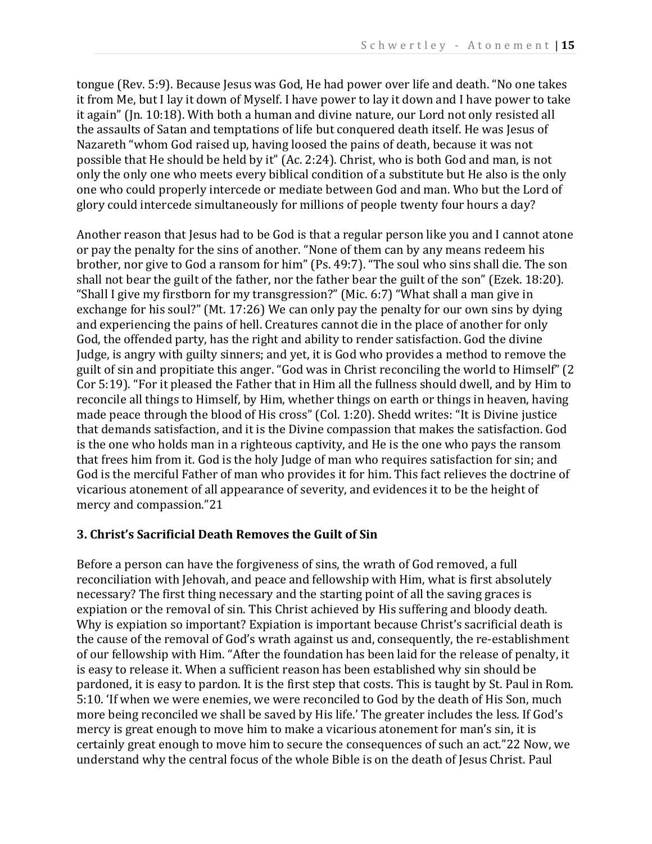tongue (Rev. 5:9). Because Jesus was God, He had power over life and death. "No one takes it from Me, but I lay it down of Myself. I have power to lay it down and I have power to take it again" (Jn. 10:18). With both a human and divine nature, our Lord not only resisted all the assaults of Satan and temptations of life but conquered death itself. He was Jesus of Nazareth "whom God raised up, having loosed the pains of death, because it was not possible that He should be held by it" (Ac. 2:24). Christ, who is both God and man, is not only the only one who meets every biblical condition of a substitute but He also is the only one who could properly intercede or mediate between God and man. Who but the Lord of glory could intercede simultaneously for millions of people twenty four hours a day?

Another reason that Jesus had to be God is that a regular person like you and I cannot atone or pay the penalty for the sins of another. "None of them can by any means redeem his brother, nor give to God a ransom for him" (Ps. 49:7). "The soul who sins shall die. The son shall not bear the guilt of the father, nor the father bear the guilt of the son" (Ezek. 18:20). "Shall I give my firstborn for my transgression?" (Mic. 6:7) "What shall a man give in exchange for his soul?" (Mt. 17:26) We can only pay the penalty for our own sins by dying and experiencing the pains of hell. Creatures cannot die in the place of another for only God, the offended party, has the right and ability to render satisfaction. God the divine Judge, is angry with guilty sinners; and yet, it is God who provides a method to remove the guilt of sin and propitiate this anger. "God was in Christ reconciling the world to Himself" (2 Cor 5:19). "For it pleased the Father that in Him all the fullness should dwell, and by Him to reconcile all things to Himself, by Him, whether things on earth or things in heaven, having made peace through the blood of His cross" (Col. 1:20). Shedd writes: "It is Divine justice that demands satisfaction, and it is the Divine compassion that makes the satisfaction. God is the one who holds man in a righteous captivity, and He is the one who pays the ransom that frees him from it. God is the holy Judge of man who requires satisfaction for sin; and God is the merciful Father of man who provides it for him. This fact relieves the doctrine of vicarious atonement of all appearance of severity, and evidences it to be the height of mercy and compassion."21

#### **3. Christ's Sacrificial Death Removes the Guilt of Sin**

Before a person can have the forgiveness of sins, the wrath of God removed, a full reconciliation with Jehovah, and peace and fellowship with Him, what is first absolutely necessary? The first thing necessary and the starting point of all the saving graces is expiation or the removal of sin. This Christ achieved by His suffering and bloody death. Why is expiation so important? Expiation is important because Christ's sacrificial death is the cause of the removal of God's wrath against us and, consequently, the re-establishment of our fellowship with Him. "After the foundation has been laid for the release of penalty, it is easy to release it. When a sufficient reason has been established why sin should be pardoned, it is easy to pardon. It is the first step that costs. This is taught by St. Paul in Rom. 5:10. 'If when we were enemies, we were reconciled to God by the death of His Son, much more being reconciled we shall be saved by His life.' The greater includes the less. If God's mercy is great enough to move him to make a vicarious atonement for man's sin, it is certainly great enough to move him to secure the consequences of such an act."22 Now, we understand why the central focus of the whole Bible is on the death of Jesus Christ. Paul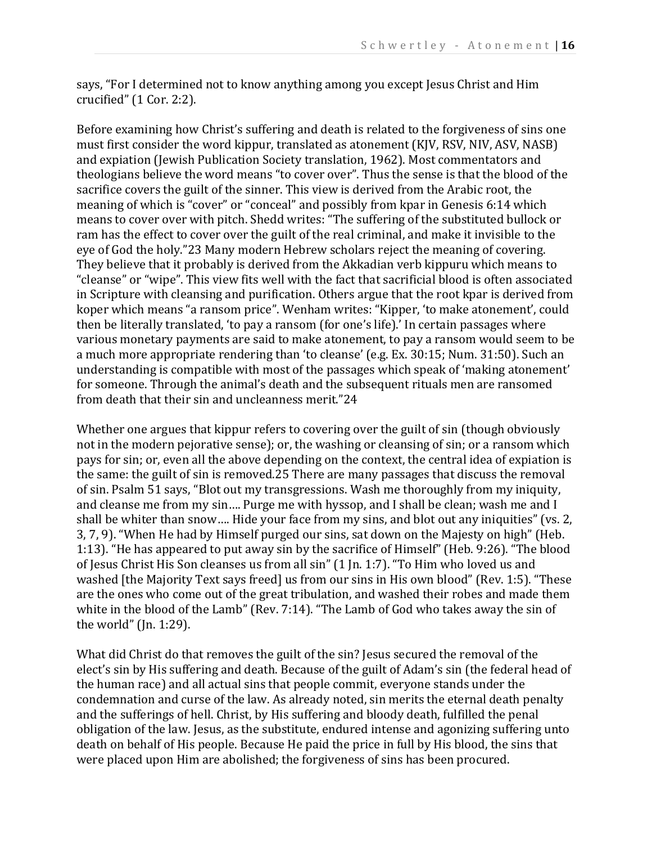says, "For I determined not to know anything among you except Jesus Christ and Him crucified" (1 Cor. 2:2).

Before examining how Christ's suffering and death is related to the forgiveness of sins one must first consider the word kippur, translated as atonement (KJV, RSV, NIV, ASV, NASB) and expiation (Jewish Publication Society translation, 1962). Most commentators and theologians believe the word means "to cover over". Thus the sense is that the blood of the sacrifice covers the guilt of the sinner. This view is derived from the Arabic root, the meaning of which is "cover" or "conceal" and possibly from kpar in Genesis 6:14 which means to cover over with pitch. Shedd writes: "The suffering of the substituted bullock or ram has the effect to cover over the guilt of the real criminal, and make it invisible to the eye of God the holy."23 Many modern Hebrew scholars reject the meaning of covering. They believe that it probably is derived from the Akkadian verb kippuru which means to "cleanse" or "wipe". This view fits well with the fact that sacrificial blood is often associated in Scripture with cleansing and purification. Others argue that the root kpar is derived from koper which means "a ransom price". Wenham writes: "Kipper, 'to make atonement', could then be literally translated, 'to pay a ransom (for one's life).' In certain passages where various monetary payments are said to make atonement, to pay a ransom would seem to be a much more appropriate rendering than 'to cleanse' (e.g. Ex. 30:15; Num. 31:50). Such an understanding is compatible with most of the passages which speak of 'making atonement' for someone. Through the animal's death and the subsequent rituals men are ransomed from death that their sin and uncleanness merit."24

Whether one argues that kippur refers to covering over the guilt of sin (though obviously not in the modern pejorative sense); or, the washing or cleansing of sin; or a ransom which pays for sin; or, even all the above depending on the context, the central idea of expiation is the same: the guilt of sin is removed.25 There are many passages that discuss the removal of sin. Psalm 51 says, "Blot out my transgressions. Wash me thoroughly from my iniquity, and cleanse me from my sin…. Purge me with hyssop, and I shall be clean; wash me and I shall be whiter than snow…. Hide your face from my sins, and blot out any iniquities" (vs. 2, 3, 7, 9). "When He had by Himself purged our sins, sat down on the Majesty on high" (Heb. 1:13). "He has appeared to put away sin by the sacrifice of Himself" (Heb. 9:26). "The blood of Jesus Christ His Son cleanses us from all sin" (1 Jn. 1:7). "To Him who loved us and washed [the Majority Text says freed] us from our sins in His own blood" (Rev. 1:5). "These are the ones who come out of the great tribulation, and washed their robes and made them white in the blood of the Lamb" (Rev. 7:14). "The Lamb of God who takes away the sin of the world" (Jn. 1:29).

What did Christ do that removes the guilt of the sin? Jesus secured the removal of the elect's sin by His suffering and death. Because of the guilt of Adam's sin (the federal head of the human race) and all actual sins that people commit, everyone stands under the condemnation and curse of the law. As already noted, sin merits the eternal death penalty and the sufferings of hell. Christ, by His suffering and bloody death, fulfilled the penal obligation of the law. Jesus, as the substitute, endured intense and agonizing suffering unto death on behalf of His people. Because He paid the price in full by His blood, the sins that were placed upon Him are abolished; the forgiveness of sins has been procured.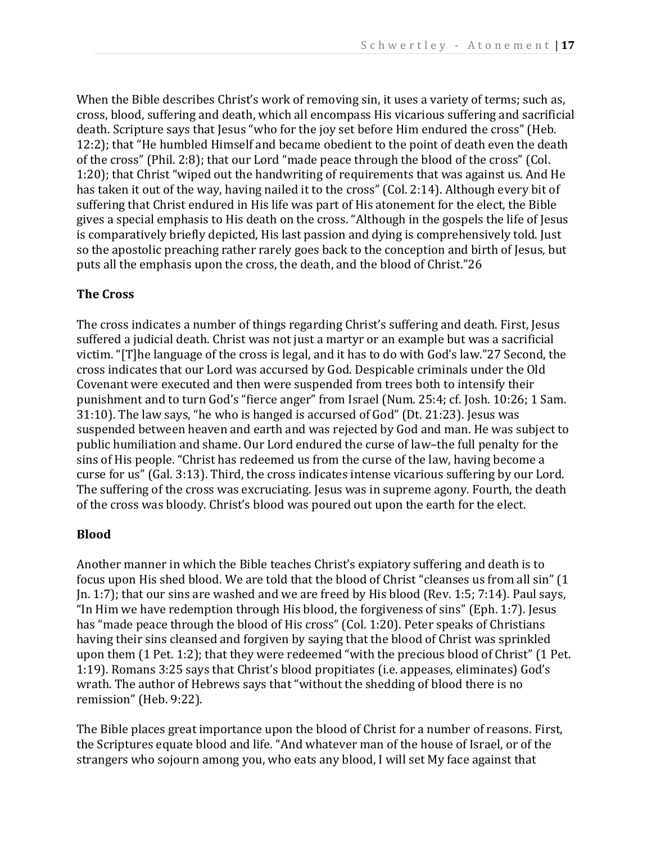When the Bible describes Christ's work of removing sin, it uses a variety of terms; such as, cross, blood, suffering and death, which all encompass His vicarious suffering and sacrificial death. Scripture says that Jesus "who for the joy set before Him endured the cross" (Heb. 12:2); that "He humbled Himself and became obedient to the point of death even the death of the cross" (Phil. 2:8); that our Lord "made peace through the blood of the cross" (Col. 1:20); that Christ "wiped out the handwriting of requirements that was against us. And He has taken it out of the way, having nailed it to the cross" (Col. 2:14). Although every bit of suffering that Christ endured in His life was part of His atonement for the elect, the Bible gives a special emphasis to His death on the cross. "Although in the gospels the life of Jesus is comparatively briefly depicted, His last passion and dying is comprehensively told. Just so the apostolic preaching rather rarely goes back to the conception and birth of Jesus, but puts all the emphasis upon the cross, the death, and the blood of Christ."26

# **The Cross**

The cross indicates a number of things regarding Christ's suffering and death. First, Jesus suffered a judicial death. Christ was not just a martyr or an example but was a sacrificial victim. "[T]he language of the cross is legal, and it has to do with God's law."27 Second, the cross indicates that our Lord was accursed by God. Despicable criminals under the Old Covenant were executed and then were suspended from trees both to intensify their punishment and to turn God's "fierce anger" from Israel (Num. 25:4; cf. Josh. 10:26; 1 Sam. 31:10). The law says, "he who is hanged is accursed of God" (Dt. 21:23). Jesus was suspended between heaven and earth and was rejected by God and man. He was subject to public humiliation and shame. Our Lord endured the curse of law–the full penalty for the sins of His people. "Christ has redeemed us from the curse of the law, having become a curse for us" (Gal. 3:13). Third, the cross indicates intense vicarious suffering by our Lord. The suffering of the cross was excruciating. Jesus was in supreme agony. Fourth, the death of the cross was bloody. Christ's blood was poured out upon the earth for the elect.

#### **Blood**

Another manner in which the Bible teaches Christ's expiatory suffering and death is to focus upon His shed blood. We are told that the blood of Christ "cleanses us from all sin" (1 Jn. 1:7); that our sins are washed and we are freed by His blood (Rev. 1:5; 7:14). Paul says, "In Him we have redemption through His blood, the forgiveness of sins" (Eph. 1:7). Jesus has "made peace through the blood of His cross" (Col. 1:20). Peter speaks of Christians having their sins cleansed and forgiven by saying that the blood of Christ was sprinkled upon them (1 Pet. 1:2); that they were redeemed "with the precious blood of Christ" (1 Pet. 1:19). Romans 3:25 says that Christ's blood propitiates (i.e. appeases, eliminates) God's wrath. The author of Hebrews says that "without the shedding of blood there is no remission" (Heb. 9:22).

The Bible places great importance upon the blood of Christ for a number of reasons. First, the Scriptures equate blood and life. "And whatever man of the house of Israel, or of the strangers who sojourn among you, who eats any blood, I will set My face against that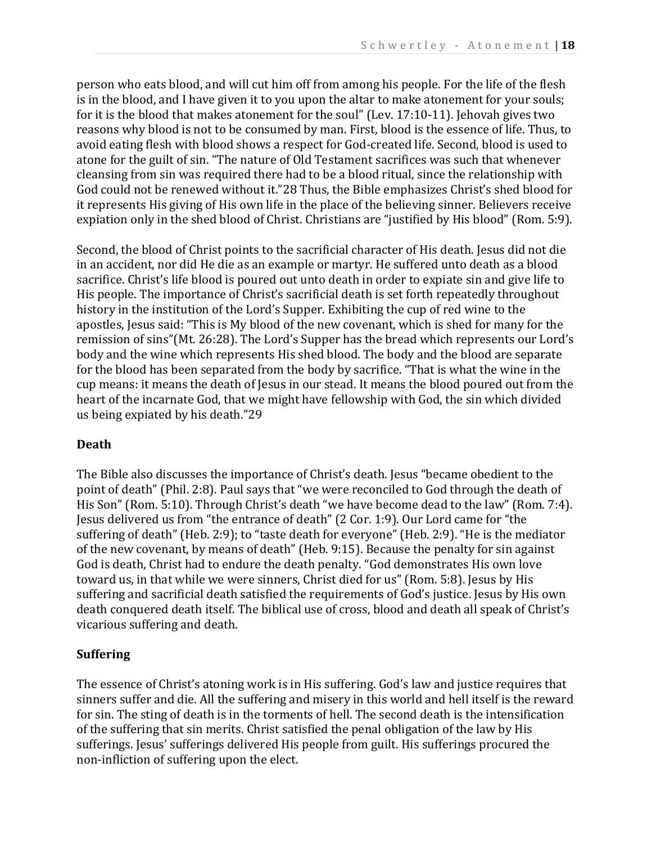person who eats blood, and will cut him off from among his people. For the life of the flesh is in the blood, and I have given it to you upon the altar to make atonement for your souls; for it is the blood that makes atonement for the soul" (Lev. 17:10-11). Jehovah gives two reasons why blood is not to be consumed by man. First, blood is the essence of life. Thus, to avoid eating flesh with blood shows a respect for God-created life. Second, blood is used to atone for the guilt of sin. "The nature of Old Testament sacrifices was such that whenever cleansing from sin was required there had to be a blood ritual, since the relationship with God could not be renewed without it."28 Thus, the Bible emphasizes Christ's shed blood for it represents His giving of His own life in the place of the believing sinner. Believers receive expiation only in the shed blood of Christ. Christians are "justified by His blood" (Rom. 5:9).

Second, the blood of Christ points to the sacrificial character of His death. Jesus did not die in an accident, nor did He die as an example or martyr. He suffered unto death as a blood sacrifice. Christ's life blood is poured out unto death in order to expiate sin and give life to His people. The importance of Christ's sacrificial death is set forth repeatedly throughout history in the institution of the Lord's Supper. Exhibiting the cup of red wine to the apostles, Jesus said: "This is My blood of the new covenant, which is shed for many for the remission of sins"(Mt. 26:28). The Lord's Supper has the bread which represents our Lord's body and the wine which represents His shed blood. The body and the blood are separate for the blood has been separated from the body by sacrifice. "That is what the wine in the cup means: it means the death of Jesus in our stead. It means the blood poured out from the heart of the incarnate God, that we might have fellowship with God, the sin which divided us being expiated by his death."29

#### **Death**

The Bible also discusses the importance of Christ's death. Jesus "became obedient to the point of death" (Phil. 2:8). Paul says that "we were reconciled to God through the death of His Son" (Rom. 5:10). Through Christ's death "we have become dead to the law" (Rom. 7:4). Jesus delivered us from "the entrance of death" (2 Cor. 1:9). Our Lord came for "the suffering of death" (Heb. 2:9); to "taste death for everyone" (Heb. 2:9). "He is the mediator of the new covenant, by means of death" (Heb. 9:15). Because the penalty for sin against God is death, Christ had to endure the death penalty. "God demonstrates His own love toward us, in that while we were sinners, Christ died for us" (Rom. 5:8). Jesus by His suffering and sacrificial death satisfied the requirements of God's justice. Jesus by His own death conquered death itself. The biblical use of cross, blood and death all speak of Christ's vicarious suffering and death.

# **Suffering**

The essence of Christ's atoning work is in His suffering. God's law and justice requires that sinners suffer and die. All the suffering and misery in this world and hell itself is the reward for sin. The sting of death is in the torments of hell. The second death is the intensification of the suffering that sin merits. Christ satisfied the penal obligation of the law by His sufferings. Jesus' sufferings delivered His people from guilt. His sufferings procured the non-infliction of suffering upon the elect.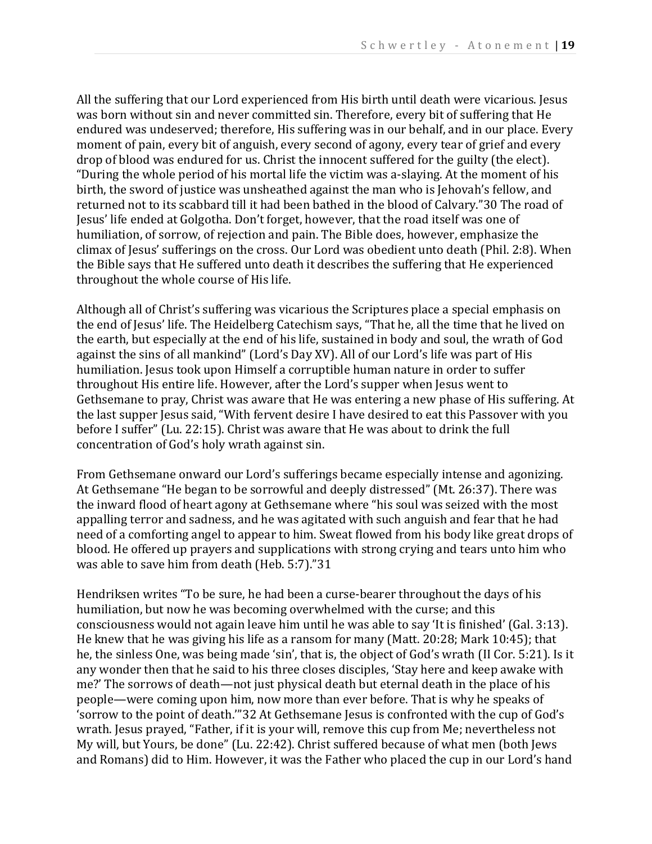All the suffering that our Lord experienced from His birth until death were vicarious. Jesus was born without sin and never committed sin. Therefore, every bit of suffering that He endured was undeserved; therefore, His suffering was in our behalf, and in our place. Every moment of pain, every bit of anguish, every second of agony, every tear of grief and every drop of blood was endured for us. Christ the innocent suffered for the guilty (the elect). "During the whole period of his mortal life the victim was a-slaying. At the moment of his birth, the sword of justice was unsheathed against the man who is Jehovah's fellow, and returned not to its scabbard till it had been bathed in the blood of Calvary."30 The road of Jesus' life ended at Golgotha. Don't forget, however, that the road itself was one of humiliation, of sorrow, of rejection and pain. The Bible does, however, emphasize the climax of Jesus' sufferings on the cross. Our Lord was obedient unto death (Phil. 2:8). When the Bible says that He suffered unto death it describes the suffering that He experienced throughout the whole course of His life.

Although all of Christ's suffering was vicarious the Scriptures place a special emphasis on the end of Jesus' life. The Heidelberg Catechism says, "That he, all the time that he lived on the earth, but especially at the end of his life, sustained in body and soul, the wrath of God against the sins of all mankind" (Lord's Day XV). All of our Lord's life was part of His humiliation. Jesus took upon Himself a corruptible human nature in order to suffer throughout His entire life. However, after the Lord's supper when Jesus went to Gethsemane to pray, Christ was aware that He was entering a new phase of His suffering. At the last supper Jesus said, "With fervent desire I have desired to eat this Passover with you before I suffer" (Lu. 22:15). Christ was aware that He was about to drink the full concentration of God's holy wrath against sin.

From Gethsemane onward our Lord's sufferings became especially intense and agonizing. At Gethsemane "He began to be sorrowful and deeply distressed" (Mt. 26:37). There was the inward flood of heart agony at Gethsemane where "his soul was seized with the most appalling terror and sadness, and he was agitated with such anguish and fear that he had need of a comforting angel to appear to him. Sweat flowed from his body like great drops of blood. He offered up prayers and supplications with strong crying and tears unto him who was able to save him from death (Heb. 5:7)."31

Hendriksen writes "To be sure, he had been a curse-bearer throughout the days of his humiliation, but now he was becoming overwhelmed with the curse; and this consciousness would not again leave him until he was able to say 'It is finished' (Gal. 3:13). He knew that he was giving his life as a ransom for many (Matt. 20:28; Mark 10:45); that he, the sinless One, was being made 'sin', that is, the object of God's wrath (II Cor. 5:21). Is it any wonder then that he said to his three closes disciples, 'Stay here and keep awake with me?' The sorrows of death—not just physical death but eternal death in the place of his people—were coming upon him, now more than ever before. That is why he speaks of 'sorrow to the point of death.'"32 At Gethsemane Jesus is confronted with the cup of God's wrath. Jesus prayed, "Father, if it is your will, remove this cup from Me; nevertheless not My will, but Yours, be done" (Lu. 22:42). Christ suffered because of what men (both Jews and Romans) did to Him. However, it was the Father who placed the cup in our Lord's hand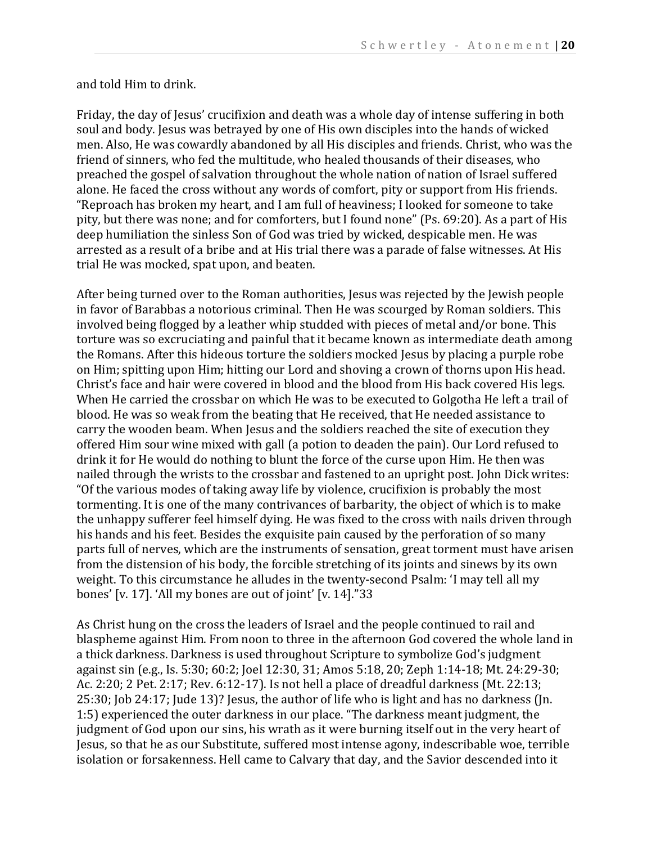and told Him to drink.

Friday, the day of Jesus' crucifixion and death was a whole day of intense suffering in both soul and body. Jesus was betrayed by one of His own disciples into the hands of wicked men. Also, He was cowardly abandoned by all His disciples and friends. Christ, who was the friend of sinners, who fed the multitude, who healed thousands of their diseases, who preached the gospel of salvation throughout the whole nation of nation of Israel suffered alone. He faced the cross without any words of comfort, pity or support from His friends. "Reproach has broken my heart, and I am full of heaviness; I looked for someone to take pity, but there was none; and for comforters, but I found none" (Ps. 69:20). As a part of His deep humiliation the sinless Son of God was tried by wicked, despicable men. He was arrested as a result of a bribe and at His trial there was a parade of false witnesses. At His trial He was mocked, spat upon, and beaten.

After being turned over to the Roman authorities, Jesus was rejected by the Jewish people in favor of Barabbas a notorious criminal. Then He was scourged by Roman soldiers. This involved being flogged by a leather whip studded with pieces of metal and/or bone. This torture was so excruciating and painful that it became known as intermediate death among the Romans. After this hideous torture the soldiers mocked Jesus by placing a purple robe on Him; spitting upon Him; hitting our Lord and shoving a crown of thorns upon His head. Christ's face and hair were covered in blood and the blood from His back covered His legs. When He carried the crossbar on which He was to be executed to Golgotha He left a trail of blood. He was so weak from the beating that He received, that He needed assistance to carry the wooden beam. When Jesus and the soldiers reached the site of execution they offered Him sour wine mixed with gall (a potion to deaden the pain). Our Lord refused to drink it for He would do nothing to blunt the force of the curse upon Him. He then was nailed through the wrists to the crossbar and fastened to an upright post. John Dick writes: "Of the various modes of taking away life by violence, crucifixion is probably the most tormenting. It is one of the many contrivances of barbarity, the object of which is to make the unhappy sufferer feel himself dying. He was fixed to the cross with nails driven through his hands and his feet. Besides the exquisite pain caused by the perforation of so many parts full of nerves, which are the instruments of sensation, great torment must have arisen from the distension of his body, the forcible stretching of its joints and sinews by its own weight. To this circumstance he alludes in the twenty-second Psalm: 'I may tell all my bones' [v. 17]. 'All my bones are out of joint' [v. 14]."33

As Christ hung on the cross the leaders of Israel and the people continued to rail and blaspheme against Him. From noon to three in the afternoon God covered the whole land in a thick darkness. Darkness is used throughout Scripture to symbolize God's judgment against sin (e.g., Is. 5:30; 60:2; Joel 12:30, 31; Amos 5:18, 20; Zeph 1:14-18; Mt. 24:29-30; Ac. 2:20; 2 Pet. 2:17; Rev. 6:12-17). Is not hell a place of dreadful darkness (Mt. 22:13; 25:30; Job 24:17; Jude 13)? Jesus, the author of life who is light and has no darkness (Jn. 1:5) experienced the outer darkness in our place. "The darkness meant judgment, the judgment of God upon our sins, his wrath as it were burning itself out in the very heart of Jesus, so that he as our Substitute, suffered most intense agony, indescribable woe, terrible isolation or forsakenness. Hell came to Calvary that day, and the Savior descended into it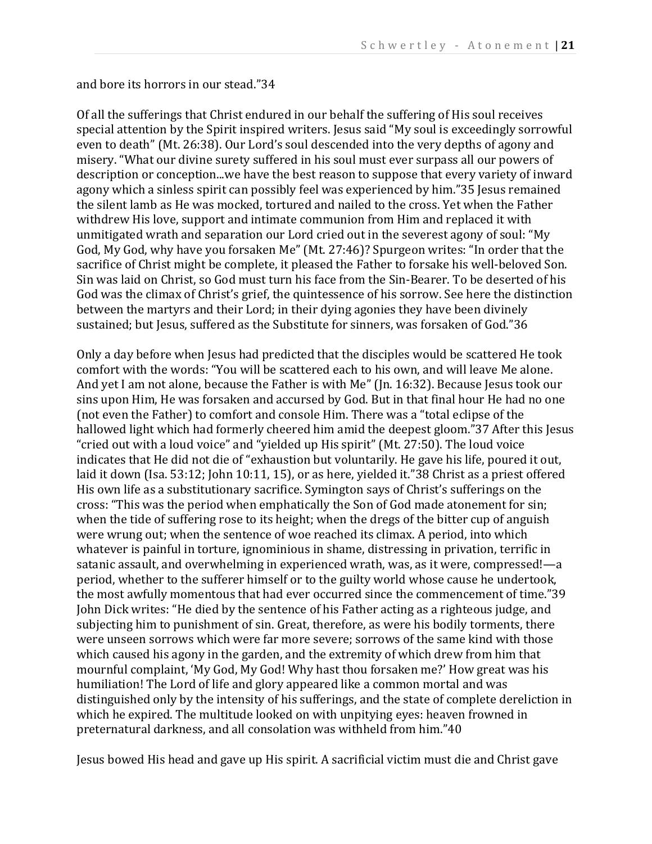and bore its horrors in our stead."34

Of all the sufferings that Christ endured in our behalf the suffering of His soul receives special attention by the Spirit inspired writers. Jesus said "My soul is exceedingly sorrowful even to death" (Mt. 26:38). Our Lord's soul descended into the very depths of agony and misery. "What our divine surety suffered in his soul must ever surpass all our powers of description or conception...we have the best reason to suppose that every variety of inward agony which a sinless spirit can possibly feel was experienced by him."35 Jesus remained the silent lamb as He was mocked, tortured and nailed to the cross. Yet when the Father withdrew His love, support and intimate communion from Him and replaced it with unmitigated wrath and separation our Lord cried out in the severest agony of soul: "My God, My God, why have you forsaken Me" (Mt. 27:46)? Spurgeon writes: "In order that the sacrifice of Christ might be complete, it pleased the Father to forsake his well-beloved Son. Sin was laid on Christ, so God must turn his face from the Sin-Bearer. To be deserted of his God was the climax of Christ's grief, the quintessence of his sorrow. See here the distinction between the martyrs and their Lord; in their dying agonies they have been divinely sustained; but Jesus, suffered as the Substitute for sinners, was forsaken of God."36

Only a day before when Jesus had predicted that the disciples would be scattered He took comfort with the words: "You will be scattered each to his own, and will leave Me alone. And yet I am not alone, because the Father is with Me" (Jn. 16:32). Because Jesus took our sins upon Him, He was forsaken and accursed by God. But in that final hour He had no one (not even the Father) to comfort and console Him. There was a "total eclipse of the hallowed light which had formerly cheered him amid the deepest gloom."37 After this Jesus "cried out with a loud voice" and "yielded up His spirit" (Mt. 27:50). The loud voice indicates that He did not die of "exhaustion but voluntarily. He gave his life, poured it out, laid it down (Isa. 53:12; John 10:11, 15), or as here, yielded it."38 Christ as a priest offered His own life as a substitutionary sacrifice. Symington says of Christ's sufferings on the cross: "This was the period when emphatically the Son of God made atonement for sin; when the tide of suffering rose to its height; when the dregs of the bitter cup of anguish were wrung out; when the sentence of woe reached its climax. A period, into which whatever is painful in torture, ignominious in shame, distressing in privation, terrific in satanic assault, and overwhelming in experienced wrath, was, as it were, compressed!—a period, whether to the sufferer himself or to the guilty world whose cause he undertook, the most awfully momentous that had ever occurred since the commencement of time."39 John Dick writes: "He died by the sentence of his Father acting as a righteous judge, and subjecting him to punishment of sin. Great, therefore, as were his bodily torments, there were unseen sorrows which were far more severe; sorrows of the same kind with those which caused his agony in the garden, and the extremity of which drew from him that mournful complaint, 'My God, My God! Why hast thou forsaken me?' How great was his humiliation! The Lord of life and glory appeared like a common mortal and was distinguished only by the intensity of his sufferings, and the state of complete dereliction in which he expired. The multitude looked on with unpitying eyes: heaven frowned in preternatural darkness, and all consolation was withheld from him."40

Jesus bowed His head and gave up His spirit. A sacrificial victim must die and Christ gave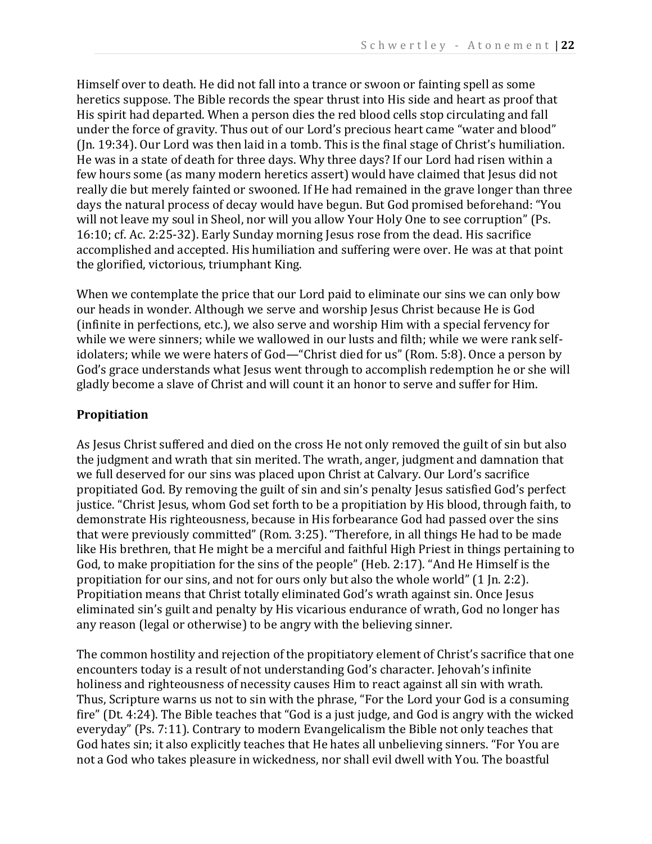Himself over to death. He did not fall into a trance or swoon or fainting spell as some heretics suppose. The Bible records the spear thrust into His side and heart as proof that His spirit had departed. When a person dies the red blood cells stop circulating and fall under the force of gravity. Thus out of our Lord's precious heart came "water and blood" (Jn. 19:34). Our Lord was then laid in a tomb. This is the final stage of Christ's humiliation. He was in a state of death for three days. Why three days? If our Lord had risen within a few hours some (as many modern heretics assert) would have claimed that Jesus did not really die but merely fainted or swooned. If He had remained in the grave longer than three days the natural process of decay would have begun. But God promised beforehand: "You will not leave my soul in Sheol, nor will you allow Your Holy One to see corruption" (Ps. 16:10; cf. Ac. 2:25-32). Early Sunday morning Jesus rose from the dead. His sacrifice accomplished and accepted. His humiliation and suffering were over. He was at that point the glorified, victorious, triumphant King.

When we contemplate the price that our Lord paid to eliminate our sins we can only bow our heads in wonder. Although we serve and worship Jesus Christ because He is God (infinite in perfections, etc.), we also serve and worship Him with a special fervency for while we were sinners; while we wallowed in our lusts and filth; while we were rank selfidolaters; while we were haters of God—"Christ died for us" (Rom. 5:8). Once a person by God's grace understands what Jesus went through to accomplish redemption he or she will gladly become a slave of Christ and will count it an honor to serve and suffer for Him.

# **Propitiation**

As Jesus Christ suffered and died on the cross He not only removed the guilt of sin but also the judgment and wrath that sin merited. The wrath, anger, judgment and damnation that we full deserved for our sins was placed upon Christ at Calvary. Our Lord's sacrifice propitiated God. By removing the guilt of sin and sin's penalty Jesus satisfied God's perfect justice. "Christ Jesus, whom God set forth to be a propitiation by His blood, through faith, to demonstrate His righteousness, because in His forbearance God had passed over the sins that were previously committed" (Rom. 3:25). "Therefore, in all things He had to be made like His brethren, that He might be a merciful and faithful High Priest in things pertaining to God, to make propitiation for the sins of the people" (Heb. 2:17). "And He Himself is the propitiation for our sins, and not for ours only but also the whole world" (1 Jn. 2:2). Propitiation means that Christ totally eliminated God's wrath against sin. Once Jesus eliminated sin's guilt and penalty by His vicarious endurance of wrath, God no longer has any reason (legal or otherwise) to be angry with the believing sinner.

The common hostility and rejection of the propitiatory element of Christ's sacrifice that one encounters today is a result of not understanding God's character. Jehovah's infinite holiness and righteousness of necessity causes Him to react against all sin with wrath. Thus, Scripture warns us not to sin with the phrase, "For the Lord your God is a consuming fire" (Dt. 4:24). The Bible teaches that "God is a just judge, and God is angry with the wicked everyday" (Ps. 7:11). Contrary to modern Evangelicalism the Bible not only teaches that God hates sin; it also explicitly teaches that He hates all unbelieving sinners. "For You are not a God who takes pleasure in wickedness, nor shall evil dwell with You. The boastful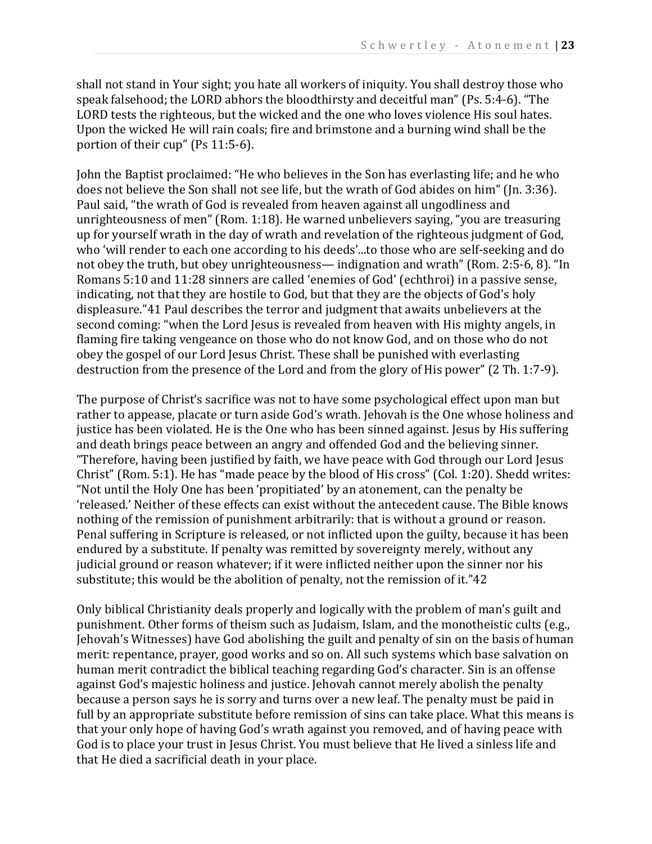shall not stand in Your sight; you hate all workers of iniquity. You shall destroy those who speak falsehood; the LORD abhors the bloodthirsty and deceitful man" (Ps. 5:4-6). "The LORD tests the righteous, but the wicked and the one who loves violence His soul hates. Upon the wicked He will rain coals; fire and brimstone and a burning wind shall be the portion of their cup" (Ps 11:5-6).

John the Baptist proclaimed: "He who believes in the Son has everlasting life; and he who does not believe the Son shall not see life, but the wrath of God abides on him" (Jn. 3:36). Paul said, "the wrath of God is revealed from heaven against all ungodliness and unrighteousness of men" (Rom. 1:18). He warned unbelievers saying, "you are treasuring up for yourself wrath in the day of wrath and revelation of the righteous judgment of God, who 'will render to each one according to his deeds'...to those who are self-seeking and do not obey the truth, but obey unrighteousness— indignation and wrath" (Rom. 2:5-6, 8). "In Romans 5:10 and 11:28 sinners are called 'enemies of God' (echthroi) in a passive sense, indicating, not that they are hostile to God, but that they are the objects of God's holy displeasure."41 Paul describes the terror and judgment that awaits unbelievers at the second coming: "when the Lord Jesus is revealed from heaven with His mighty angels, in flaming fire taking vengeance on those who do not know God, and on those who do not obey the gospel of our Lord Jesus Christ. These shall be punished with everlasting destruction from the presence of the Lord and from the glory of His power" (2 Th. 1:7-9).

The purpose of Christ's sacrifice was not to have some psychological effect upon man but rather to appease, placate or turn aside God's wrath. Jehovah is the One whose holiness and justice has been violated. He is the One who has been sinned against. Jesus by His suffering and death brings peace between an angry and offended God and the believing sinner. "Therefore, having been justified by faith, we have peace with God through our Lord Jesus Christ" (Rom. 5:1). He has "made peace by the blood of His cross" (Col. 1:20). Shedd writes: "Not until the Holy One has been 'propitiated' by an atonement, can the penalty be 'released.' Neither of these effects can exist without the antecedent cause. The Bible knows nothing of the remission of punishment arbitrarily: that is without a ground or reason. Penal suffering in Scripture is released, or not inflicted upon the guilty, because it has been endured by a substitute. If penalty was remitted by sovereignty merely, without any judicial ground or reason whatever; if it were inflicted neither upon the sinner nor his substitute; this would be the abolition of penalty, not the remission of it."42

Only biblical Christianity deals properly and logically with the problem of man's guilt and punishment. Other forms of theism such as Judaism, Islam, and the monotheistic cults (e.g., Jehovah's Witnesses) have God abolishing the guilt and penalty of sin on the basis of human merit: repentance, prayer, good works and so on. All such systems which base salvation on human merit contradict the biblical teaching regarding God's character. Sin is an offense against God's majestic holiness and justice. Jehovah cannot merely abolish the penalty because a person says he is sorry and turns over a new leaf. The penalty must be paid in full by an appropriate substitute before remission of sins can take place. What this means is that your only hope of having God's wrath against you removed, and of having peace with God is to place your trust in Jesus Christ. You must believe that He lived a sinless life and that He died a sacrificial death in your place.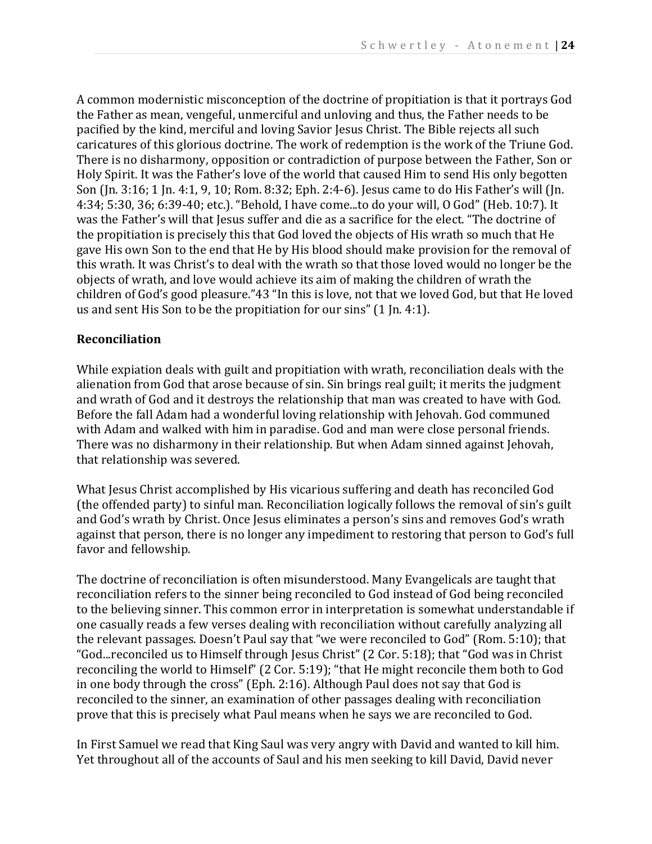A common modernistic misconception of the doctrine of propitiation is that it portrays God the Father as mean, vengeful, unmerciful and unloving and thus, the Father needs to be pacified by the kind, merciful and loving Savior Jesus Christ. The Bible rejects all such caricatures of this glorious doctrine. The work of redemption is the work of the Triune God. There is no disharmony, opposition or contradiction of purpose between the Father, Son or Holy Spirit. It was the Father's love of the world that caused Him to send His only begotten Son (Jn. 3:16; 1 Jn. 4:1, 9, 10; Rom. 8:32; Eph. 2:4-6). Jesus came to do His Father's will (Jn. 4:34; 5:30, 36; 6:39-40; etc.). "Behold, I have come...to do your will, O God" (Heb. 10:7). It was the Father's will that Jesus suffer and die as a sacrifice for the elect. "The doctrine of the propitiation is precisely this that God loved the objects of His wrath so much that He gave His own Son to the end that He by His blood should make provision for the removal of this wrath. It was Christ's to deal with the wrath so that those loved would no longer be the objects of wrath, and love would achieve its aim of making the children of wrath the children of God's good pleasure."43 "In this is love, not that we loved God, but that He loved us and sent His Son to be the propitiation for our sins" (1 Jn. 4:1).

#### **Reconciliation**

While expiation deals with guilt and propitiation with wrath, reconciliation deals with the alienation from God that arose because of sin. Sin brings real guilt; it merits the judgment and wrath of God and it destroys the relationship that man was created to have with God. Before the fall Adam had a wonderful loving relationship with Jehovah. God communed with Adam and walked with him in paradise. God and man were close personal friends. There was no disharmony in their relationship. But when Adam sinned against Jehovah, that relationship was severed.

What Jesus Christ accomplished by His vicarious suffering and death has reconciled God (the offended party) to sinful man. Reconciliation logically follows the removal of sin's guilt and God's wrath by Christ. Once Jesus eliminates a person's sins and removes God's wrath against that person, there is no longer any impediment to restoring that person to God's full favor and fellowship.

The doctrine of reconciliation is often misunderstood. Many Evangelicals are taught that reconciliation refers to the sinner being reconciled to God instead of God being reconciled to the believing sinner. This common error in interpretation is somewhat understandable if one casually reads a few verses dealing with reconciliation without carefully analyzing all the relevant passages. Doesn't Paul say that "we were reconciled to God" (Rom. 5:10); that "God...reconciled us to Himself through Jesus Christ" (2 Cor. 5:18); that "God was in Christ reconciling the world to Himself" (2 Cor. 5:19); "that He might reconcile them both to God in one body through the cross" (Eph. 2:16). Although Paul does not say that God is reconciled to the sinner, an examination of other passages dealing with reconciliation prove that this is precisely what Paul means when he says we are reconciled to God.

In First Samuel we read that King Saul was very angry with David and wanted to kill him. Yet throughout all of the accounts of Saul and his men seeking to kill David, David never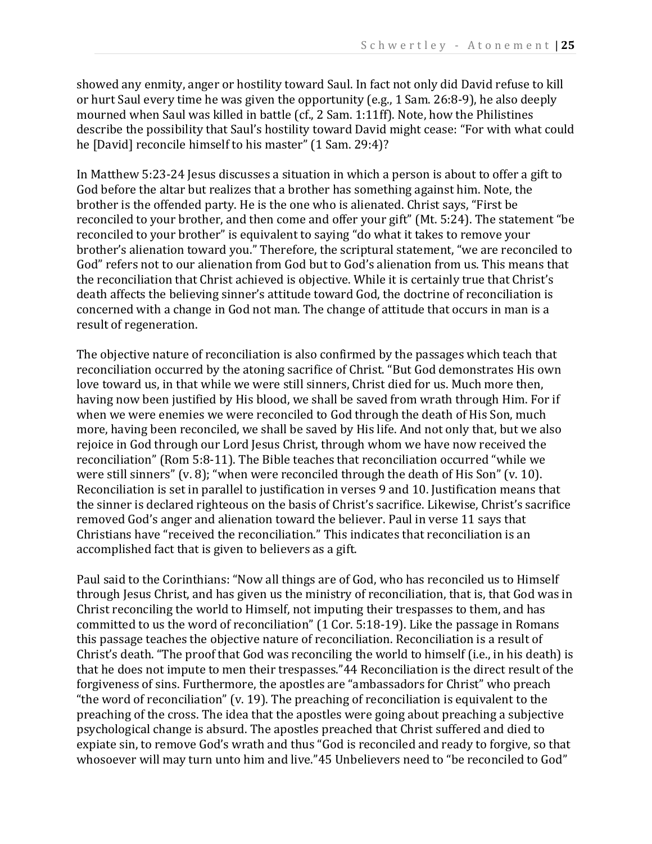showed any enmity, anger or hostility toward Saul. In fact not only did David refuse to kill or hurt Saul every time he was given the opportunity (e.g., 1 Sam. 26:8-9), he also deeply mourned when Saul was killed in battle (cf., 2 Sam. 1:11ff). Note, how the Philistines describe the possibility that Saul's hostility toward David might cease: "For with what could he [David] reconcile himself to his master" (1 Sam. 29:4)?

In Matthew 5:23-24 Jesus discusses a situation in which a person is about to offer a gift to God before the altar but realizes that a brother has something against him. Note, the brother is the offended party. He is the one who is alienated. Christ says, "First be reconciled to your brother, and then come and offer your gift" (Mt. 5:24). The statement "be reconciled to your brother" is equivalent to saying "do what it takes to remove your brother's alienation toward you." Therefore, the scriptural statement, "we are reconciled to God" refers not to our alienation from God but to God's alienation from us. This means that the reconciliation that Christ achieved is objective. While it is certainly true that Christ's death affects the believing sinner's attitude toward God, the doctrine of reconciliation is concerned with a change in God not man. The change of attitude that occurs in man is a result of regeneration.

The objective nature of reconciliation is also confirmed by the passages which teach that reconciliation occurred by the atoning sacrifice of Christ. "But God demonstrates His own love toward us, in that while we were still sinners, Christ died for us. Much more then, having now been justified by His blood, we shall be saved from wrath through Him. For if when we were enemies we were reconciled to God through the death of His Son, much more, having been reconciled, we shall be saved by His life. And not only that, but we also rejoice in God through our Lord Jesus Christ, through whom we have now received the reconciliation" (Rom 5:8-11). The Bible teaches that reconciliation occurred "while we were still sinners" (v. 8); "when were reconciled through the death of His Son" (v. 10). Reconciliation is set in parallel to justification in verses 9 and 10. Justification means that the sinner is declared righteous on the basis of Christ's sacrifice. Likewise, Christ's sacrifice removed God's anger and alienation toward the believer. Paul in verse 11 says that Christians have "received the reconciliation." This indicates that reconciliation is an accomplished fact that is given to believers as a gift.

Paul said to the Corinthians: "Now all things are of God, who has reconciled us to Himself through Jesus Christ, and has given us the ministry of reconciliation, that is, that God was in Christ reconciling the world to Himself, not imputing their trespasses to them, and has committed to us the word of reconciliation" (1 Cor. 5:18-19). Like the passage in Romans this passage teaches the objective nature of reconciliation. Reconciliation is a result of Christ's death. "The proof that God was reconciling the world to himself (i.e., in his death) is that he does not impute to men their trespasses."44 Reconciliation is the direct result of the forgiveness of sins. Furthermore, the apostles are "ambassadors for Christ" who preach "the word of reconciliation" (v. 19). The preaching of reconciliation is equivalent to the preaching of the cross. The idea that the apostles were going about preaching a subjective psychological change is absurd. The apostles preached that Christ suffered and died to expiate sin, to remove God's wrath and thus "God is reconciled and ready to forgive, so that whosoever will may turn unto him and live."45 Unbelievers need to "be reconciled to God"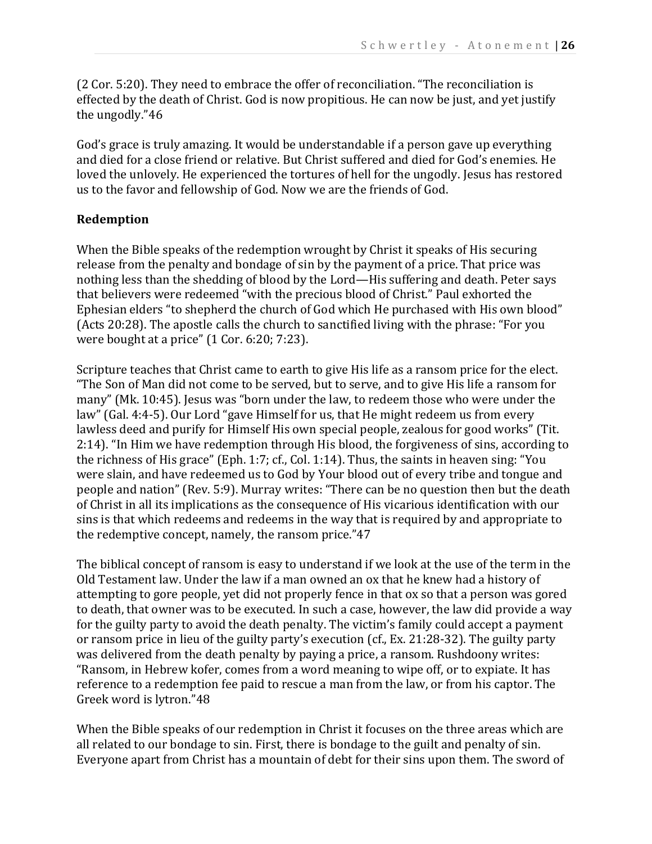(2 Cor. 5:20). They need to embrace the offer of reconciliation. "The reconciliation is effected by the death of Christ. God is now propitious. He can now be just, and yet justify the ungodly."46

God's grace is truly amazing. It would be understandable if a person gave up everything and died for a close friend or relative. But Christ suffered and died for God's enemies. He loved the unlovely. He experienced the tortures of hell for the ungodly. Jesus has restored us to the favor and fellowship of God. Now we are the friends of God.

# **Redemption**

When the Bible speaks of the redemption wrought by Christ it speaks of His securing release from the penalty and bondage of sin by the payment of a price. That price was nothing less than the shedding of blood by the Lord—His suffering and death. Peter says that believers were redeemed "with the precious blood of Christ." Paul exhorted the Ephesian elders "to shepherd the church of God which He purchased with His own blood" (Acts 20:28). The apostle calls the church to sanctified living with the phrase: "For you were bought at a price" (1 Cor. 6:20; 7:23).

Scripture teaches that Christ came to earth to give His life as a ransom price for the elect. "The Son of Man did not come to be served, but to serve, and to give His life a ransom for many" (Mk. 10:45). Jesus was "born under the law, to redeem those who were under the law" (Gal. 4:4-5). Our Lord "gave Himself for us, that He might redeem us from every lawless deed and purify for Himself His own special people, zealous for good works" (Tit. 2:14). "In Him we have redemption through His blood, the forgiveness of sins, according to the richness of His grace" (Eph. 1:7; cf., Col. 1:14). Thus, the saints in heaven sing: "You were slain, and have redeemed us to God by Your blood out of every tribe and tongue and people and nation" (Rev. 5:9). Murray writes: "There can be no question then but the death of Christ in all its implications as the consequence of His vicarious identification with our sins is that which redeems and redeems in the way that is required by and appropriate to the redemptive concept, namely, the ransom price."47

The biblical concept of ransom is easy to understand if we look at the use of the term in the Old Testament law. Under the law if a man owned an ox that he knew had a history of attempting to gore people, yet did not properly fence in that ox so that a person was gored to death, that owner was to be executed. In such a case, however, the law did provide a way for the guilty party to avoid the death penalty. The victim's family could accept a payment or ransom price in lieu of the guilty party's execution (cf., Ex. 21:28-32). The guilty party was delivered from the death penalty by paying a price, a ransom. Rushdoony writes: "Ransom, in Hebrew kofer, comes from a word meaning to wipe off, or to expiate. It has reference to a redemption fee paid to rescue a man from the law, or from his captor. The Greek word is lytron."48

When the Bible speaks of our redemption in Christ it focuses on the three areas which are all related to our bondage to sin. First, there is bondage to the guilt and penalty of sin. Everyone apart from Christ has a mountain of debt for their sins upon them. The sword of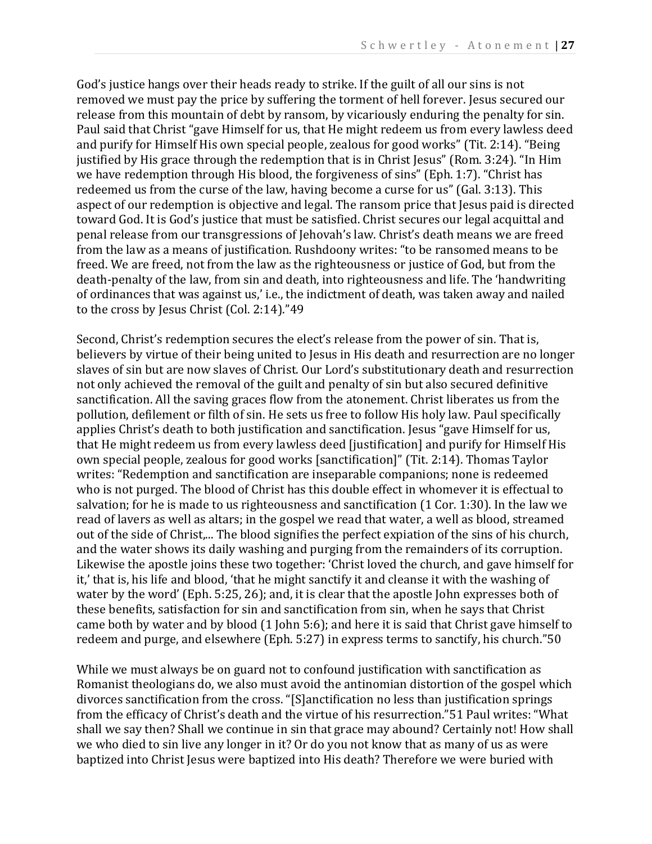God's justice hangs over their heads ready to strike. If the guilt of all our sins is not removed we must pay the price by suffering the torment of hell forever. Jesus secured our release from this mountain of debt by ransom, by vicariously enduring the penalty for sin. Paul said that Christ "gave Himself for us, that He might redeem us from every lawless deed and purify for Himself His own special people, zealous for good works" (Tit. 2:14). "Being justified by His grace through the redemption that is in Christ Jesus" (Rom. 3:24). "In Him we have redemption through His blood, the forgiveness of sins" (Eph. 1:7). "Christ has redeemed us from the curse of the law, having become a curse for us" (Gal. 3:13). This aspect of our redemption is objective and legal. The ransom price that Jesus paid is directed toward God. It is God's justice that must be satisfied. Christ secures our legal acquittal and penal release from our transgressions of Jehovah's law. Christ's death means we are freed from the law as a means of justification. Rushdoony writes: "to be ransomed means to be freed. We are freed, not from the law as the righteousness or justice of God, but from the death-penalty of the law, from sin and death, into righteousness and life. The 'handwriting of ordinances that was against us,' i.e., the indictment of death, was taken away and nailed to the cross by Jesus Christ (Col. 2:14)."49

Second, Christ's redemption secures the elect's release from the power of sin. That is, believers by virtue of their being united to Jesus in His death and resurrection are no longer slaves of sin but are now slaves of Christ. Our Lord's substitutionary death and resurrection not only achieved the removal of the guilt and penalty of sin but also secured definitive sanctification. All the saving graces flow from the atonement. Christ liberates us from the pollution, defilement or filth of sin. He sets us free to follow His holy law. Paul specifically applies Christ's death to both justification and sanctification. Jesus "gave Himself for us, that He might redeem us from every lawless deed [justification] and purify for Himself His own special people, zealous for good works [sanctification]" (Tit. 2:14). Thomas Taylor writes: "Redemption and sanctification are inseparable companions; none is redeemed who is not purged. The blood of Christ has this double effect in whomever it is effectual to salvation; for he is made to us righteousness and sanctification (1 Cor. 1:30). In the law we read of lavers as well as altars; in the gospel we read that water, a well as blood, streamed out of the side of Christ,... The blood signifies the perfect expiation of the sins of his church, and the water shows its daily washing and purging from the remainders of its corruption. Likewise the apostle joins these two together: 'Christ loved the church, and gave himself for it,' that is, his life and blood, 'that he might sanctify it and cleanse it with the washing of water by the word' (Eph. 5:25, 26); and, it is clear that the apostle John expresses both of these benefits, satisfaction for sin and sanctification from sin, when he says that Christ came both by water and by blood (1 John 5:6); and here it is said that Christ gave himself to redeem and purge, and elsewhere (Eph. 5:27) in express terms to sanctify, his church."50

While we must always be on guard not to confound justification with sanctification as Romanist theologians do, we also must avoid the antinomian distortion of the gospel which divorces sanctification from the cross. "[S]anctification no less than justification springs from the efficacy of Christ's death and the virtue of his resurrection."51 Paul writes: "What shall we say then? Shall we continue in sin that grace may abound? Certainly not! How shall we who died to sin live any longer in it? Or do you not know that as many of us as were baptized into Christ Jesus were baptized into His death? Therefore we were buried with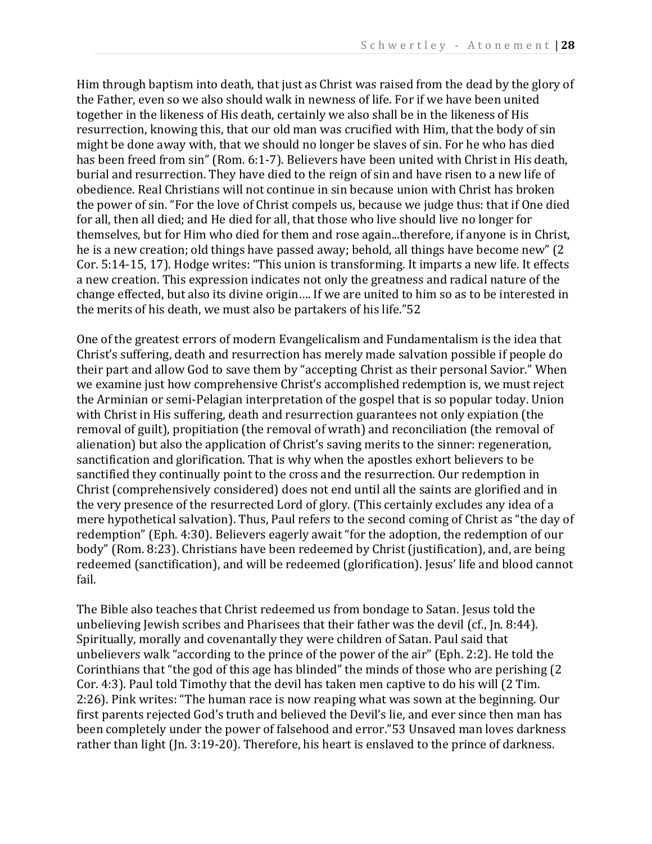Him through baptism into death, that just as Christ was raised from the dead by the glory of the Father, even so we also should walk in newness of life. For if we have been united together in the likeness of His death, certainly we also shall be in the likeness of His resurrection, knowing this, that our old man was crucified with Him, that the body of sin might be done away with, that we should no longer be slaves of sin. For he who has died has been freed from sin" (Rom. 6:1-7). Believers have been united with Christ in His death, burial and resurrection. They have died to the reign of sin and have risen to a new life of obedience. Real Christians will not continue in sin because union with Christ has broken the power of sin. "For the love of Christ compels us, because we judge thus: that if One died for all, then all died; and He died for all, that those who live should live no longer for themselves, but for Him who died for them and rose again...therefore, if anyone is in Christ, he is a new creation; old things have passed away; behold, all things have become new" (2 Cor. 5:14-15, 17). Hodge writes: "This union is transforming. It imparts a new life. It effects a new creation. This expression indicates not only the greatness and radical nature of the change effected, but also its divine origin…. If we are united to him so as to be interested in the merits of his death, we must also be partakers of his life."52

One of the greatest errors of modern Evangelicalism and Fundamentalism is the idea that Christ's suffering, death and resurrection has merely made salvation possible if people do their part and allow God to save them by "accepting Christ as their personal Savior." When we examine just how comprehensive Christ's accomplished redemption is, we must reject the Arminian or semi-Pelagian interpretation of the gospel that is so popular today. Union with Christ in His suffering, death and resurrection guarantees not only expiation (the removal of guilt), propitiation (the removal of wrath) and reconciliation (the removal of alienation) but also the application of Christ's saving merits to the sinner: regeneration, sanctification and glorification. That is why when the apostles exhort believers to be sanctified they continually point to the cross and the resurrection. Our redemption in Christ (comprehensively considered) does not end until all the saints are glorified and in the very presence of the resurrected Lord of glory. (This certainly excludes any idea of a mere hypothetical salvation). Thus, Paul refers to the second coming of Christ as "the day of redemption" (Eph. 4:30). Believers eagerly await "for the adoption, the redemption of our body" (Rom. 8:23). Christians have been redeemed by Christ (justification), and, are being redeemed (sanctification), and will be redeemed (glorification). Jesus' life and blood cannot fail.

The Bible also teaches that Christ redeemed us from bondage to Satan. Jesus told the unbelieving Jewish scribes and Pharisees that their father was the devil (cf., Jn. 8:44). Spiritually, morally and covenantally they were children of Satan. Paul said that unbelievers walk "according to the prince of the power of the air" (Eph. 2:2). He told the Corinthians that "the god of this age has blinded" the minds of those who are perishing (2 Cor. 4:3). Paul told Timothy that the devil has taken men captive to do his will (2 Tim. 2:26). Pink writes: "The human race is now reaping what was sown at the beginning. Our first parents rejected God's truth and believed the Devil's lie, and ever since then man has been completely under the power of falsehood and error."53 Unsaved man loves darkness rather than light (Jn. 3:19-20). Therefore, his heart is enslaved to the prince of darkness.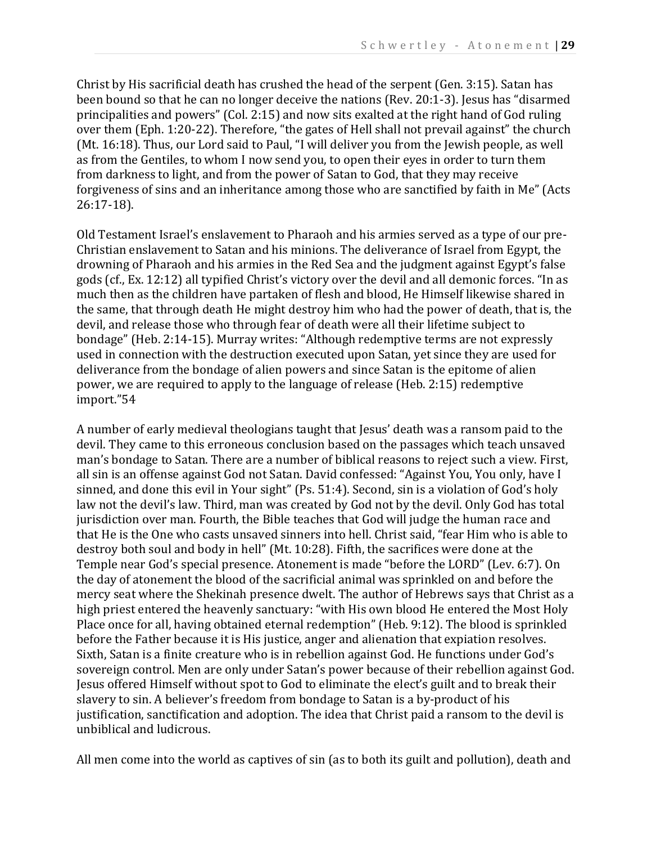Christ by His sacrificial death has crushed the head of the serpent (Gen. 3:15). Satan has been bound so that he can no longer deceive the nations (Rev. 20:1-3). Jesus has "disarmed principalities and powers" (Col. 2:15) and now sits exalted at the right hand of God ruling over them (Eph. 1:20-22). Therefore, "the gates of Hell shall not prevail against" the church (Mt. 16:18). Thus, our Lord said to Paul, "I will deliver you from the Jewish people, as well as from the Gentiles, to whom I now send you, to open their eyes in order to turn them from darkness to light, and from the power of Satan to God, that they may receive forgiveness of sins and an inheritance among those who are sanctified by faith in Me" (Acts 26:17-18).

Old Testament Israel's enslavement to Pharaoh and his armies served as a type of our pre-Christian enslavement to Satan and his minions. The deliverance of Israel from Egypt, the drowning of Pharaoh and his armies in the Red Sea and the judgment against Egypt's false gods (cf., Ex. 12:12) all typified Christ's victory over the devil and all demonic forces. "In as much then as the children have partaken of flesh and blood, He Himself likewise shared in the same, that through death He might destroy him who had the power of death, that is, the devil, and release those who through fear of death were all their lifetime subject to bondage" (Heb. 2:14-15). Murray writes: "Although redemptive terms are not expressly used in connection with the destruction executed upon Satan, yet since they are used for deliverance from the bondage of alien powers and since Satan is the epitome of alien power, we are required to apply to the language of release (Heb. 2:15) redemptive import."54

A number of early medieval theologians taught that Jesus' death was a ransom paid to the devil. They came to this erroneous conclusion based on the passages which teach unsaved man's bondage to Satan. There are a number of biblical reasons to reject such a view. First, all sin is an offense against God not Satan. David confessed: "Against You, You only, have I sinned, and done this evil in Your sight" (Ps. 51:4). Second, sin is a violation of God's holy law not the devil's law. Third, man was created by God not by the devil. Only God has total jurisdiction over man. Fourth, the Bible teaches that God will judge the human race and that He is the One who casts unsaved sinners into hell. Christ said, "fear Him who is able to destroy both soul and body in hell" (Mt. 10:28). Fifth, the sacrifices were done at the Temple near God's special presence. Atonement is made "before the LORD" (Lev. 6:7). On the day of atonement the blood of the sacrificial animal was sprinkled on and before the mercy seat where the Shekinah presence dwelt. The author of Hebrews says that Christ as a high priest entered the heavenly sanctuary: "with His own blood He entered the Most Holy Place once for all, having obtained eternal redemption" (Heb. 9:12). The blood is sprinkled before the Father because it is His justice, anger and alienation that expiation resolves. Sixth, Satan is a finite creature who is in rebellion against God. He functions under God's sovereign control. Men are only under Satan's power because of their rebellion against God. Jesus offered Himself without spot to God to eliminate the elect's guilt and to break their slavery to sin. A believer's freedom from bondage to Satan is a by-product of his justification, sanctification and adoption. The idea that Christ paid a ransom to the devil is unbiblical and ludicrous.

All men come into the world as captives of sin (as to both its guilt and pollution), death and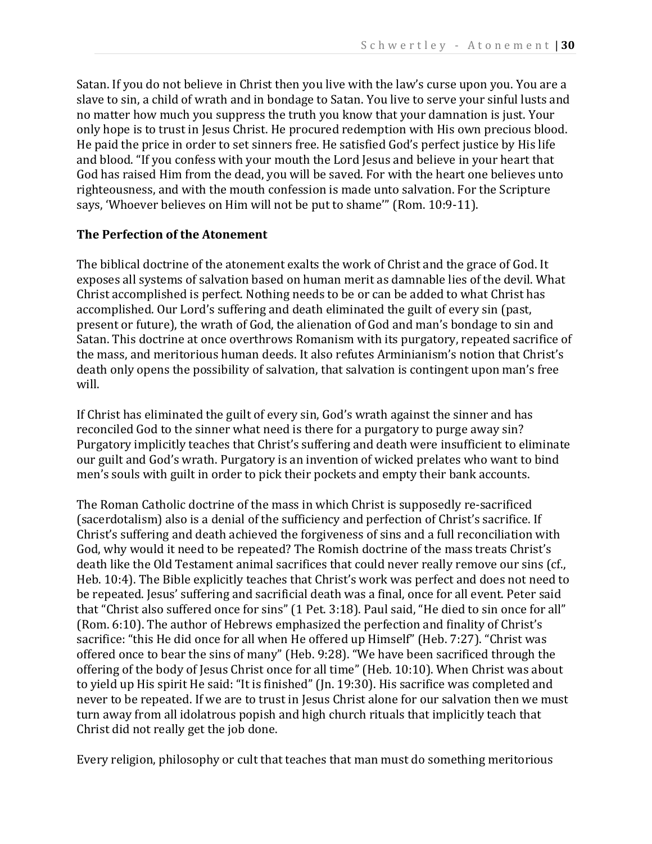Satan. If you do not believe in Christ then you live with the law's curse upon you. You are a slave to sin, a child of wrath and in bondage to Satan. You live to serve your sinful lusts and no matter how much you suppress the truth you know that your damnation is just. Your only hope is to trust in Jesus Christ. He procured redemption with His own precious blood. He paid the price in order to set sinners free. He satisfied God's perfect justice by His life and blood. "If you confess with your mouth the Lord Jesus and believe in your heart that God has raised Him from the dead, you will be saved. For with the heart one believes unto righteousness, and with the mouth confession is made unto salvation. For the Scripture says, 'Whoever believes on Him will not be put to shame'" (Rom. 10:9-11).

#### **The Perfection of the Atonement**

The biblical doctrine of the atonement exalts the work of Christ and the grace of God. It exposes all systems of salvation based on human merit as damnable lies of the devil. What Christ accomplished is perfect. Nothing needs to be or can be added to what Christ has accomplished. Our Lord's suffering and death eliminated the guilt of every sin (past, present or future), the wrath of God, the alienation of God and man's bondage to sin and Satan. This doctrine at once overthrows Romanism with its purgatory, repeated sacrifice of the mass, and meritorious human deeds. It also refutes Arminianism's notion that Christ's death only opens the possibility of salvation, that salvation is contingent upon man's free will.

If Christ has eliminated the guilt of every sin, God's wrath against the sinner and has reconciled God to the sinner what need is there for a purgatory to purge away sin? Purgatory implicitly teaches that Christ's suffering and death were insufficient to eliminate our guilt and God's wrath. Purgatory is an invention of wicked prelates who want to bind men's souls with guilt in order to pick their pockets and empty their bank accounts.

The Roman Catholic doctrine of the mass in which Christ is supposedly re-sacrificed (sacerdotalism) also is a denial of the sufficiency and perfection of Christ's sacrifice. If Christ's suffering and death achieved the forgiveness of sins and a full reconciliation with God, why would it need to be repeated? The Romish doctrine of the mass treats Christ's death like the Old Testament animal sacrifices that could never really remove our sins (cf., Heb. 10:4). The Bible explicitly teaches that Christ's work was perfect and does not need to be repeated. Jesus' suffering and sacrificial death was a final, once for all event. Peter said that "Christ also suffered once for sins" (1 Pet. 3:18). Paul said, "He died to sin once for all" (Rom. 6:10). The author of Hebrews emphasized the perfection and finality of Christ's sacrifice: "this He did once for all when He offered up Himself" (Heb. 7:27). "Christ was offered once to bear the sins of many" (Heb. 9:28). "We have been sacrificed through the offering of the body of Jesus Christ once for all time" (Heb. 10:10). When Christ was about to yield up His spirit He said: "It is finished" (Jn. 19:30). His sacrifice was completed and never to be repeated. If we are to trust in Jesus Christ alone for our salvation then we must turn away from all idolatrous popish and high church rituals that implicitly teach that Christ did not really get the job done.

Every religion, philosophy or cult that teaches that man must do something meritorious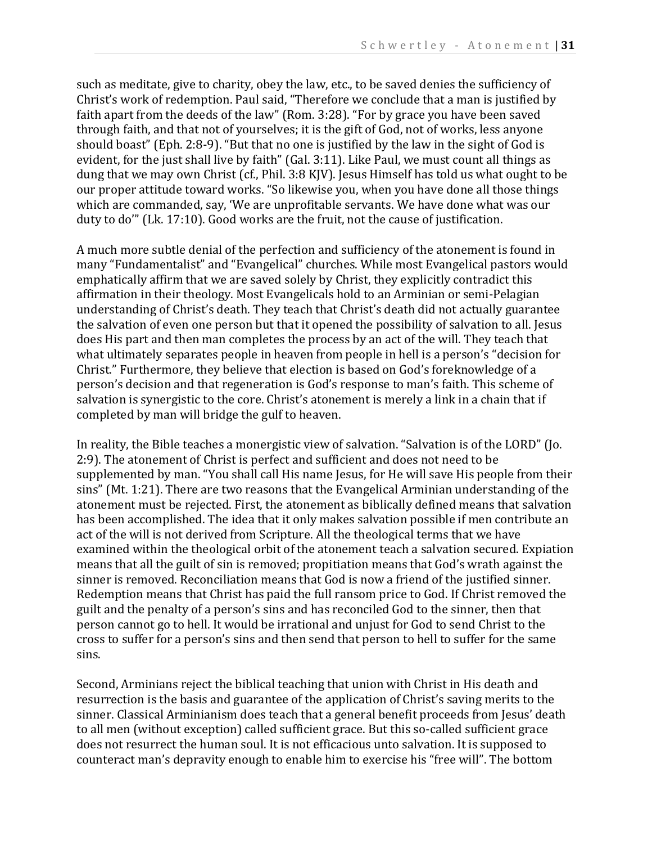such as meditate, give to charity, obey the law, etc., to be saved denies the sufficiency of Christ's work of redemption. Paul said, "Therefore we conclude that a man is justified by faith apart from the deeds of the law" (Rom. 3:28). "For by grace you have been saved through faith, and that not of yourselves; it is the gift of God, not of works, less anyone should boast" (Eph. 2:8-9). "But that no one is justified by the law in the sight of God is evident, for the just shall live by faith" (Gal. 3:11). Like Paul, we must count all things as dung that we may own Christ (cf., Phil. 3:8 KJV). Jesus Himself has told us what ought to be our proper attitude toward works. "So likewise you, when you have done all those things which are commanded, say, 'We are unprofitable servants. We have done what was our duty to do'" (Lk. 17:10). Good works are the fruit, not the cause of justification.

A much more subtle denial of the perfection and sufficiency of the atonement is found in many "Fundamentalist" and "Evangelical" churches. While most Evangelical pastors would emphatically affirm that we are saved solely by Christ, they explicitly contradict this affirmation in their theology. Most Evangelicals hold to an Arminian or semi-Pelagian understanding of Christ's death. They teach that Christ's death did not actually guarantee the salvation of even one person but that it opened the possibility of salvation to all. Jesus does His part and then man completes the process by an act of the will. They teach that what ultimately separates people in heaven from people in hell is a person's "decision for Christ." Furthermore, they believe that election is based on God's foreknowledge of a person's decision and that regeneration is God's response to man's faith. This scheme of salvation is synergistic to the core. Christ's atonement is merely a link in a chain that if completed by man will bridge the gulf to heaven.

In reality, the Bible teaches a monergistic view of salvation. "Salvation is of the LORD" (Jo. 2:9). The atonement of Christ is perfect and sufficient and does not need to be supplemented by man. "You shall call His name Jesus, for He will save His people from their sins" (Mt. 1:21). There are two reasons that the Evangelical Arminian understanding of the atonement must be rejected. First, the atonement as biblically defined means that salvation has been accomplished. The idea that it only makes salvation possible if men contribute an act of the will is not derived from Scripture. All the theological terms that we have examined within the theological orbit of the atonement teach a salvation secured. Expiation means that all the guilt of sin is removed; propitiation means that God's wrath against the sinner is removed. Reconciliation means that God is now a friend of the justified sinner. Redemption means that Christ has paid the full ransom price to God. If Christ removed the guilt and the penalty of a person's sins and has reconciled God to the sinner, then that person cannot go to hell. It would be irrational and unjust for God to send Christ to the cross to suffer for a person's sins and then send that person to hell to suffer for the same sins.

Second, Arminians reject the biblical teaching that union with Christ in His death and resurrection is the basis and guarantee of the application of Christ's saving merits to the sinner. Classical Arminianism does teach that a general benefit proceeds from Jesus' death to all men (without exception) called sufficient grace. But this so-called sufficient grace does not resurrect the human soul. It is not efficacious unto salvation. It is supposed to counteract man's depravity enough to enable him to exercise his "free will". The bottom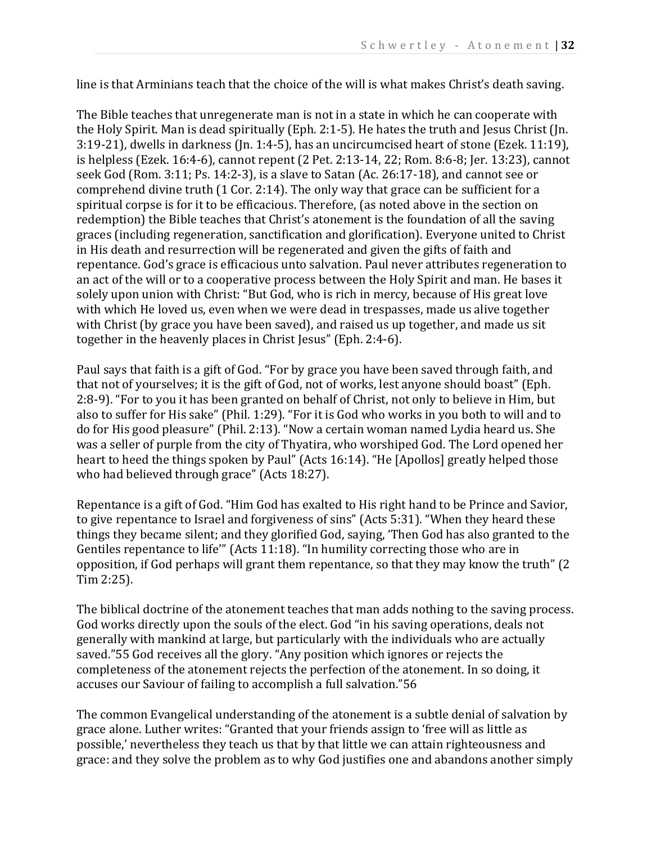line is that Arminians teach that the choice of the will is what makes Christ's death saving.

The Bible teaches that unregenerate man is not in a state in which he can cooperate with the Holy Spirit. Man is dead spiritually (Eph. 2:1-5). He hates the truth and Jesus Christ (Jn. 3:19-21), dwells in darkness (Jn. 1:4-5), has an uncircumcised heart of stone (Ezek. 11:19), is helpless (Ezek. 16:4-6), cannot repent (2 Pet. 2:13-14, 22; Rom. 8:6-8; Jer. 13:23), cannot seek God (Rom. 3:11; Ps. 14:2-3), is a slave to Satan (Ac. 26:17-18), and cannot see or comprehend divine truth (1 Cor. 2:14). The only way that grace can be sufficient for a spiritual corpse is for it to be efficacious. Therefore, (as noted above in the section on redemption) the Bible teaches that Christ's atonement is the foundation of all the saving graces (including regeneration, sanctification and glorification). Everyone united to Christ in His death and resurrection will be regenerated and given the gifts of faith and repentance. God's grace is efficacious unto salvation. Paul never attributes regeneration to an act of the will or to a cooperative process between the Holy Spirit and man. He bases it solely upon union with Christ: "But God, who is rich in mercy, because of His great love with which He loved us, even when we were dead in trespasses, made us alive together with Christ (by grace you have been saved), and raised us up together, and made us sit together in the heavenly places in Christ Jesus" (Eph. 2:4-6).

Paul says that faith is a gift of God. "For by grace you have been saved through faith, and that not of yourselves; it is the gift of God, not of works, lest anyone should boast" (Eph. 2:8-9). "For to you it has been granted on behalf of Christ, not only to believe in Him, but also to suffer for His sake" (Phil. 1:29). "For it is God who works in you both to will and to do for His good pleasure" (Phil. 2:13). "Now a certain woman named Lydia heard us. She was a seller of purple from the city of Thyatira, who worshiped God. The Lord opened her heart to heed the things spoken by Paul" (Acts 16:14). "He [Apollos] greatly helped those who had believed through grace" (Acts 18:27).

Repentance is a gift of God. "Him God has exalted to His right hand to be Prince and Savior, to give repentance to Israel and forgiveness of sins" (Acts 5:31). "When they heard these things they became silent; and they glorified God, saying, 'Then God has also granted to the Gentiles repentance to life'" (Acts 11:18). "In humility correcting those who are in opposition, if God perhaps will grant them repentance, so that they may know the truth" (2 Tim 2:25).

The biblical doctrine of the atonement teaches that man adds nothing to the saving process. God works directly upon the souls of the elect. God "in his saving operations, deals not generally with mankind at large, but particularly with the individuals who are actually saved."55 God receives all the glory. "Any position which ignores or rejects the completeness of the atonement rejects the perfection of the atonement. In so doing, it accuses our Saviour of failing to accomplish a full salvation."56

The common Evangelical understanding of the atonement is a subtle denial of salvation by grace alone. Luther writes: "Granted that your friends assign to 'free will as little as possible,' nevertheless they teach us that by that little we can attain righteousness and grace: and they solve the problem as to why God justifies one and abandons another simply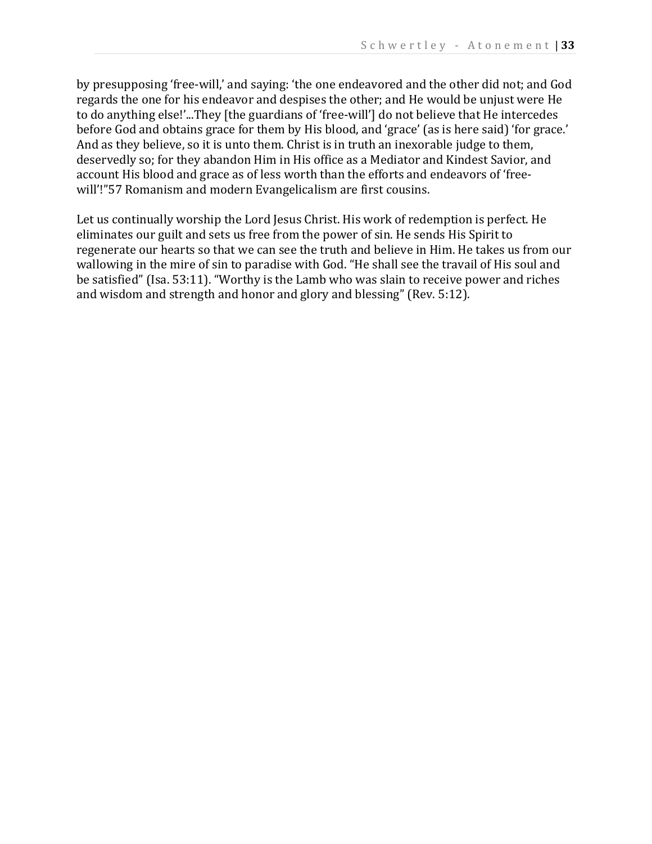by presupposing 'free-will,' and saying: 'the one endeavored and the other did not; and God regards the one for his endeavor and despises the other; and He would be unjust were He to do anything else!'...They [the guardians of 'free-will'] do not believe that He intercedes before God and obtains grace for them by His blood, and 'grace' (as is here said) 'for grace.' And as they believe, so it is unto them. Christ is in truth an inexorable judge to them, deservedly so; for they abandon Him in His office as a Mediator and Kindest Savior, and account His blood and grace as of less worth than the efforts and endeavors of 'freewill'!"57 Romanism and modern Evangelicalism are first cousins.

Let us continually worship the Lord Jesus Christ. His work of redemption is perfect. He eliminates our guilt and sets us free from the power of sin. He sends His Spirit to regenerate our hearts so that we can see the truth and believe in Him. He takes us from our wallowing in the mire of sin to paradise with God. "He shall see the travail of His soul and be satisfied" (Isa. 53:11). "Worthy is the Lamb who was slain to receive power and riches and wisdom and strength and honor and glory and blessing" (Rev. 5:12).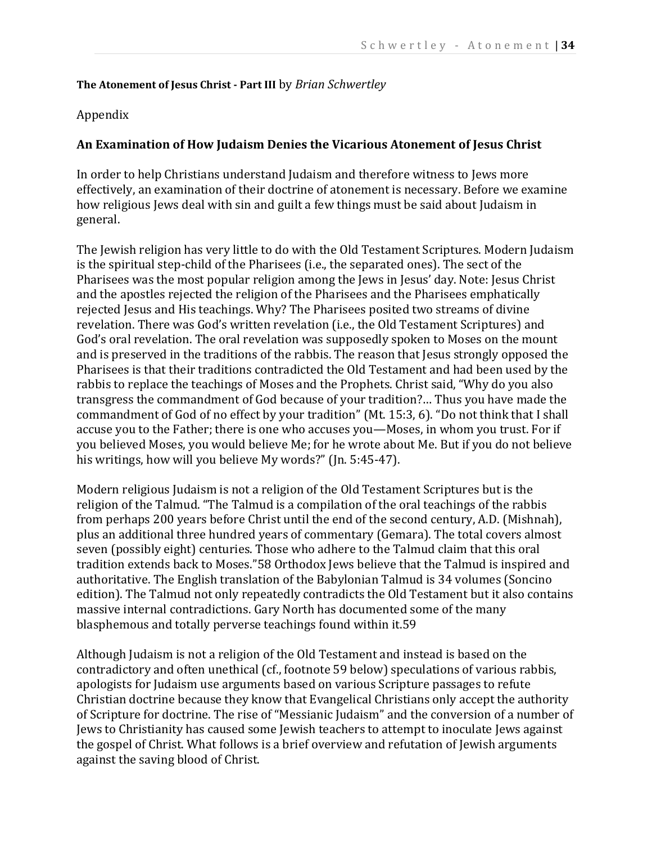#### **The Atonement of Jesus Christ - Part III** by *Brian Schwertley*

# Appendix

# **An Examination of How Judaism Denies the Vicarious Atonement of Jesus Christ**

In order to help Christians understand Judaism and therefore witness to Jews more effectively, an examination of their doctrine of atonement is necessary. Before we examine how religious Jews deal with sin and guilt a few things must be said about Judaism in general.

The Jewish religion has very little to do with the Old Testament Scriptures. Modern Judaism is the spiritual step-child of the Pharisees (i.e., the separated ones). The sect of the Pharisees was the most popular religion among the Jews in Jesus' day. Note: Jesus Christ and the apostles rejected the religion of the Pharisees and the Pharisees emphatically rejected Jesus and His teachings. Why? The Pharisees posited two streams of divine revelation. There was God's written revelation (i.e., the Old Testament Scriptures) and God's oral revelation. The oral revelation was supposedly spoken to Moses on the mount and is preserved in the traditions of the rabbis. The reason that Jesus strongly opposed the Pharisees is that their traditions contradicted the Old Testament and had been used by the rabbis to replace the teachings of Moses and the Prophets. Christ said, "Why do you also transgress the commandment of God because of your tradition?… Thus you have made the commandment of God of no effect by your tradition" (Mt. 15:3, 6). "Do not think that I shall accuse you to the Father; there is one who accuses you—Moses, in whom you trust. For if you believed Moses, you would believe Me; for he wrote about Me. But if you do not believe his writings, how will you believe My words?" (Jn. 5:45-47).

Modern religious Judaism is not a religion of the Old Testament Scriptures but is the religion of the Talmud. "The Talmud is a compilation of the oral teachings of the rabbis from perhaps 200 years before Christ until the end of the second century, A.D. (Mishnah), plus an additional three hundred years of commentary (Gemara). The total covers almost seven (possibly eight) centuries. Those who adhere to the Talmud claim that this oral tradition extends back to Moses."58 Orthodox Jews believe that the Talmud is inspired and authoritative. The English translation of the Babylonian Talmud is 34 volumes (Soncino edition). The Talmud not only repeatedly contradicts the Old Testament but it also contains massive internal contradictions. Gary North has documented some of the many blasphemous and totally perverse teachings found within it.59

Although Judaism is not a religion of the Old Testament and instead is based on the contradictory and often unethical (cf., footnote 59 below) speculations of various rabbis, apologists for Judaism use arguments based on various Scripture passages to refute Christian doctrine because they know that Evangelical Christians only accept the authority of Scripture for doctrine. The rise of "Messianic Judaism" and the conversion of a number of Jews to Christianity has caused some Jewish teachers to attempt to inoculate Jews against the gospel of Christ. What follows is a brief overview and refutation of Jewish arguments against the saving blood of Christ.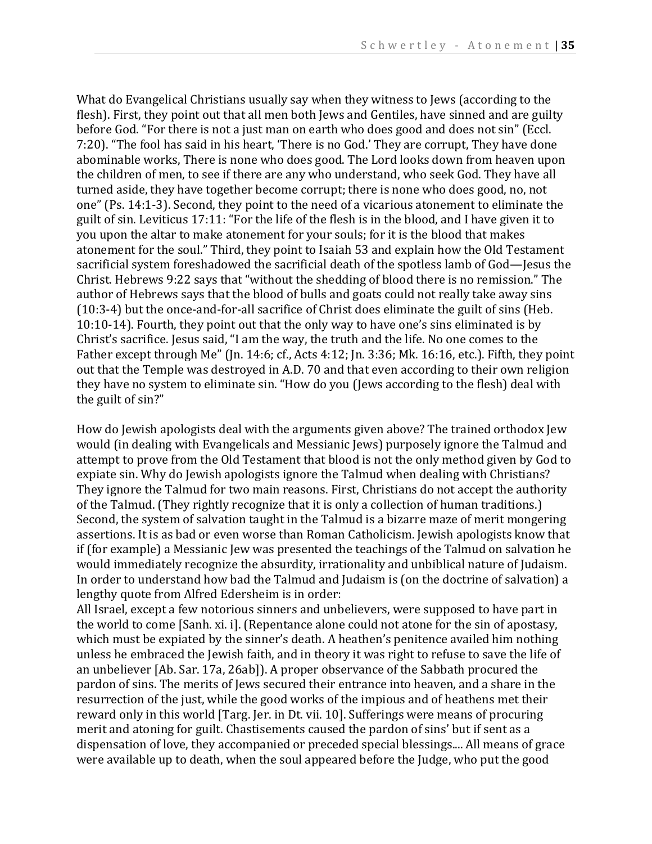What do Evangelical Christians usually say when they witness to Jews (according to the flesh). First, they point out that all men both Jews and Gentiles, have sinned and are guilty before God. "For there is not a just man on earth who does good and does not sin" (Eccl. 7:20). "The fool has said in his heart, 'There is no God.' They are corrupt, They have done abominable works, There is none who does good. The Lord looks down from heaven upon the children of men, to see if there are any who understand, who seek God. They have all turned aside, they have together become corrupt; there is none who does good, no, not one" (Ps. 14:1-3). Second, they point to the need of a vicarious atonement to eliminate the guilt of sin. Leviticus 17:11: "For the life of the flesh is in the blood, and I have given it to you upon the altar to make atonement for your souls; for it is the blood that makes atonement for the soul." Third, they point to Isaiah 53 and explain how the Old Testament sacrificial system foreshadowed the sacrificial death of the spotless lamb of God—Jesus the Christ. Hebrews 9:22 says that "without the shedding of blood there is no remission." The author of Hebrews says that the blood of bulls and goats could not really take away sins (10:3-4) but the once-and-for-all sacrifice of Christ does eliminate the guilt of sins (Heb. 10:10-14). Fourth, they point out that the only way to have one's sins eliminated is by Christ's sacrifice. Jesus said, "I am the way, the truth and the life. No one comes to the Father except through Me" (Jn. 14:6; cf., Acts 4:12; Jn. 3:36; Mk. 16:16, etc.). Fifth, they point out that the Temple was destroyed in A.D. 70 and that even according to their own religion they have no system to eliminate sin. "How do you (Jews according to the flesh) deal with the guilt of sin?"

How do Jewish apologists deal with the arguments given above? The trained orthodox Jew would (in dealing with Evangelicals and Messianic Jews) purposely ignore the Talmud and attempt to prove from the Old Testament that blood is not the only method given by God to expiate sin. Why do Jewish apologists ignore the Talmud when dealing with Christians? They ignore the Talmud for two main reasons. First, Christians do not accept the authority of the Talmud. (They rightly recognize that it is only a collection of human traditions.) Second, the system of salvation taught in the Talmud is a bizarre maze of merit mongering assertions. It is as bad or even worse than Roman Catholicism. Jewish apologists know that if (for example) a Messianic Jew was presented the teachings of the Talmud on salvation he would immediately recognize the absurdity, irrationality and unbiblical nature of Judaism. In order to understand how bad the Talmud and Judaism is (on the doctrine of salvation) a lengthy quote from Alfred Edersheim is in order:

All Israel, except a few notorious sinners and unbelievers, were supposed to have part in the world to come [Sanh. xi. i]. (Repentance alone could not atone for the sin of apostasy, which must be expiated by the sinner's death. A heathen's penitence availed him nothing unless he embraced the Jewish faith, and in theory it was right to refuse to save the life of an unbeliever [Ab. Sar. 17a, 26ab]). A proper observance of the Sabbath procured the pardon of sins. The merits of Jews secured their entrance into heaven, and a share in the resurrection of the just, while the good works of the impious and of heathens met their reward only in this world [Targ. Jer. in Dt. vii. 10]. Sufferings were means of procuring merit and atoning for guilt. Chastisements caused the pardon of sins' but if sent as a dispensation of love, they accompanied or preceded special blessings.... All means of grace were available up to death, when the soul appeared before the Judge, who put the good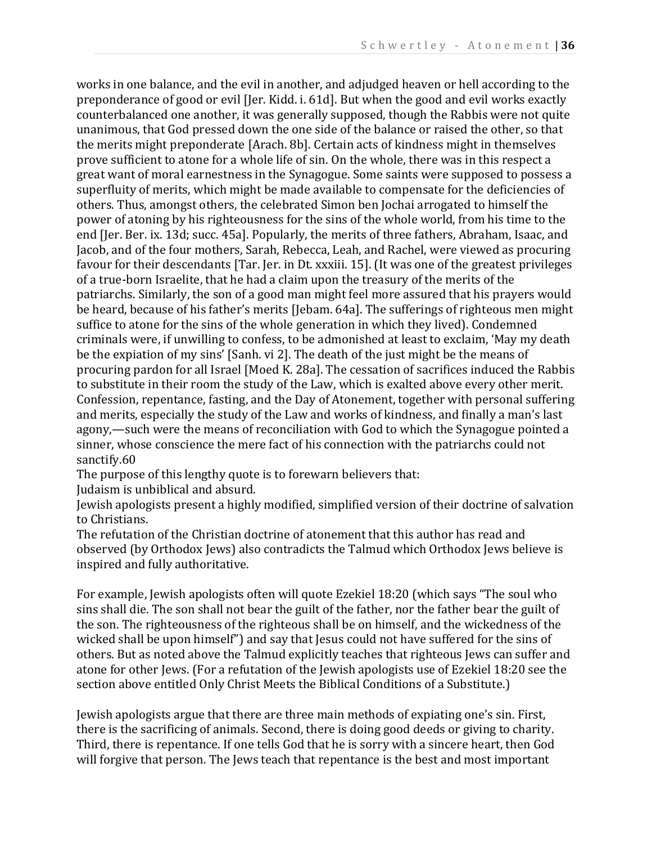works in one balance, and the evil in another, and adjudged heaven or hell according to the preponderance of good or evil [Jer. Kidd. i. 61d]. But when the good and evil works exactly counterbalanced one another, it was generally supposed, though the Rabbis were not quite unanimous, that God pressed down the one side of the balance or raised the other, so that the merits might preponderate [Arach. 8b]. Certain acts of kindness might in themselves prove sufficient to atone for a whole life of sin. On the whole, there was in this respect a great want of moral earnestness in the Synagogue. Some saints were supposed to possess a superfluity of merits, which might be made available to compensate for the deficiencies of others. Thus, amongst others, the celebrated Simon ben Jochai arrogated to himself the power of atoning by his righteousness for the sins of the whole world, from his time to the end [Jer. Ber. ix. 13d; succ. 45a]. Popularly, the merits of three fathers, Abraham, Isaac, and Jacob, and of the four mothers, Sarah, Rebecca, Leah, and Rachel, were viewed as procuring favour for their descendants [Tar. Jer. in Dt. xxxiii. 15]. (It was one of the greatest privileges of a true-born Israelite, that he had a claim upon the treasury of the merits of the patriarchs. Similarly, the son of a good man might feel more assured that his prayers would be heard, because of his father's merits [Jebam. 64a]. The sufferings of righteous men might suffice to atone for the sins of the whole generation in which they lived). Condemned criminals were, if unwilling to confess, to be admonished at least to exclaim, 'May my death be the expiation of my sins' [Sanh. vi 2]. The death of the just might be the means of procuring pardon for all Israel [Moed K. 28a]. The cessation of sacrifices induced the Rabbis to substitute in their room the study of the Law, which is exalted above every other merit. Confession, repentance, fasting, and the Day of Atonement, together with personal suffering and merits, especially the study of the Law and works of kindness, and finally a man's last agony,—such were the means of reconciliation with God to which the Synagogue pointed a sinner, whose conscience the mere fact of his connection with the patriarchs could not sanctify.60

The purpose of this lengthy quote is to forewarn believers that:

Judaism is unbiblical and absurd.

Jewish apologists present a highly modified, simplified version of their doctrine of salvation to Christians.

The refutation of the Christian doctrine of atonement that this author has read and observed (by Orthodox Jews) also contradicts the Talmud which Orthodox Jews believe is inspired and fully authoritative.

For example, Jewish apologists often will quote Ezekiel 18:20 (which says "The soul who sins shall die. The son shall not bear the guilt of the father, nor the father bear the guilt of the son. The righteousness of the righteous shall be on himself, and the wickedness of the wicked shall be upon himself") and say that Jesus could not have suffered for the sins of others. But as noted above the Talmud explicitly teaches that righteous Jews can suffer and atone for other Jews. (For a refutation of the Jewish apologists use of Ezekiel 18:20 see the section above entitled Only Christ Meets the Biblical Conditions of a Substitute.)

Jewish apologists argue that there are three main methods of expiating one's sin. First, there is the sacrificing of animals. Second, there is doing good deeds or giving to charity. Third, there is repentance. If one tells God that he is sorry with a sincere heart, then God will forgive that person. The Jews teach that repentance is the best and most important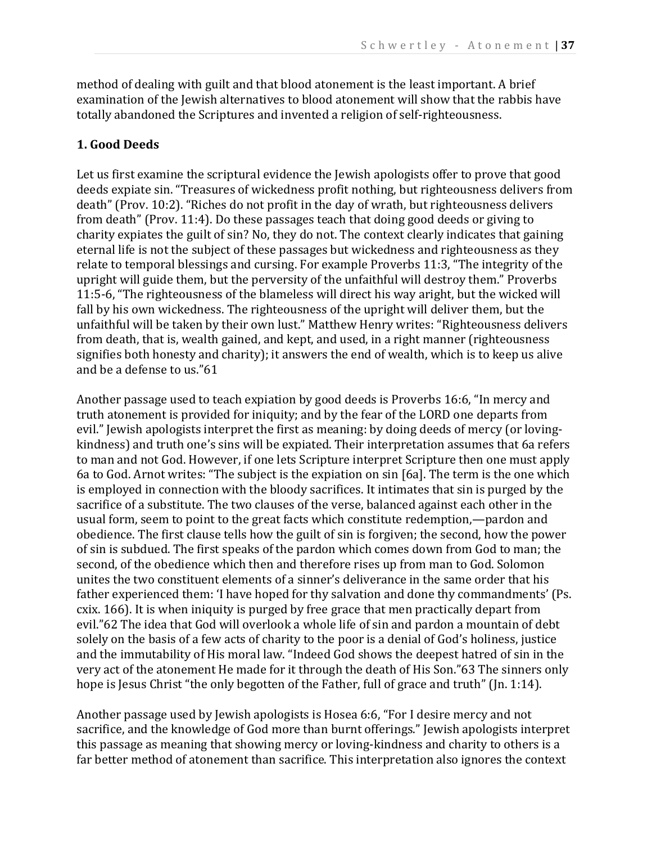method of dealing with guilt and that blood atonement is the least important. A brief examination of the Jewish alternatives to blood atonement will show that the rabbis have totally abandoned the Scriptures and invented a religion of self-righteousness.

# **1. Good Deeds**

Let us first examine the scriptural evidence the Jewish apologists offer to prove that good deeds expiate sin. "Treasures of wickedness profit nothing, but righteousness delivers from death" (Prov. 10:2). "Riches do not profit in the day of wrath, but righteousness delivers from death" (Prov. 11:4). Do these passages teach that doing good deeds or giving to charity expiates the guilt of sin? No, they do not. The context clearly indicates that gaining eternal life is not the subject of these passages but wickedness and righteousness as they relate to temporal blessings and cursing. For example Proverbs 11:3, "The integrity of the upright will guide them, but the perversity of the unfaithful will destroy them." Proverbs 11:5-6, "The righteousness of the blameless will direct his way aright, but the wicked will fall by his own wickedness. The righteousness of the upright will deliver them, but the unfaithful will be taken by their own lust." Matthew Henry writes: "Righteousness delivers from death, that is, wealth gained, and kept, and used, in a right manner (righteousness signifies both honesty and charity); it answers the end of wealth, which is to keep us alive and be a defense to us."61

Another passage used to teach expiation by good deeds is Proverbs 16:6, "In mercy and truth atonement is provided for iniquity; and by the fear of the LORD one departs from evil." Jewish apologists interpret the first as meaning: by doing deeds of mercy (or lovingkindness) and truth one's sins will be expiated. Their interpretation assumes that 6a refers to man and not God. However, if one lets Scripture interpret Scripture then one must apply 6a to God. Arnot writes: "The subject is the expiation on sin [6a]. The term is the one which is employed in connection with the bloody sacrifices. It intimates that sin is purged by the sacrifice of a substitute. The two clauses of the verse, balanced against each other in the usual form, seem to point to the great facts which constitute redemption,—pardon and obedience. The first clause tells how the guilt of sin is forgiven; the second, how the power of sin is subdued. The first speaks of the pardon which comes down from God to man; the second, of the obedience which then and therefore rises up from man to God. Solomon unites the two constituent elements of a sinner's deliverance in the same order that his father experienced them: 'I have hoped for thy salvation and done thy commandments' (Ps. cxix. 166). It is when iniquity is purged by free grace that men practically depart from evil."62 The idea that God will overlook a whole life of sin and pardon a mountain of debt solely on the basis of a few acts of charity to the poor is a denial of God's holiness, justice and the immutability of His moral law. "Indeed God shows the deepest hatred of sin in the very act of the atonement He made for it through the death of His Son."63 The sinners only hope is Jesus Christ "the only begotten of the Father, full of grace and truth" (Jn. 1:14).

Another passage used by Jewish apologists is Hosea 6:6, "For I desire mercy and not sacrifice, and the knowledge of God more than burnt offerings." Jewish apologists interpret this passage as meaning that showing mercy or loving-kindness and charity to others is a far better method of atonement than sacrifice. This interpretation also ignores the context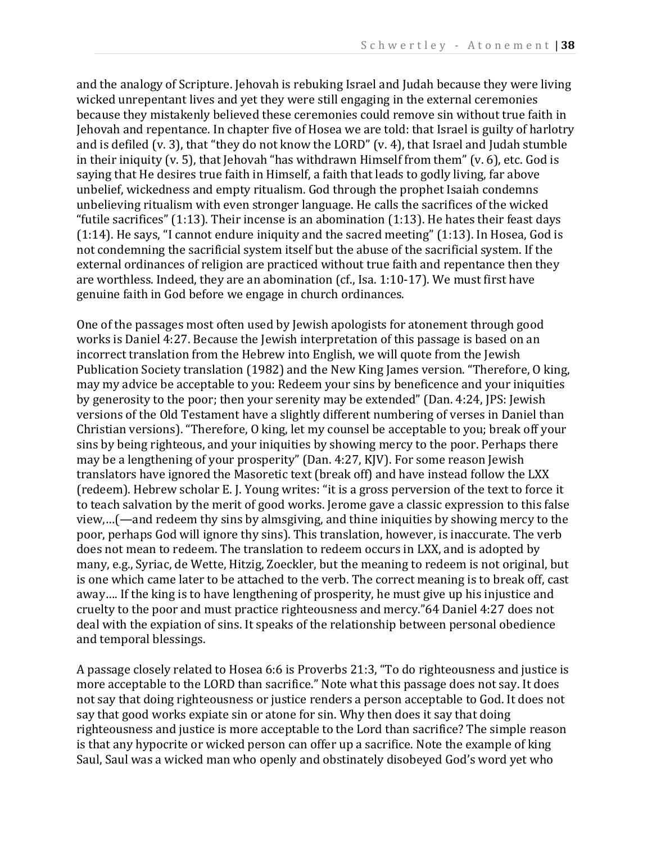and the analogy of Scripture. Jehovah is rebuking Israel and Judah because they were living wicked unrepentant lives and yet they were still engaging in the external ceremonies because they mistakenly believed these ceremonies could remove sin without true faith in Jehovah and repentance. In chapter five of Hosea we are told: that Israel is guilty of harlotry and is defiled (v. 3), that "they do not know the LORD" (v. 4), that Israel and Judah stumble in their iniquity (v. 5), that Jehovah "has withdrawn Himself from them" (v. 6), etc. God is saying that He desires true faith in Himself, a faith that leads to godly living, far above unbelief, wickedness and empty ritualism. God through the prophet Isaiah condemns unbelieving ritualism with even stronger language. He calls the sacrifices of the wicked "futile sacrifices" (1:13). Their incense is an abomination (1:13). He hates their feast days (1:14). He says, "I cannot endure iniquity and the sacred meeting" (1:13). In Hosea, God is not condemning the sacrificial system itself but the abuse of the sacrificial system. If the external ordinances of religion are practiced without true faith and repentance then they are worthless. Indeed, they are an abomination (cf., Isa. 1:10-17). We must first have genuine faith in God before we engage in church ordinances.

One of the passages most often used by Jewish apologists for atonement through good works is Daniel 4:27. Because the Jewish interpretation of this passage is based on an incorrect translation from the Hebrew into English, we will quote from the Jewish Publication Society translation (1982) and the New King James version. "Therefore, O king, may my advice be acceptable to you: Redeem your sins by beneficence and your iniquities by generosity to the poor; then your serenity may be extended" (Dan. 4:24, JPS: Jewish versions of the Old Testament have a slightly different numbering of verses in Daniel than Christian versions). "Therefore, O king, let my counsel be acceptable to you; break off your sins by being righteous, and your iniquities by showing mercy to the poor. Perhaps there may be a lengthening of your prosperity" (Dan. 4:27, KJV). For some reason Jewish translators have ignored the Masoretic text (break off) and have instead follow the LXX (redeem). Hebrew scholar E. J. Young writes: "it is a gross perversion of the text to force it to teach salvation by the merit of good works. Jerome gave a classic expression to this false view,…(—and redeem thy sins by almsgiving, and thine iniquities by showing mercy to the poor, perhaps God will ignore thy sins). This translation, however, is inaccurate. The verb does not mean to redeem. The translation to redeem occurs in LXX, and is adopted by many, e.g., Syriac, de Wette, Hitzig, Zoeckler, but the meaning to redeem is not original, but is one which came later to be attached to the verb. The correct meaning is to break off, cast away…. If the king is to have lengthening of prosperity, he must give up his injustice and cruelty to the poor and must practice righteousness and mercy."64 Daniel 4:27 does not deal with the expiation of sins. It speaks of the relationship between personal obedience and temporal blessings.

A passage closely related to Hosea 6:6 is Proverbs 21:3, "To do righteousness and justice is more acceptable to the LORD than sacrifice." Note what this passage does not say. It does not say that doing righteousness or justice renders a person acceptable to God. It does not say that good works expiate sin or atone for sin. Why then does it say that doing righteousness and justice is more acceptable to the Lord than sacrifice? The simple reason is that any hypocrite or wicked person can offer up a sacrifice. Note the example of king Saul, Saul was a wicked man who openly and obstinately disobeyed God's word yet who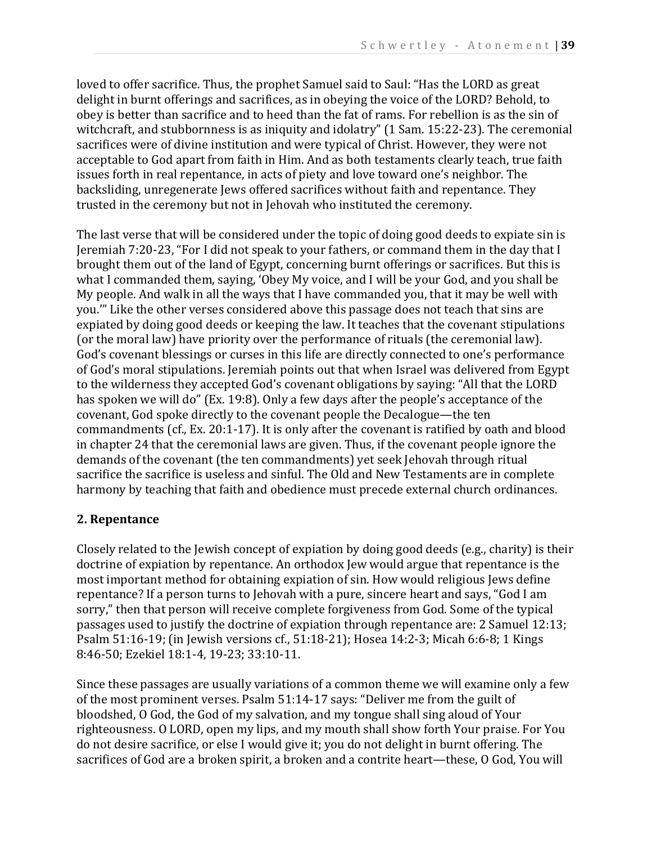loved to offer sacrifice. Thus, the prophet Samuel said to Saul: "Has the LORD as great delight in burnt offerings and sacrifices, as in obeying the voice of the LORD? Behold, to obey is better than sacrifice and to heed than the fat of rams. For rebellion is as the sin of witchcraft, and stubbornness is as iniquity and idolatry" (1 Sam. 15:22-23). The ceremonial sacrifices were of divine institution and were typical of Christ. However, they were not acceptable to God apart from faith in Him. And as both testaments clearly teach, true faith issues forth in real repentance, in acts of piety and love toward one's neighbor. The backsliding, unregenerate Jews offered sacrifices without faith and repentance. They trusted in the ceremony but not in Jehovah who instituted the ceremony.

The last verse that will be considered under the topic of doing good deeds to expiate sin is Jeremiah 7:20-23, "For I did not speak to your fathers, or command them in the day that I brought them out of the land of Egypt, concerning burnt offerings or sacrifices. But this is what I commanded them, saying, 'Obey My voice, and I will be your God, and you shall be My people. And walk in all the ways that I have commanded you, that it may be well with you.'" Like the other verses considered above this passage does not teach that sins are expiated by doing good deeds or keeping the law. It teaches that the covenant stipulations (or the moral law) have priority over the performance of rituals (the ceremonial law). God's covenant blessings or curses in this life are directly connected to one's performance of God's moral stipulations. Jeremiah points out that when Israel was delivered from Egypt to the wilderness they accepted God's covenant obligations by saying: "All that the LORD has spoken we will do" (Ex. 19:8). Only a few days after the people's acceptance of the covenant, God spoke directly to the covenant people the Decalogue—the ten commandments (cf., Ex. 20:1-17). It is only after the covenant is ratified by oath and blood in chapter 24 that the ceremonial laws are given. Thus, if the covenant people ignore the demands of the covenant (the ten commandments) yet seek Jehovah through ritual sacrifice the sacrifice is useless and sinful. The Old and New Testaments are in complete harmony by teaching that faith and obedience must precede external church ordinances.

# **2. Repentance**

Closely related to the Jewish concept of expiation by doing good deeds (e.g., charity) is their doctrine of expiation by repentance. An orthodox Jew would argue that repentance is the most important method for obtaining expiation of sin. How would religious Jews define repentance? If a person turns to Jehovah with a pure, sincere heart and says, "God I am sorry," then that person will receive complete forgiveness from God. Some of the typical passages used to justify the doctrine of expiation through repentance are: 2 Samuel 12:13; Psalm 51:16-19; (in Jewish versions cf., 51:18-21); Hosea 14:2-3; Micah 6:6-8; 1 Kings 8:46-50; Ezekiel 18:1-4, 19-23; 33:10-11.

Since these passages are usually variations of a common theme we will examine only a few of the most prominent verses. Psalm 51:14-17 says: "Deliver me from the guilt of bloodshed, O God, the God of my salvation, and my tongue shall sing aloud of Your righteousness. O LORD, open my lips, and my mouth shall show forth Your praise. For You do not desire sacrifice, or else I would give it; you do not delight in burnt offering. The sacrifices of God are a broken spirit, a broken and a contrite heart—these, O God, You will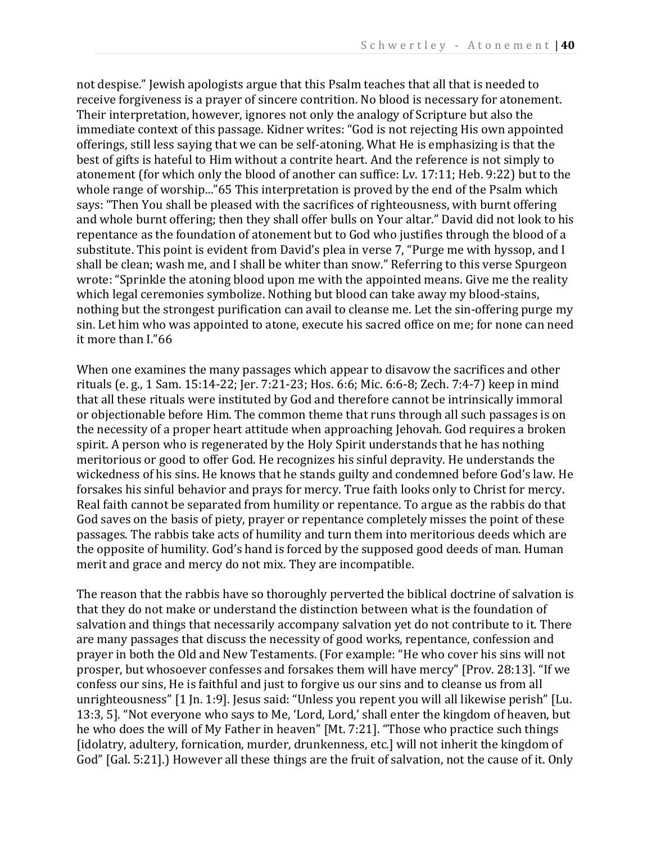not despise." Jewish apologists argue that this Psalm teaches that all that is needed to receive forgiveness is a prayer of sincere contrition. No blood is necessary for atonement. Their interpretation, however, ignores not only the analogy of Scripture but also the immediate context of this passage. Kidner writes: "God is not rejecting His own appointed offerings, still less saying that we can be self-atoning. What He is emphasizing is that the best of gifts is hateful to Him without a contrite heart. And the reference is not simply to atonement (for which only the blood of another can suffice: Lv. 17:11; Heb. 9:22) but to the whole range of worship..."65 This interpretation is proved by the end of the Psalm which says: "Then You shall be pleased with the sacrifices of righteousness, with burnt offering and whole burnt offering; then they shall offer bulls on Your altar." David did not look to his repentance as the foundation of atonement but to God who justifies through the blood of a substitute. This point is evident from David's plea in verse 7, "Purge me with hyssop, and I shall be clean; wash me, and I shall be whiter than snow." Referring to this verse Spurgeon wrote: "Sprinkle the atoning blood upon me with the appointed means. Give me the reality which legal ceremonies symbolize. Nothing but blood can take away my blood-stains, nothing but the strongest purification can avail to cleanse me. Let the sin-offering purge my sin. Let him who was appointed to atone, execute his sacred office on me; for none can need it more than I."66

When one examines the many passages which appear to disavow the sacrifices and other rituals (e. g., 1 Sam. 15:14-22; Jer. 7:21-23; Hos. 6:6; Mic. 6:6-8; Zech. 7:4-7) keep in mind that all these rituals were instituted by God and therefore cannot be intrinsically immoral or objectionable before Him. The common theme that runs through all such passages is on the necessity of a proper heart attitude when approaching Jehovah. God requires a broken spirit. A person who is regenerated by the Holy Spirit understands that he has nothing meritorious or good to offer God. He recognizes his sinful depravity. He understands the wickedness of his sins. He knows that he stands guilty and condemned before God's law. He forsakes his sinful behavior and prays for mercy. True faith looks only to Christ for mercy. Real faith cannot be separated from humility or repentance. To argue as the rabbis do that God saves on the basis of piety, prayer or repentance completely misses the point of these passages. The rabbis take acts of humility and turn them into meritorious deeds which are the opposite of humility. God's hand is forced by the supposed good deeds of man. Human merit and grace and mercy do not mix. They are incompatible.

The reason that the rabbis have so thoroughly perverted the biblical doctrine of salvation is that they do not make or understand the distinction between what is the foundation of salvation and things that necessarily accompany salvation yet do not contribute to it. There are many passages that discuss the necessity of good works, repentance, confession and prayer in both the Old and New Testaments. (For example: "He who cover his sins will not prosper, but whosoever confesses and forsakes them will have mercy" [Prov. 28:13]. "If we confess our sins, He is faithful and just to forgive us our sins and to cleanse us from all unrighteousness" [1 Jn. 1:9]. Jesus said: "Unless you repent you will all likewise perish" [Lu. 13:3, 5]. "Not everyone who says to Me, 'Lord, Lord,' shall enter the kingdom of heaven, but he who does the will of My Father in heaven" [Mt. 7:21]. "Those who practice such things [idolatry, adultery, fornication, murder, drunkenness, etc.] will not inherit the kingdom of God" [Gal. 5:21].) However all these things are the fruit of salvation, not the cause of it. Only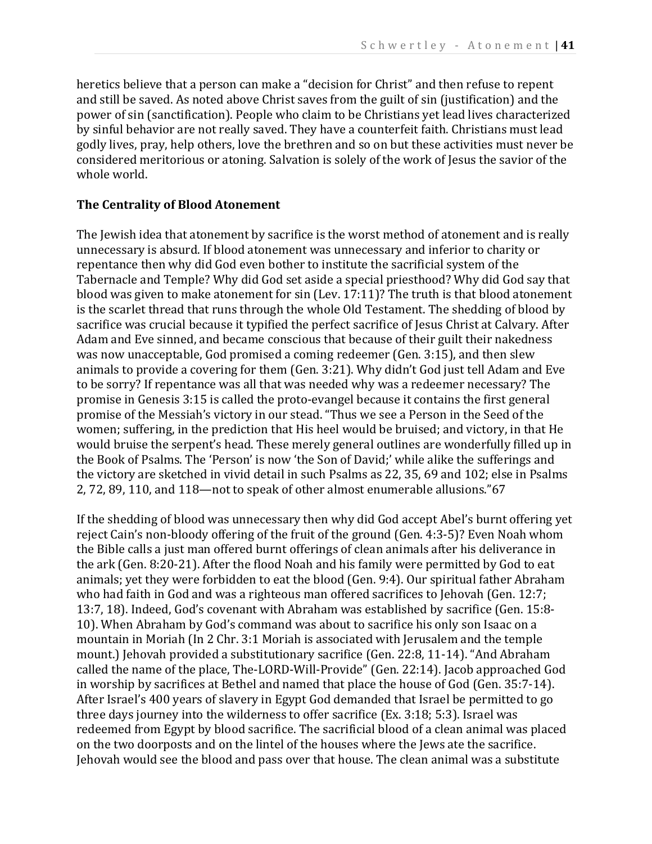heretics believe that a person can make a "decision for Christ" and then refuse to repent and still be saved. As noted above Christ saves from the guilt of sin (justification) and the power of sin (sanctification). People who claim to be Christians yet lead lives characterized by sinful behavior are not really saved. They have a counterfeit faith. Christians must lead godly lives, pray, help others, love the brethren and so on but these activities must never be considered meritorious or atoning. Salvation is solely of the work of Jesus the savior of the whole world.

# **The Centrality of Blood Atonement**

The Jewish idea that atonement by sacrifice is the worst method of atonement and is really unnecessary is absurd. If blood atonement was unnecessary and inferior to charity or repentance then why did God even bother to institute the sacrificial system of the Tabernacle and Temple? Why did God set aside a special priesthood? Why did God say that blood was given to make atonement for sin (Lev. 17:11)? The truth is that blood atonement is the scarlet thread that runs through the whole Old Testament. The shedding of blood by sacrifice was crucial because it typified the perfect sacrifice of Jesus Christ at Calvary. After Adam and Eve sinned, and became conscious that because of their guilt their nakedness was now unacceptable, God promised a coming redeemer (Gen. 3:15), and then slew animals to provide a covering for them (Gen. 3:21). Why didn't God just tell Adam and Eve to be sorry? If repentance was all that was needed why was a redeemer necessary? The promise in Genesis 3:15 is called the proto-evangel because it contains the first general promise of the Messiah's victory in our stead. "Thus we see a Person in the Seed of the women; suffering, in the prediction that His heel would be bruised; and victory, in that He would bruise the serpent's head. These merely general outlines are wonderfully filled up in the Book of Psalms. The 'Person' is now 'the Son of David;' while alike the sufferings and the victory are sketched in vivid detail in such Psalms as 22, 35, 69 and 102; else in Psalms 2, 72, 89, 110, and 118—not to speak of other almost enumerable allusions."67

If the shedding of blood was unnecessary then why did God accept Abel's burnt offering yet reject Cain's non-bloody offering of the fruit of the ground (Gen. 4:3-5)? Even Noah whom the Bible calls a just man offered burnt offerings of clean animals after his deliverance in the ark (Gen. 8:20-21). After the flood Noah and his family were permitted by God to eat animals; yet they were forbidden to eat the blood (Gen. 9:4). Our spiritual father Abraham who had faith in God and was a righteous man offered sacrifices to Jehovah (Gen. 12:7; 13:7, 18). Indeed, God's covenant with Abraham was established by sacrifice (Gen. 15:8- 10). When Abraham by God's command was about to sacrifice his only son Isaac on a mountain in Moriah (In 2 Chr. 3:1 Moriah is associated with Jerusalem and the temple mount.) Jehovah provided a substitutionary sacrifice (Gen. 22:8, 11-14). "And Abraham called the name of the place, The-LORD-Will-Provide" (Gen. 22:14). Jacob approached God in worship by sacrifices at Bethel and named that place the house of God (Gen. 35:7-14). After Israel's 400 years of slavery in Egypt God demanded that Israel be permitted to go three days journey into the wilderness to offer sacrifice (Ex. 3:18; 5:3). Israel was redeemed from Egypt by blood sacrifice. The sacrificial blood of a clean animal was placed on the two doorposts and on the lintel of the houses where the Jews ate the sacrifice. Jehovah would see the blood and pass over that house. The clean animal was a substitute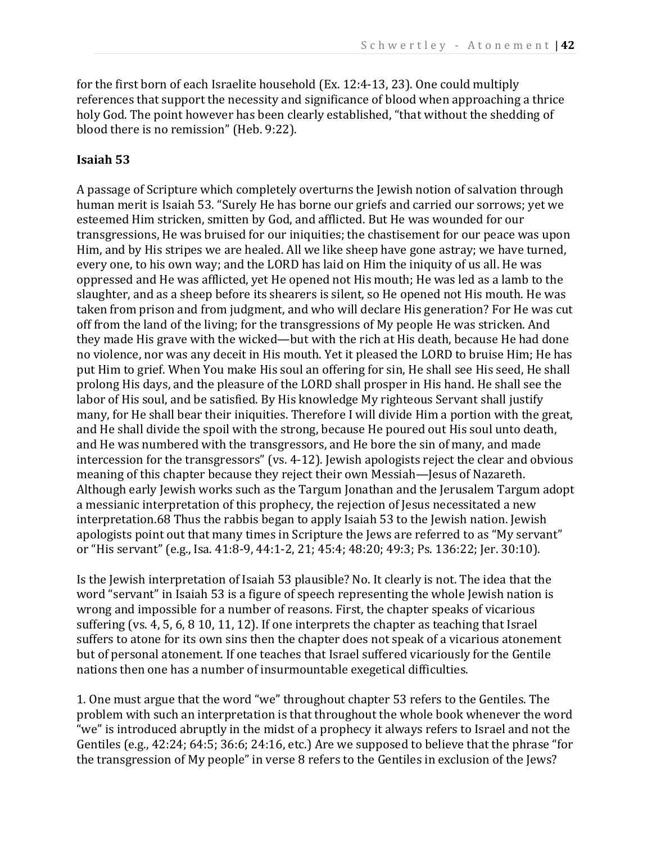for the first born of each Israelite household (Ex. 12:4-13, 23). One could multiply references that support the necessity and significance of blood when approaching a thrice holy God. The point however has been clearly established, "that without the shedding of blood there is no remission" (Heb. 9:22).

# **Isaiah 53**

A passage of Scripture which completely overturns the Jewish notion of salvation through human merit is Isaiah 53. "Surely He has borne our griefs and carried our sorrows; yet we esteemed Him stricken, smitten by God, and afflicted. But He was wounded for our transgressions, He was bruised for our iniquities; the chastisement for our peace was upon Him, and by His stripes we are healed. All we like sheep have gone astray; we have turned, every one, to his own way; and the LORD has laid on Him the iniquity of us all. He was oppressed and He was afflicted, yet He opened not His mouth; He was led as a lamb to the slaughter, and as a sheep before its shearers is silent, so He opened not His mouth. He was taken from prison and from judgment, and who will declare His generation? For He was cut off from the land of the living; for the transgressions of My people He was stricken. And they made His grave with the wicked—but with the rich at His death, because He had done no violence, nor was any deceit in His mouth. Yet it pleased the LORD to bruise Him; He has put Him to grief. When You make His soul an offering for sin, He shall see His seed, He shall prolong His days, and the pleasure of the LORD shall prosper in His hand. He shall see the labor of His soul, and be satisfied. By His knowledge My righteous Servant shall justify many, for He shall bear their iniquities. Therefore I will divide Him a portion with the great, and He shall divide the spoil with the strong, because He poured out His soul unto death, and He was numbered with the transgressors, and He bore the sin of many, and made intercession for the transgressors" (vs. 4-12). Jewish apologists reject the clear and obvious meaning of this chapter because they reject their own Messiah—Jesus of Nazareth. Although early Jewish works such as the Targum Jonathan and the Jerusalem Targum adopt a messianic interpretation of this prophecy, the rejection of Jesus necessitated a new interpretation.68 Thus the rabbis began to apply Isaiah 53 to the Jewish nation. Jewish apologists point out that many times in Scripture the Jews are referred to as "My servant" or "His servant" (e.g., Isa. 41:8-9, 44:1-2, 21; 45:4; 48:20; 49:3; Ps. 136:22; Jer. 30:10).

Is the Jewish interpretation of Isaiah 53 plausible? No. It clearly is not. The idea that the word "servant" in Isaiah 53 is a figure of speech representing the whole Jewish nation is wrong and impossible for a number of reasons. First, the chapter speaks of vicarious suffering (vs. 4, 5, 6, 8 10, 11, 12). If one interprets the chapter as teaching that Israel suffers to atone for its own sins then the chapter does not speak of a vicarious atonement but of personal atonement. If one teaches that Israel suffered vicariously for the Gentile nations then one has a number of insurmountable exegetical difficulties.

1. One must argue that the word "we" throughout chapter 53 refers to the Gentiles. The problem with such an interpretation is that throughout the whole book whenever the word "we" is introduced abruptly in the midst of a prophecy it always refers to Israel and not the Gentiles (e.g., 42:24; 64:5; 36:6; 24:16, etc.) Are we supposed to believe that the phrase "for the transgression of My people" in verse 8 refers to the Gentiles in exclusion of the Jews?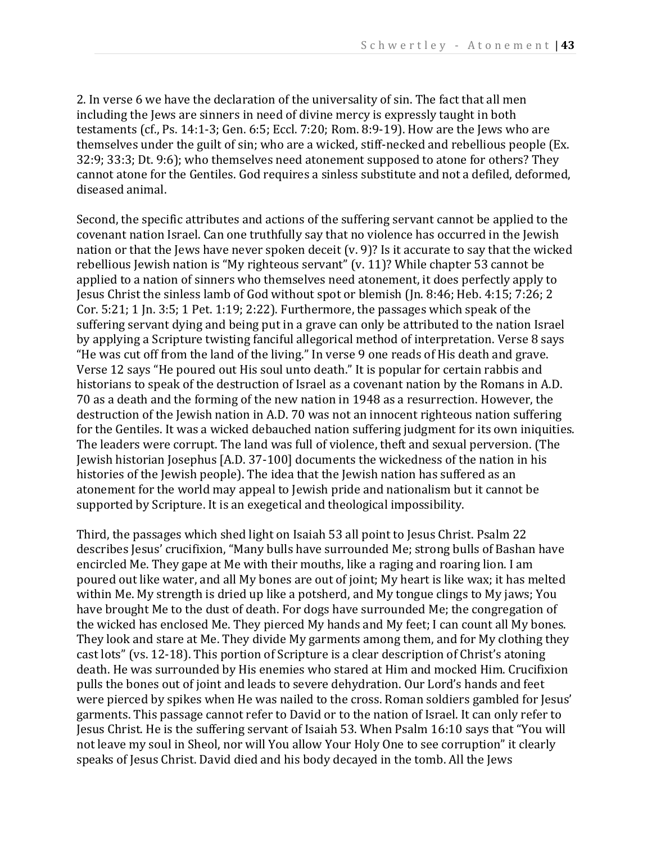2. In verse 6 we have the declaration of the universality of sin. The fact that all men including the Jews are sinners in need of divine mercy is expressly taught in both testaments (cf., Ps. 14:1-3; Gen. 6:5; Eccl. 7:20; Rom. 8:9-19). How are the Jews who are themselves under the guilt of sin; who are a wicked, stiff-necked and rebellious people (Ex. 32:9; 33:3; Dt. 9:6); who themselves need atonement supposed to atone for others? They cannot atone for the Gentiles. God requires a sinless substitute and not a defiled, deformed, diseased animal.

Second, the specific attributes and actions of the suffering servant cannot be applied to the covenant nation Israel. Can one truthfully say that no violence has occurred in the Jewish nation or that the Jews have never spoken deceit (v. 9)? Is it accurate to say that the wicked rebellious Jewish nation is "My righteous servant" (v. 11)? While chapter 53 cannot be applied to a nation of sinners who themselves need atonement, it does perfectly apply to Jesus Christ the sinless lamb of God without spot or blemish (Jn. 8:46; Heb. 4:15; 7:26; 2 Cor. 5:21; 1 Jn. 3:5; 1 Pet. 1:19; 2:22). Furthermore, the passages which speak of the suffering servant dying and being put in a grave can only be attributed to the nation Israel by applying a Scripture twisting fanciful allegorical method of interpretation. Verse 8 says "He was cut off from the land of the living." In verse 9 one reads of His death and grave. Verse 12 says "He poured out His soul unto death." It is popular for certain rabbis and historians to speak of the destruction of Israel as a covenant nation by the Romans in A.D. 70 as a death and the forming of the new nation in 1948 as a resurrection. However, the destruction of the Jewish nation in A.D. 70 was not an innocent righteous nation suffering for the Gentiles. It was a wicked debauched nation suffering judgment for its own iniquities. The leaders were corrupt. The land was full of violence, theft and sexual perversion. (The Jewish historian Josephus [A.D. 37-100] documents the wickedness of the nation in his histories of the Jewish people). The idea that the Jewish nation has suffered as an atonement for the world may appeal to Jewish pride and nationalism but it cannot be supported by Scripture. It is an exegetical and theological impossibility.

Third, the passages which shed light on Isaiah 53 all point to Jesus Christ. Psalm 22 describes Jesus' crucifixion, "Many bulls have surrounded Me; strong bulls of Bashan have encircled Me. They gape at Me with their mouths, like a raging and roaring lion. I am poured out like water, and all My bones are out of joint; My heart is like wax; it has melted within Me. My strength is dried up like a potsherd, and My tongue clings to My jaws; You have brought Me to the dust of death. For dogs have surrounded Me; the congregation of the wicked has enclosed Me. They pierced My hands and My feet; I can count all My bones. They look and stare at Me. They divide My garments among them, and for My clothing they cast lots" (vs. 12-18). This portion of Scripture is a clear description of Christ's atoning death. He was surrounded by His enemies who stared at Him and mocked Him. Crucifixion pulls the bones out of joint and leads to severe dehydration. Our Lord's hands and feet were pierced by spikes when He was nailed to the cross. Roman soldiers gambled for Jesus' garments. This passage cannot refer to David or to the nation of Israel. It can only refer to Jesus Christ. He is the suffering servant of Isaiah 53. When Psalm 16:10 says that "You will not leave my soul in Sheol, nor will You allow Your Holy One to see corruption" it clearly speaks of Jesus Christ. David died and his body decayed in the tomb. All the Jews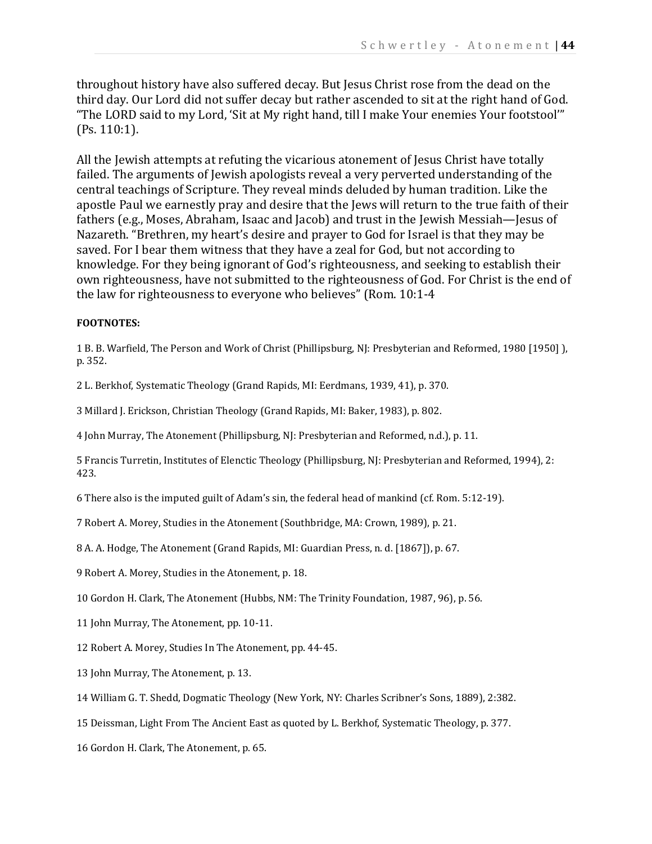throughout history have also suffered decay. But Jesus Christ rose from the dead on the third day. Our Lord did not suffer decay but rather ascended to sit at the right hand of God. "The LORD said to my Lord, 'Sit at My right hand, till I make Your enemies Your footstool'" (Ps. 110:1).

All the Jewish attempts at refuting the vicarious atonement of Jesus Christ have totally failed. The arguments of Jewish apologists reveal a very perverted understanding of the central teachings of Scripture. They reveal minds deluded by human tradition. Like the apostle Paul we earnestly pray and desire that the Jews will return to the true faith of their fathers (e.g., Moses, Abraham, Isaac and Jacob) and trust in the Jewish Messiah—Jesus of Nazareth. "Brethren, my heart's desire and prayer to God for Israel is that they may be saved. For I bear them witness that they have a zeal for God, but not according to knowledge. For they being ignorant of God's righteousness, and seeking to establish their own righteousness, have not submitted to the righteousness of God. For Christ is the end of the law for righteousness to everyone who believes" (Rom. 10:1-4

#### **FOOTNOTES:**

1 B. B. Warfield, The Person and Work of Christ (Phillipsburg, NJ: Presbyterian and Reformed, 1980 [1950] ), p. 352.

2 L. Berkhof, Systematic Theology (Grand Rapids, MI: Eerdmans, 1939, 41), p. 370.

3 Millard J. Erickson, Christian Theology (Grand Rapids, MI: Baker, 1983), p. 802.

4 John Murray, The Atonement (Phillipsburg, NJ: Presbyterian and Reformed, n.d.), p. 11.

5 Francis Turretin, Institutes of Elenctic Theology (Phillipsburg, NJ: Presbyterian and Reformed, 1994), 2: 423.

6 There also is the imputed guilt of Adam's sin, the federal head of mankind (cf. Rom. 5:12-19).

7 Robert A. Morey, Studies in the Atonement (Southbridge, MA: Crown, 1989), p. 21.

8 A. A. Hodge, The Atonement (Grand Rapids, MI: Guardian Press, n. d. [1867]), p. 67.

9 Robert A. Morey, Studies in the Atonement, p. 18.

10 Gordon H. Clark, The Atonement (Hubbs, NM: The Trinity Foundation, 1987, 96), p. 56.

11 John Murray, The Atonement, pp. 10-11.

12 Robert A. Morey, Studies In The Atonement, pp. 44-45.

13 John Murray, The Atonement, p. 13.

14 William G. T. Shedd, Dogmatic Theology (New York, NY: Charles Scribner's Sons, 1889), 2:382.

15 Deissman, Light From The Ancient East as quoted by L. Berkhof, Systematic Theology, p. 377.

16 Gordon H. Clark, The Atonement, p. 65.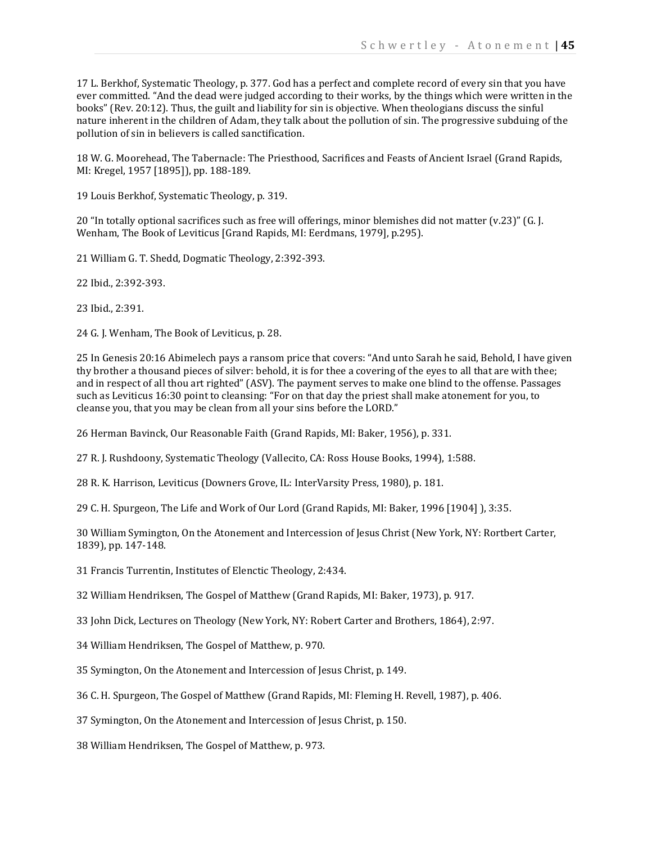17 L. Berkhof, Systematic Theology, p. 377. God has a perfect and complete record of every sin that you have ever committed. "And the dead were judged according to their works, by the things which were written in the books" (Rev. 20:12). Thus, the guilt and liability for sin is objective. When theologians discuss the sinful nature inherent in the children of Adam, they talk about the pollution of sin. The progressive subduing of the pollution of sin in believers is called sanctification.

18 W. G. Moorehead, The Tabernacle: The Priesthood, Sacrifices and Feasts of Ancient Israel (Grand Rapids, MI: Kregel, 1957 [1895]), pp. 188-189.

19 Louis Berkhof, Systematic Theology, p. 319.

20 "In totally optional sacrifices such as free will offerings, minor blemishes did not matter (v.23)" (G. J. Wenham, The Book of Leviticus [Grand Rapids, MI: Eerdmans, 1979], p.295).

21 William G. T. Shedd, Dogmatic Theology, 2:392-393.

22 Ibid., 2:392-393.

23 Ibid., 2:391.

24 G. J. Wenham, The Book of Leviticus, p. 28.

25 In Genesis 20:16 Abimelech pays a ransom price that covers: "And unto Sarah he said, Behold, I have given thy brother a thousand pieces of silver: behold, it is for thee a covering of the eyes to all that are with thee; and in respect of all thou art righted" (ASV). The payment serves to make one blind to the offense. Passages such as Leviticus 16:30 point to cleansing: "For on that day the priest shall make atonement for you, to cleanse you, that you may be clean from all your sins before the LORD."

26 Herman Bavinck, Our Reasonable Faith (Grand Rapids, MI: Baker, 1956), p. 331.

27 R. J. Rushdoony, Systematic Theology (Vallecito, CA: Ross House Books, 1994), 1:588.

28 R. K. Harrison, Leviticus (Downers Grove, IL: InterVarsity Press, 1980), p. 181.

29 C. H. Spurgeon, The Life and Work of Our Lord (Grand Rapids, MI: Baker, 1996 [1904] ), 3:35.

30 William Symington, On the Atonement and Intercession of Jesus Christ (New York, NY: Rortbert Carter, 1839), pp. 147-148.

31 Francis Turrentin, Institutes of Elenctic Theology, 2:434.

32 William Hendriksen, The Gospel of Matthew (Grand Rapids, MI: Baker, 1973), p. 917.

33 John Dick, Lectures on Theology (New York, NY: Robert Carter and Brothers, 1864), 2:97.

34 William Hendriksen, The Gospel of Matthew, p. 970.

35 Symington, On the Atonement and Intercession of Jesus Christ, p. 149.

36 C. H. Spurgeon, The Gospel of Matthew (Grand Rapids, MI: Fleming H. Revell, 1987), p. 406.

37 Symington, On the Atonement and Intercession of Jesus Christ, p. 150.

38 William Hendriksen, The Gospel of Matthew, p. 973.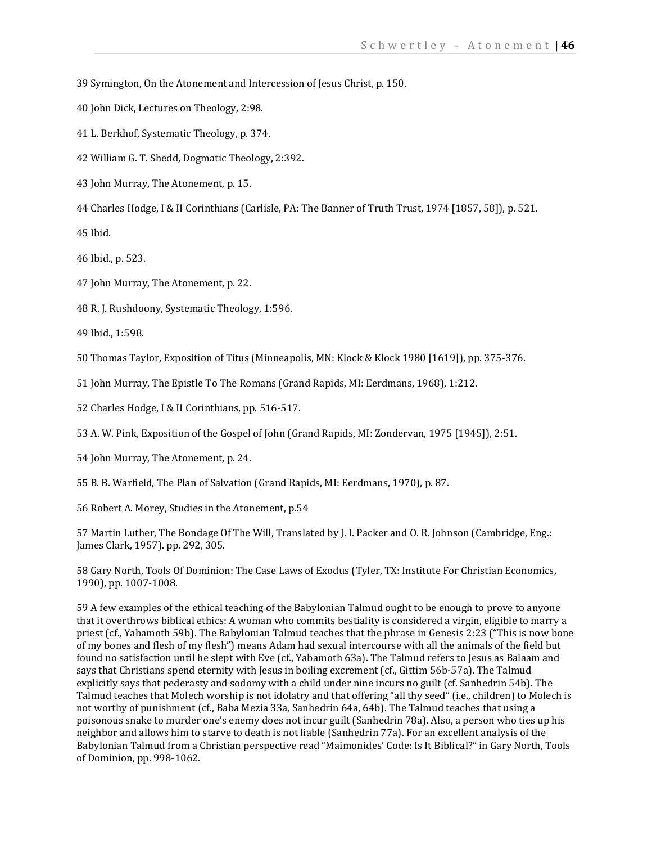39 Symington, On the Atonement and Intercession of Jesus Christ, p. 150.

- 40 John Dick, Lectures on Theology, 2:98.
- 41 L. Berkhof, Systematic Theology, p. 374.
- 42 William G. T. Shedd, Dogmatic Theology, 2:392.
- 43 John Murray, The Atonement, p. 15.
- 44 Charles Hodge, I & II Corinthians (Carlisle, PA: The Banner of Truth Trust, 1974 [1857, 58]), p. 521.

45 Ibid.

- 46 Ibid., p. 523.
- 47 John Murray, The Atonement, p. 22.
- 48 R. J. Rushdoony, Systematic Theology, 1:596.
- 49 Ibid., 1:598.

50 Thomas Taylor, Exposition of Titus (Minneapolis, MN: Klock & Klock 1980 [1619]), pp. 375-376.

51 John Murray, The Epistle To The Romans (Grand Rapids, MI: Eerdmans, 1968), 1:212.

52 Charles Hodge, I & II Corinthians, pp. 516-517.

53 A. W. Pink, Exposition of the Gospel of John (Grand Rapids, MI: Zondervan, 1975 [1945]), 2:51.

54 John Murray, The Atonement, p. 24.

55 B. B. Warfield, The Plan of Salvation (Grand Rapids, MI: Eerdmans, 1970), p. 87.

56 Robert A. Morey, Studies in the Atonement, p.54

57 Martin Luther, The Bondage Of The Will, Translated by J. I. Packer and O. R. Johnson (Cambridge, Eng.: James Clark, 1957). pp. 292, 305.

58 Gary North, Tools Of Dominion: The Case Laws of Exodus (Tyler, TX: Institute For Christian Economics, 1990), pp. 1007-1008.

59 A few examples of the ethical teaching of the Babylonian Talmud ought to be enough to prove to anyone that it overthrows biblical ethics: A woman who commits bestiality is considered a virgin, eligible to marry a priest (cf., Yabamoth 59b). The Babylonian Talmud teaches that the phrase in Genesis 2:23 ("This is now bone of my bones and flesh of my flesh") means Adam had sexual intercourse with all the animals of the field but found no satisfaction until he slept with Eve (cf., Yabamoth 63a). The Talmud refers to Jesus as Balaam and says that Christians spend eternity with Jesus in boiling excrement (cf., Gittim 56b-57a). The Talmud explicitly says that pederasty and sodomy with a child under nine incurs no guilt (cf. Sanhedrin 54b). The Talmud teaches that Molech worship is not idolatry and that offering "all thy seed" (i.e., children) to Molech is not worthy of punishment (cf., Baba Mezia 33a, Sanhedrin 64a, 64b). The Talmud teaches that using a poisonous snake to murder one's enemy does not incur guilt (Sanhedrin 78a). Also, a person who ties up his neighbor and allows him to starve to death is not liable (Sanhedrin 77a). For an excellent analysis of the Babylonian Talmud from a Christian perspective read "Maimonides' Code: Is It Biblical?" in Gary North, Tools of Dominion, pp. 998-1062.